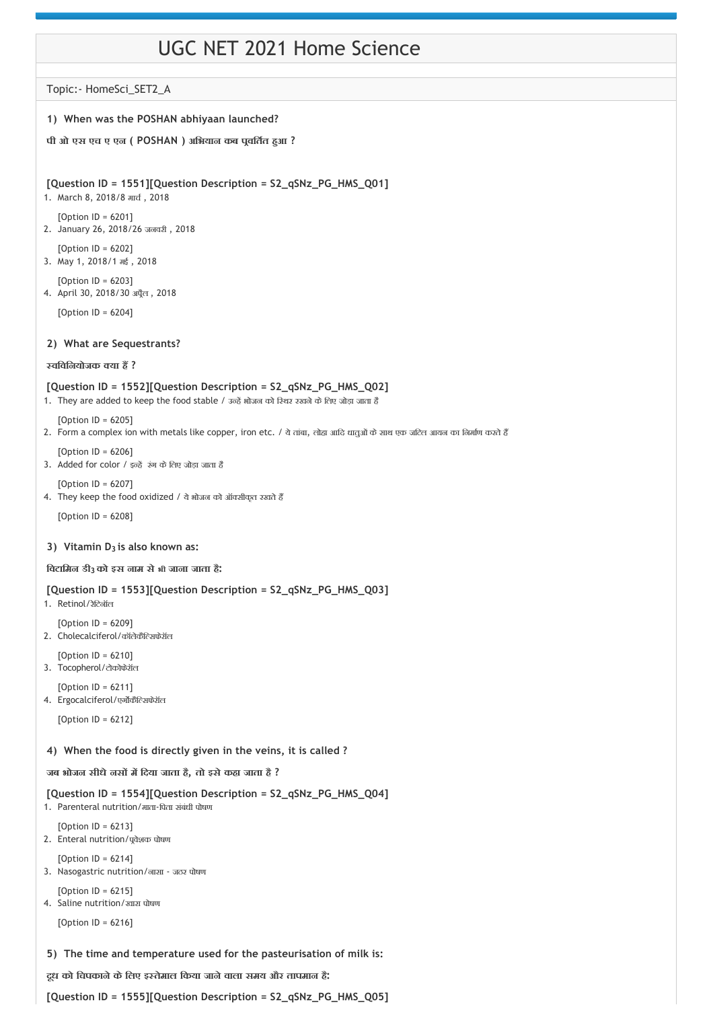# UGC NET 2021 Home Science

Topic:‐ HomeSci\_SET2\_A

## **1) When was the POSHAN abhiyaan launched?**

## **पी ओ एस एच ए एन ( POSHAN ) अिभयान कब प वित त ह आ ?**

#### **[Question ID = 1551][Question Description = S2\_qSNz\_PG\_HMS\_Q01]**

- 1. March 8, 2018/8 माच , 2018
- [Option ID = 6201] 2. January 26, 2018/26 जनवरी , 2018
- [Option ID = 6202] 3. May 1, 2018/1 मई , 2018
- [Option ID = 6203] 4. April 30, 2018/30 अप्रैल, 2018

[Option ID = 6204]

#### **2) What are Sequestrants?**

#### **विविनयोजक या ह ?**

## **[Question ID = 1552][Question Description = S2\_qSNz\_PG\_HMS\_Q02]**

1. They are added to keep the food stable / उन्हें भोजन को स्थिर रखने के लिए जोड़ा जाता है

 $[Option ID = 6205]$ 

2. Form a complex ion with metals like copper, iron etc. / ये तांबा, लोहा आदि धातुओं के साथ एक जटिल आयन का निर्माण करते हैं

[Option ID = 6206]

- 3. Added for color  $/$  इन्हें रंग के लिए जोड़ा जाता है
- [Option ID = 6207] 4. They keep the food oxidized / ये भोजन को ऑक्सीकृत रखते हैं

[Option ID = 6208]

## **3**) Vitamin D<sub>3</sub> is also known as:

**िवटािमन डी को इस नाम सेभी जाना जाता है: 3** 

## **[Question ID = 1553][Question Description = S2\_qSNz\_PG\_HMS\_Q03]**

1. Retinol/रेिटनॉल

[Option ID = 6209] 2. Cholecalciferol/कॉलेकैि सफेरॉल

- [Option ID = 6210]
- 3. Tocopherol/टोकोफेरॉल

[Option ID = 6211]

4. Ergocalciferol/एर्गोकैल्सिफेरॉल

[Option ID = 6212]

## **4) When the food is directly given in the veins, it is called ?**

**जब भोजन सीधेनस म िदया जाता है, तो इसेकहा जाता है ?**

**[Question ID = 1554][Question Description = S2\_qSNz\_PG\_HMS\_Q04]**

1. Parenteral nutrition/माता‐िपता संबंधी पोषण

[Option ID = 6213] 2. Enteral nutrition/पूर्वेशक पोषण

 $[Option ID = 6214]$ 3. Nasogastric nutrition/नासा ‐ जठर पोषण

[Option ID = 6215] 4. Saline nutrition/खारा पोषण

[Option ID = 6216]

**5) The time and temperature used for the pasteurisation of milk is:**

**दूध को िचपकानेकेिलए इ तेमाल िकया जानेवाला समय और तापमान है:**

**[Question ID = 1555][Question Description = S2\_qSNz\_PG\_HMS\_Q05]**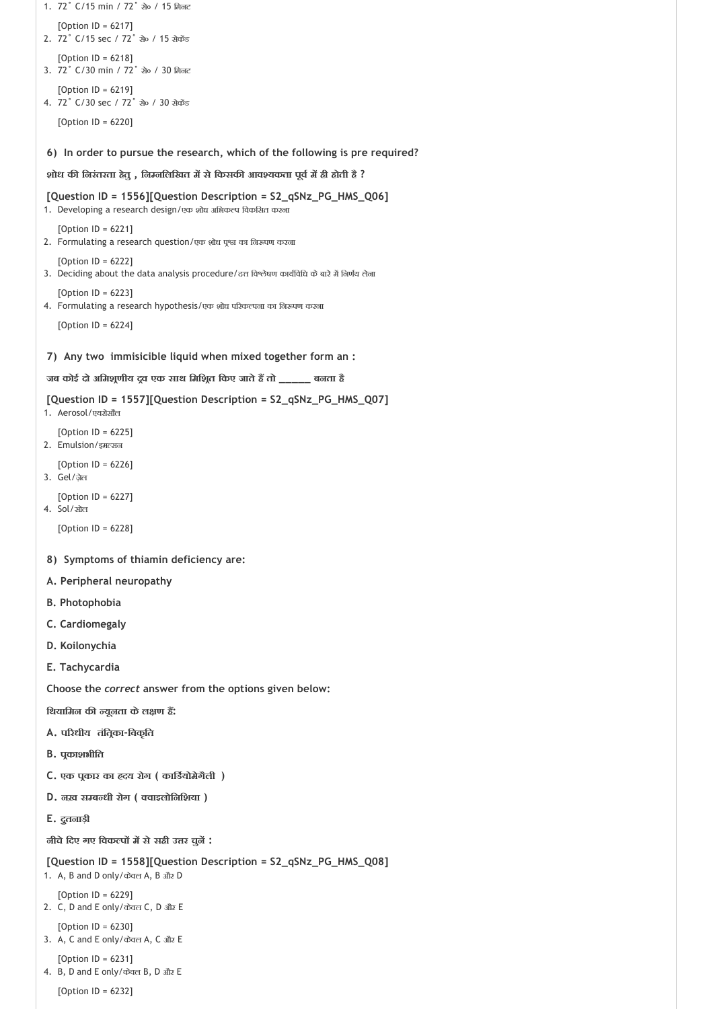```
6) 
In order to pursue the research, which of the following is pre required?
 7) 
Any two immisicible liquid when mixed together form an :
 8) 
Symptoms of thiamin deficiency are:
1. 72˚ C/15 min / 72˚ से० / 15 िमनट
   [Option ID = 6217]
2. 72° C/15 sec / 72° से० / 15 सेकेंड
   [Option ID = 6218]
3. 72˚ C/30 min / 72˚ से० / 30 िमनट
   [Option ID = 6219]
4. 72° C/30 sec / 72° ਬੇ੦ / 30 ਬੇਕਠੇਂਤ
   [Option ID = 6220]
शोध क िनरंतरता हेतु , िन निलिखत म सेिकसक आव यकता पूव म ही होती है ?
[Question ID = 1556][Question Description = S2_qSNz_PG_HMS_Q06]
1. Developing a research design/एक शोध अभिकल्प विकसित करना
   [Option ID = 6221]
2. Formulating a research question/एक शोध पृश्त का निरूपण करना
   [Option ID = 6222]
3. Deciding about the data analysis procedure/दत्त विश्लेषण कार्यविधि के बारे में निर्णय लेना
   [Option ID = 6223]4. Formulating a research hypothesis/एक शोध परिकल्पना का निरूपण करना
   [Option ID = 6224]
जब कोई दो अिमश णीय द व एक साथ िमिश त िकए जातेह तो _____ बनता है
[Question ID = 1557][Question Description = S2_qSNz_PG_HMS_Q07]
1. Aerosol/एयरोसौल
   [Option ID = 6225]
2. Emulsion/इमल्सन
   [Option ID = 6226]
3. Gel/ज़ेल
   [Option ID = 6227]
4. Sol/सोल
   [Option ID = 6228]
A. Peripheral neuropathy
B. Photophobia
C. Cardiomegaly
D. Koilonychia
E. Tachycardia
Choose the correct answer from the options given below:
िथयािमन क यूनता केल ण ह :
A. प रधीय तंित का‐िवकृित
B. प काशभीित
C. एक प कार का दय रोग ( कािड योमेगैली )
D. नख़ स ब धी रोग ( वाइलोिनिशया )
E. द ुतनाड़ी
नीचेिदए गए िवक प म सेसही उ र चुन :
[Question ID = 1558][Question Description = S2_qSNz_PG_HMS_Q08]
1. A, B and D only/केवल A, B और D
   [Option ID = 6229]
2. C, D and E only/केवल C, D और E
   [Option ID = 6230]
3. A, C and E only/केवल A, C और E
   [Option ID = 6231]
4. B, D and E only/केवल B, D और E
   [Option ID = 6232]
```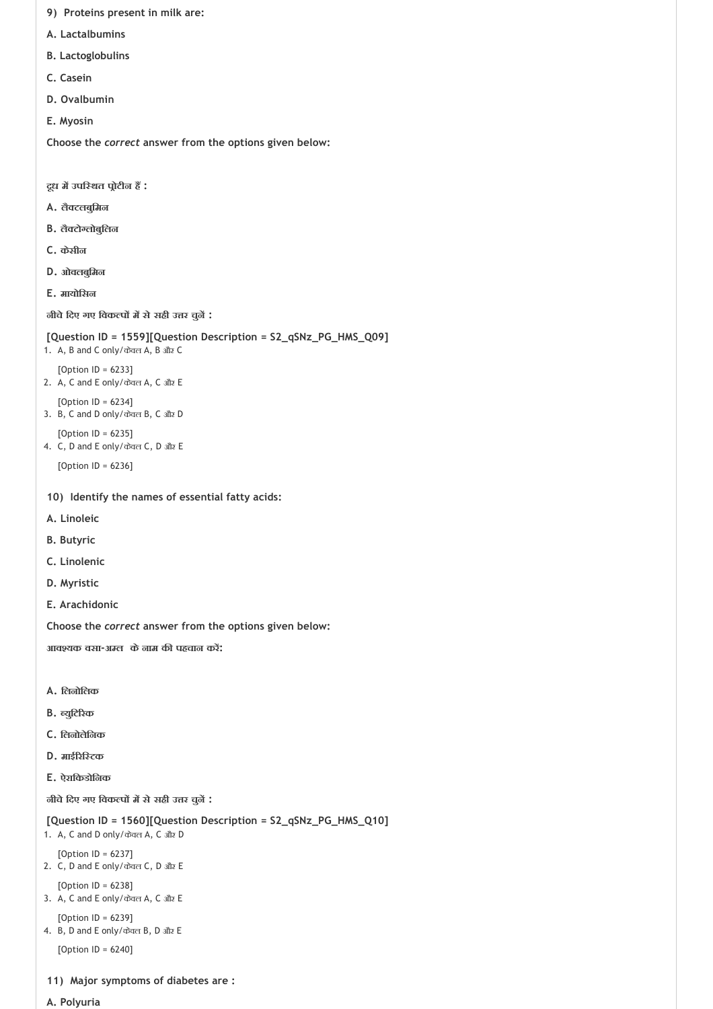- **9) Proteins present in milk are:**
- **A. Lactalbumins**
- **B. Lactoglobulins**
- **C. Casein**
- **D. Ovalbumin**
- **E. Myosin**

- **दूध म उपि थत प ोटीन ह :**
- **A. लै टलबुिमन**
- **B. लै टो लोबुिलन**
- **C. केसीन**
- **D. ओवलबुिमन**
- **E. मायोिसन**

**नीचेिदए गए िवक प म सेसही उ र चुन :**

```
[Question ID = 1559][Question Description = S2_qSNz_PG_HMS_Q09]
```
- 1. A, B and C only/केवल A, B और C
	- [Option ID = 6233]
- 2. A, C and E only/केवल A, C और E [Option ID = 6234]
- 3. B, C and D only/केवल B, C और D
- [Option ID = 6235] 4. C, D and E only/केवल C, D और E

[Option ID = 6236]

- **10) Identify the names of essential fatty acids:**
- **A. Linoleic**
- **B. Butyric**
- **C. Linolenic**
- **D. Myristic**
- **E. Arachidonic**

**Choose the** *correct* **answer from the options given below:**

**आव यक वसा‐अ ल केनाम क पहचान कर :**

- **A. िलनोिलक**
- **B. युिट रक**
- **C. िलनोलेिनक**
- **D. माई रि टक**
- **E. ऐरािकडोिनक**

**नीचेिदए गए िवक प म सेसही उ र चुन :**

**[Question ID = 1560][Question Description = S2\_qSNz\_PG\_HMS\_Q10]**

- 1. A, C and D only/केवल A, C और D
	- [Option ID = 6237]
- 2. C, D and E only/केवल C, D और E
- [Option ID = 6238] 3. A, C and E only/केवल A, C और E
- [Option ID = 6239] 4. B, D and E only/केवल B, D और E

[Option ID = 6240]

- **11) Major symptoms of diabetes are :**
- **A. Polyuria**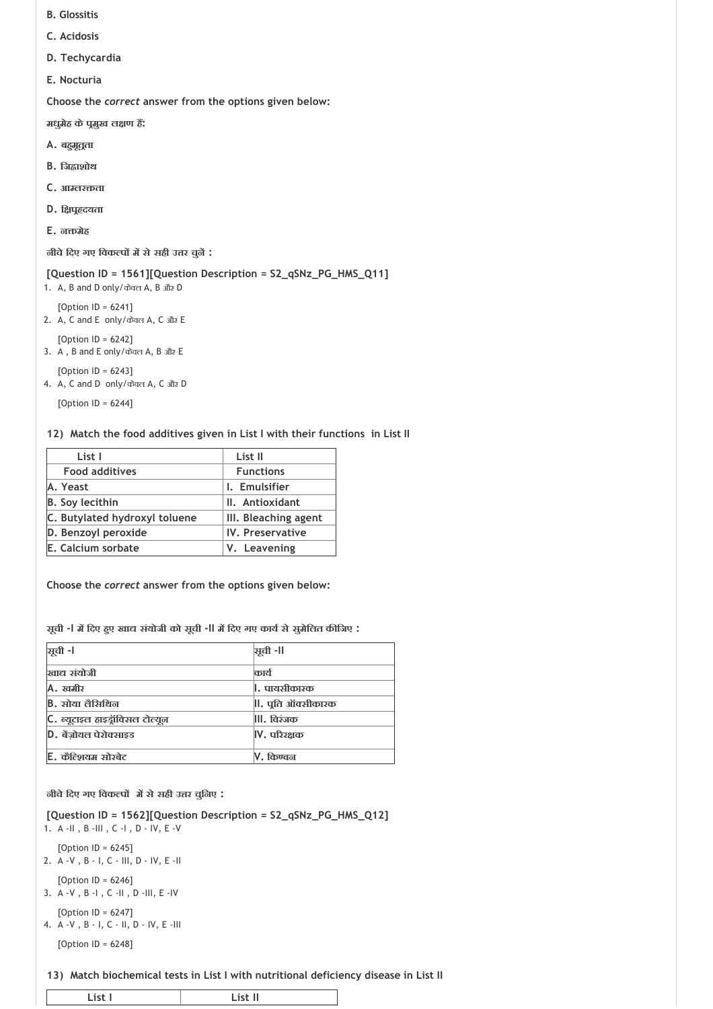- **B. Glossitis**
- **C. Acidosis**
- **D. Techycardia**
- **E. Nocturia**

**मधुमेह केप मुख ल ण ह :**

- **A. बह मूत ता**
- **B. िज ाशोथ**
- **C. आ लर ता**
- **D. ि प दयता**
- **E. न मेह**

**नीचेिदए गए िवक प म सेसही उ र चुन :**

## **[Question ID = 1561][Question Description = S2\_qSNz\_PG\_HMS\_Q11]**

1. A, B and D only/केवल A, B और D [Option ID = 6241]

2. A, C and E only/केवल A, C और E

[Option ID = 6242] 3. A , B and E only/केवल A, B और E

[Option ID = 6243]

4. A, C and D only/केवल A, C और D

[Option ID = 6244]

#### **12) Match the food additives given in List I with their functions in List II**

| List I                        | List II              |
|-------------------------------|----------------------|
| <b>Food additives</b>         | <b>Functions</b>     |
| A. Yeast                      | I. Emulsifier        |
| <b>B.</b> Soy lecithin        | II. Antioxidant      |
| C. Butylated hydroxyl toluene | III. Bleaching agent |
| D. Benzoyl peroxide           | IV. Preservative     |
| E. Calcium sorbate            | V. Leavening         |

**Choose the** *correct* **answer from the options given below:**

**सूची ‐I म िदए ह ए खा संयोजी को सूची ‐II म िदए गए काय सेसुमेिलत क िजए :**

| ञूची -l                         | ञ्चूची -II              |
|---------------------------------|-------------------------|
| खाद्य संयोजी                    | कार्य                   |
| A. खमीर                         | <b> , पायसीकारक</b>     |
| <b>B.</b> सोया लैसिथिन          | , पूति ऑक्सीकारक        |
| C. ब्यूटाइल हाइड्रॉविसल टोल्यून | III. विश्ंजक            |
| D. बेंजोयल पेरोक्साइड           | $\mathsf{IV.}$ परिरक्षक |
| E. कैंटिशयम सोरबेट              | किण्वन                  |

**नीचेिदए गए िवक प म सेसही उ र चुिनए :**

**[Question ID = 1562][Question Description = S2\_qSNz\_PG\_HMS\_Q12]** 1. A ‐II , B ‐III , C ‐I , D ‐ IV, E ‐V

[Option ID = 6245]

2. A ‐V , B ‐ I, C ‐ III, D ‐ IV, E ‐II [Option ID = 6246]

3. A ‐V , B ‐I , C ‐II , D ‐III, E ‐IV

[Option ID = 6247] 4. A ‐V , B ‐ I, C ‐ II, D ‐ IV, E ‐III

[Option ID = 6248]

**13) Match biochemical tests in List I with nutritional deficiency disease in List II**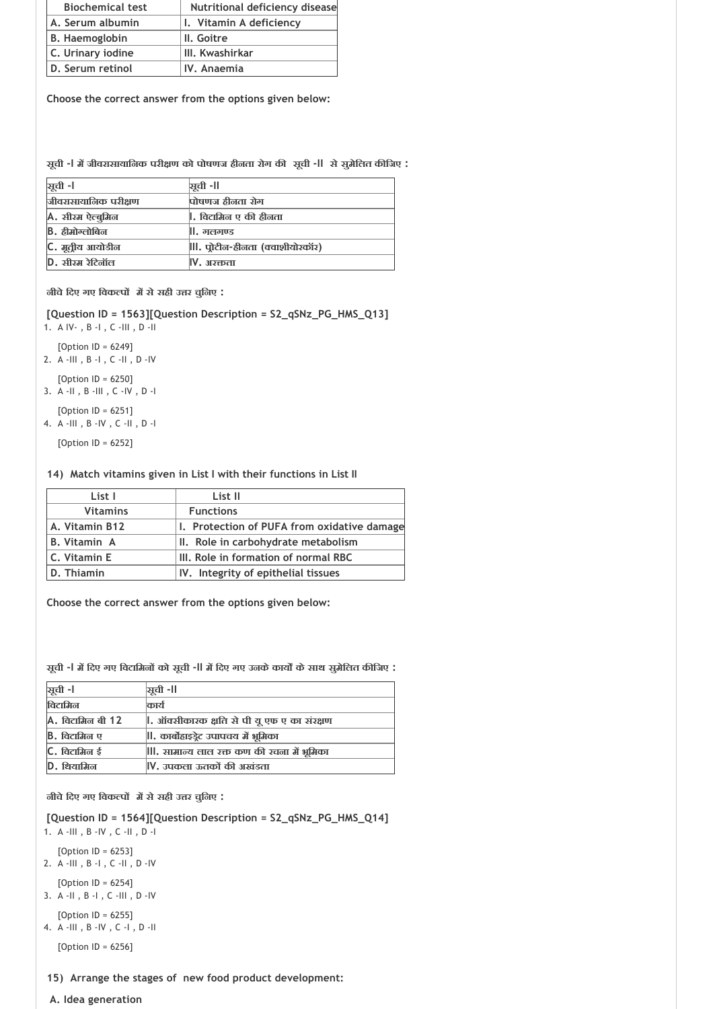| <b>Biochemical test</b> | Nutritional deficiency disease |
|-------------------------|--------------------------------|
| A. Serum albumin        | I. Vitamin A deficiency        |
| B. Haemoglobin          | II. Goitre                     |
| C. Urinary iodine       | III. Kwashirkar                |
| D. Serum retinol        | IV. Anaemia                    |

**सूची ‐I म जीवरासायािनक परी ण को पोषणज हीनता रोग क सूची ‐II सेसुमेिलत क िजए :**

| ञ्जूची -।               | ञ्चूची -॥                    |
|-------------------------|------------------------------|
| जीवरासायानिक परीक्षण    | पोषणज हीनता रोग              |
| <b>A. सीरम ऐल्बुमिल</b> | , विटामिन ए की हीनता         |
| <b>B.</b> ठीमोग्लोबिन   | ll. गलगण्ड                   |
| C. मूतीय आयोडीन         | , पोटीन-हीनता (क्वाशीयोरकॉर) |
| <b>D.</b> सीरम रेटिनॉल  | IV. अञ्क्तता                 |

**नीचेिदए गए िवक प म सेसही उ र चुिनए :**

**[Question ID = 1563][Question Description = S2\_qSNz\_PG\_HMS\_Q13]**

1. A IV‐ , B ‐I , C ‐III , D ‐II

- [Option ID = 6249]
- 2. A ‐III , B ‐I , C ‐II , D ‐IV
- [Option ID = 6250]
- 3. A ‐II , B ‐III , C ‐IV , D ‐I
- [Option ID = 6251] 4. A ‐III , B ‐IV , C ‐II , D ‐I

[Option ID = 6252]

## **14) Match vitamins given in List I with their functions in List II**

| List I              | List II                                     |
|---------------------|---------------------------------------------|
| <b>Vitamins</b>     | <b>Functions</b>                            |
| A. Vitamin B12      | I. Protection of PUFA from oxidative damage |
| <b>B.</b> Vitamin A | II. Role in carbohydrate metabolism         |
| C. Vitamin E        | III. Role in formation of normal RBC        |
| D. Thiamin          | IV. Integrity of epithelial tissues         |

**Choose the correct answer from the options given below:**

**सूची ‐I म िदए गए िवटािमन को सूची ‐II म िदए गए उनकेकाय केसाथ सुमेिलत क िजए :**

| ञ्जूची -II                                 |
|--------------------------------------------|
| कार्य                                      |
| , ऑक्सीकारक क्षति से पी यू एफ ए का संरक्षण |
| , कार्बोहाइड्रेट उपापचय में भूमिका         |
| , सामान्य लाल रक्त कण की रचना में भूमिका   |
| V. उपकला ऊतकों की अखंडता                   |
|                                            |

**नीचेिदए गए िवक प म सेसही उ र चुिनए :**

**[Question ID = 1564][Question Description = S2\_qSNz\_PG\_HMS\_Q14]**

- 1. A ‐III , B ‐IV , C ‐II , D ‐I
- $[Option ID = 6253]$
- 2. A ‐III , B ‐I , C ‐II , D ‐IV
- [Option ID = 6254] 3. A ‐II , B ‐I , C ‐III , D ‐IV
- $[Option ID = 6255]$ 4. A ‐III , B ‐IV , C ‐I , D ‐II
- 

[Option ID = 6256]

## **15) Arrange the stages of new food product development:**

 **A. Idea generation**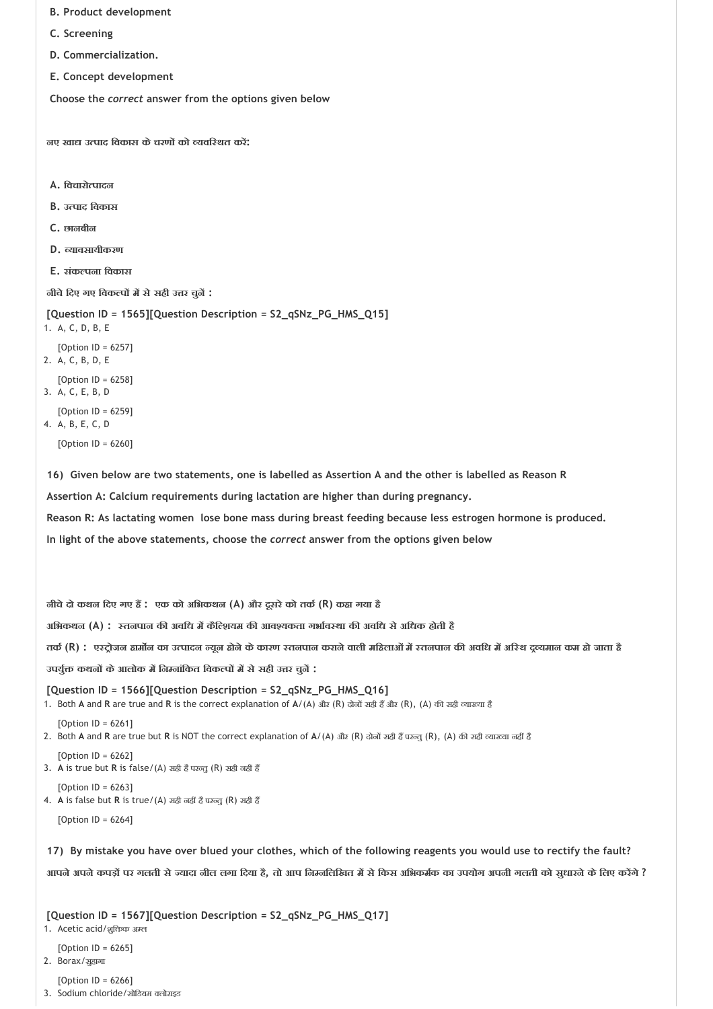- **B. Product development**
- **C. Screening**
- **D. Commercialization.**
- **E. Concept development**

**नए खा उ पाद िवकास केचरण को यवि थत कर :**

- **A. िवचारो पादन**
- **B. उ पाद िवकास**
- **C. छानबीन**
- **D. यावसायीकरण**
- **E. संक पना िवकास**

**नीचेिदए गए िवक प म सेसही उ र चुन :**

```
[Question ID = 1565][Question Description = S2_qSNz_PG_HMS_Q15]
```
- 1. A, C, D, B, E
- [Option ID = 6257]
- 2. A, C, B, D, E
- [Option ID = 6258] 3. A, C, E, B, D

[Option ID = 6259]

4. A, B, E, C, D

[Option ID = 6260]

**16) Given below are two statements, one is labelled as Assertion A and the other is labelled as Reason R** 

**Assertion A: Calcium requirements during lactation are higher than during pregnancy.**

**Reason R: As lactating women lose bone mass during breast feeding because less estrogen hormone is produced.**

**In light of the above statements, choose the** *correct* **answer from the options given below**

**नीचेदो कथन िदए गए ह : एक को अिभकथन (A) और दूसरेको तक (R) कहा गया है**

**अिभकथन (A) : तनपान क अविध म कैि शयम क आव यकता गभा व था क अविध सेअिधक होती है**

तर्क (R) : एस्ट्रोजन हार्मोन का उत्पादन न्यून होने के कारण स्तनपान कराने वाली महिलाओं में स्तनपान की अवधि में अस्थि दूल्यमान कम हो जाता है

**उपयु कथन केआलोक म िन नांिकत िवक प म सेसही उ र चुन :**

**[Question ID = 1566][Question Description = S2\_qSNz\_PG\_HMS\_Q16]** 1. Both **A** and **R** are true and **R** is the correct explanation of  $A/(A)$  और (R) दोनों सही हैं और (R), (A) की सही व्याख्या है

 $[Option ID = 6261]$ 

2. Both A and R are true but R is NOT the correct explanation of A/(A) और (R) दोनों सही हैं परन्तु (R), (A) की सही व्याख्या नहीं है

[Option ID = 6262] 3. A is true but R is false/(A) सही है परन्तु (R) सही नहीं हैं

 $[Option ID = 6263]$ 4. A is false but R is true/(A) सही नहीं है परन्तु (R) सही हैं

[Option ID = 6264]

**17) By mistake you have over blued your clothes, which of the following reagents you would use to rectify the fault?**

आपने अपने कपड़ों पर गलती से ज्यादा नील लगा दिया है, तो आप निम्नलिखित में से किस अभिकर्मक का उपयोग अपनी गलती को सुधारने के लिए करेंगे ?

**[Question ID = 1567][Question Description = S2\_qSNz\_PG\_HMS\_Q17]**

- 1. Acetic acid/शुक्तिक अम्ल
- [Option  $ID = 6265$ ]
- 2. Borax/सुहागा

[Option ID = 6266]

3. Sodium chloride/सोिडयम लोराइड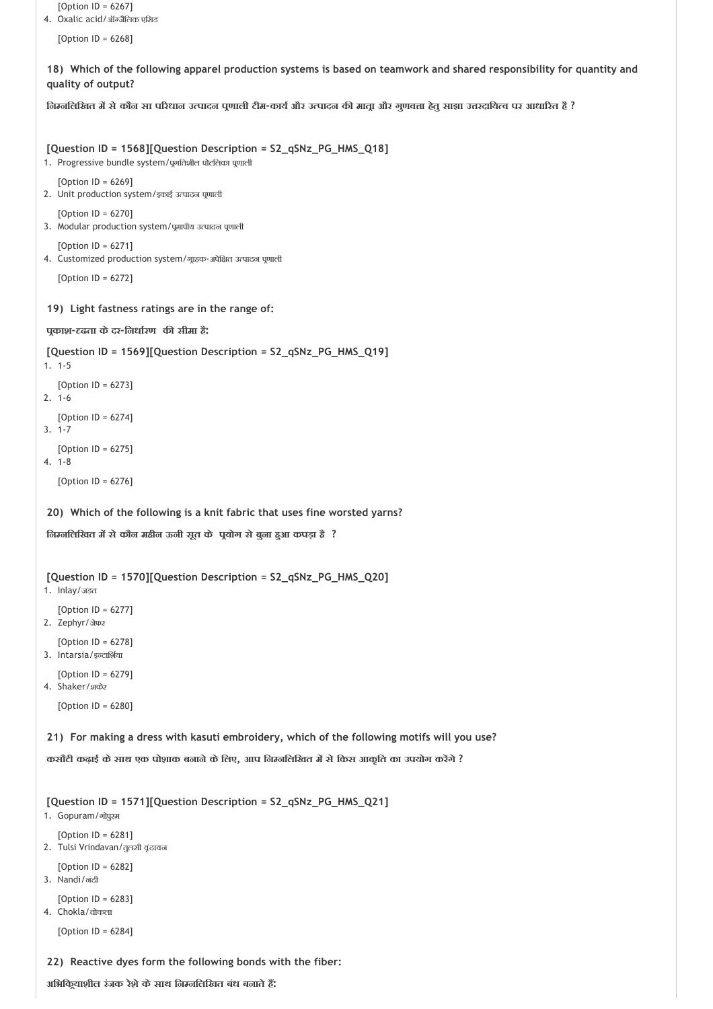```
18) 
Which of the following apparel production systems is based on teamwork and shared responsibility for quantity and
 19) 
Light fastness ratings are in the range of:
 20) 
Which of the following is a knit fabric that uses fine worsted yarns?
 21) 
For making a dress with kasuti embroidery, which of the following motifs will you use?
   [Option ID = 6267]
4. Oxalic acid/ऑ जैिलक एिसड
   [Option ID = 6268]
quality of output?
, लिम्नलिखित में से कौन सा परिधान उत्पादन पूणाली टीम-कार्य और उत्पादन की मात्रा और गुणवत्ता हेतु साझा उत्तरदायित्व पर आधारित है ?
[Question ID = 1568][Question Description = S2_qSNz_PG_HMS_Q18]
1. Progressive bundle system/पूर्णातशील पोटलिका पूणाली
   [Option ID = 6269]
2. Unit production system/इकाई उत्पादन पूणाली
   [Option ID = 6270]
3. Modular production system/पूमापीय उत्पादन पूणाली
   [Option ID = 6271]4. Customized production system/गृहक-अपेक्षित उत्पादन पूणाली
   [Option ID = 6272]
प काश‐ ढता केदर‐िनधा रण क सीमा है:
[Question ID = 1569][Question Description = S2_qSNz_PG_HMS_Q19]
1. 1‐5
   [Option ID = 6273]
2. 1‐6
   [Option ID = 6274]
3. 1‐7
   [Option ID = 6275]
4. 1‐8
   [Option ID = 6276]िन निलिखत म सेकौन महीन ऊनी सूत के प योग सेबुना ह आ कपड़ा है ?
[Question ID = 1570][Question Description = S2_qSNz_PG_HMS_Q20]
1. Inlay/जड़त
   [Option ID = 6277]
2. Zephyr/जेफर
   [Option ID = 6278]
3. Intarsia/इल्टार्शिया
   [Option ID = 6279]
4. Shaker/शकेर
   [Option ID = 6280]
कसौटी कढ़ाई केसाथ एक पोशाक बनानेकेिलए, आप िन निलिखत म सेिकस आकृित का उपयोग कर गे ?
[Question ID = 1571][Question Description = S2_qSNz_PG_HMS_Q21]
1. Gopuram/गोपुरम
   [Option ID = 6281]
2. Tulsi Vrindavan/तुलसी वृंदावन
   [Option ID = 6282]
```
 $[Option ID = 6283]$ 4. Chokla/चोकला

3. Nandi/नंदी

[Option ID = 6284]

**22) Reactive dyes form the following bonds with the fiber:**

**अिभिक याशील रंजक रेशेकेसाथ िन निलिखत बंध बनातेह :**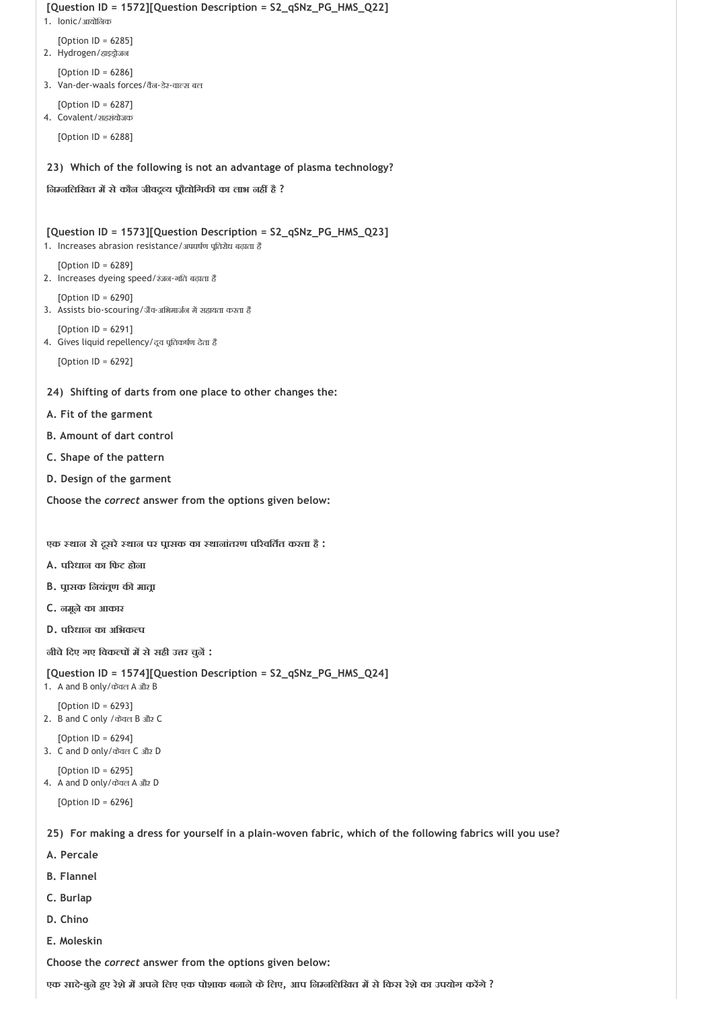```
23) 
Which of the following is not an advantage of plasma technology?
 24) 
Shifting of darts from one place to other changes the:
 25) 
For making a dress for yourself in a plain‐woven fabric, which of the following fabrics will you use?
[Question ID = 1572][Question Description = S2_qSNz_PG_HMS_Q22]
1. Ionic/आयोिनक
   [Option ID = 6285]
2. Hydrogen/हाइड्रोजन
   [Option ID = 6286]
3. Van-der-waals forces/वैन-डेर-वाल्स बल
   [Option ID = 6287]
4. Covalent/सहसंयोजक
   [Option ID = 6288]
िन निलिखत म सेकौन जीवद य प ौ ोिगक का लाभ नह है ?
[Question ID = 1573][Question Description = S2_qSNz_PG_HMS_Q23]
1. Increases abrasion resistance/अपघर्षण पतिरोध बढ़ाता है
   [Option ID = 6289]
2. Increases dyeing speed/रंजन‐गित बढ़ाता है
   [Option ID = 6290]
3. Assists bio-scouring/जैव-अभिमार्जन में सहायता करता है
   [Option ID = 6291]
4. Gives liquid repellency/दूव पूतिकर्षण देता है
   [Option ID = 6292]
A. Fit of the garment
B. Amount of dart control
C. Shape of the pattern
D. Design of the garment
Choose the correct answer from the options given below:
एक थान सेदूसरे थान पर प ासक का थानांतरण प रवित त करता है :
A. प रधान का िफट होना
B. प ासक िनयंत ण क मात ा
C. नमूनेका आकार
D. प रधान का अिभक प
नीचेिदए गए िवक प म सेसही उ र चुन :
[Question ID = 1574][Question Description = S2_qSNz_PG_HMS_Q24]
1. A and B only/केवल A और B
   [Option ID = 6293]
2. B and C only /केवल B और C
   [Option ID = 6294]
3. C and D only/केवल C और D
   [Option ID = 6295]
4. A and D only/केवल A और D
   [Option ID = 6296]
```
- **A. Percale**
- **B. Flannel**
- **C. Burlap**
- **D. Chino**
- **E. Moleskin**

**एक सादे‐बुनेह ए रेशेम अपनेिलए एक पोशाक बनानेकेिलए, आप िन निलिखत म सेिकस रेशेका उपयोग कर गे ?**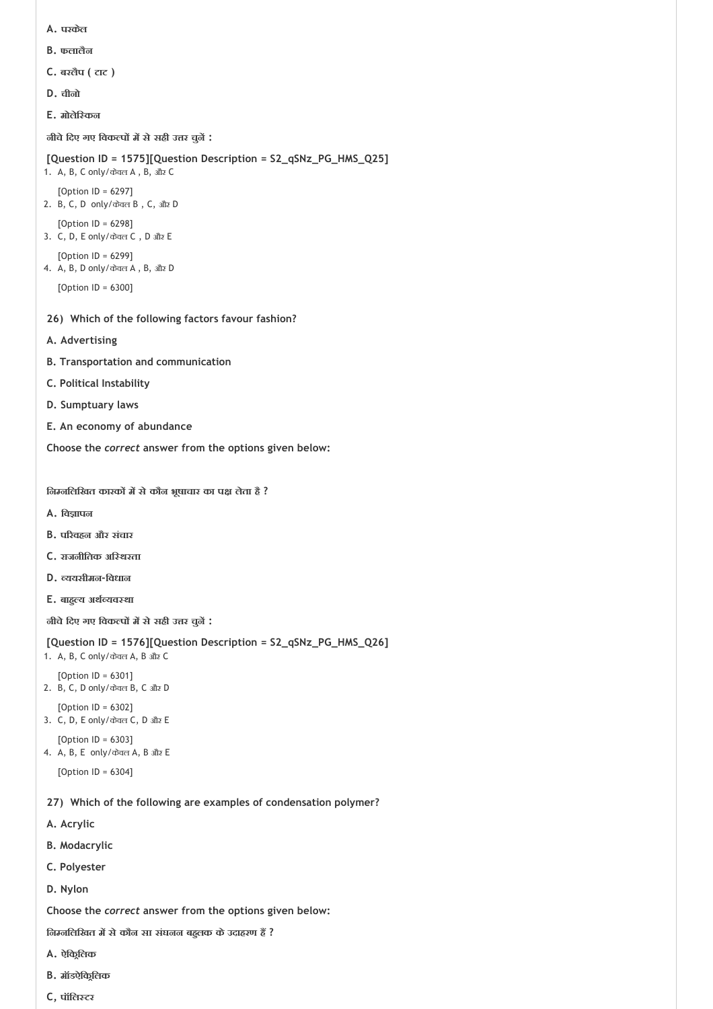- **A. परकेल**
- **B. फलालैन**
- **C. बरलैप ( टाट )**
- **D. चीनो**
- **E. मोलेि कन**

**नीचेिदए गए िवक प म सेसही उ र चुन :**

```
[Question ID = 1575][Question Description = S2_qSNz_PG_HMS_Q25]
```

```
1. A, B, C only/केवल A , B, और C
   [Option ID = 6297]
```

```
2. B, C, D only/केवल B , C, और D
   [Option ID = 6298]
```
- 3. C, D, E only/केवल C , D और E [Option ID = 6299]
- 4. A, B, D only/केवल A , B, और D

```
[Option ID = 6300]
```
- **26) Which of the following factors favour fashion?**
- **A. Advertising**
- **B. Transportation and communication**
- **C. Political Instability**
- **D. Sumptuary laws**
- **E. An economy of abundance**

**Choose the** *correct* **answer from the options given below:**

**िन निलिखत कारक म सेकौन भूषाचार का प लेता है ?**

- **A. िव ापन**
- **B. प रवहन और संचार**
- **C. राजनीितक अि थरता**
- **D. ययसीमन‐िवधान**
- **E. बाह य अथ यव था**

**नीचेिदए गए िवक प म सेसही उ र चुन :**

```
[Question ID = 1576][Question Description = S2_qSNz_PG_HMS_Q26]
```

```
1. A, B, C only/केवल A, B और C
   [Option ID = 6301]
2. B, C, D only/केवल B, C और D
```
- [Option ID = 6302] 3. C, D, E only/केवल C, D और E
- [Option ID = 6303] 4. A, B, E only/केवल A, B और E
	- [Option ID = 6304]
- **27) Which of the following are examples of condensation polymer?**
- **A. Acrylic**
- **B. Modacrylic**
- **C. Polyester**
- **D. Nylon**

**Choose the** *correct* **answer from the options given below:**

**िन निलिखत म सेकौन सा संघनन बह लक केउदाहरण ह ?**

- **A. ऐिक िलक**
- **B. मॉडऐिक िलक**
- **C, पॉिल टर**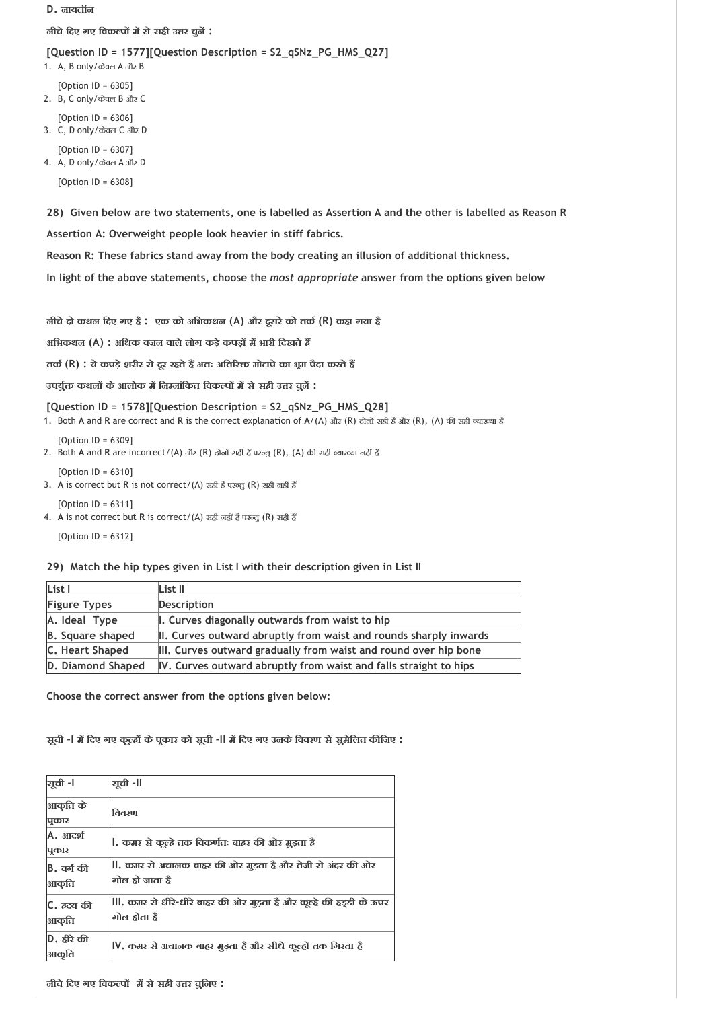#### **D. नायलॉन**

**नीचेिदए गए िवक प म सेसही उ र चुन :**

#### **[Question ID = 1577][Question Description = S2\_qSNz\_PG\_HMS\_Q27]**

1. A, B only/केवल A और B

[Option ID = 6305] 2. B, C only/केवल B और C

[Option ID = 6306] 3. C, D only/केवल C और D

[Option ID = 6307] 4. A, D only/केवल A और D

[Option ID = 6308]

**28) Given below are two statements, one is labelled as Assertion A and the other is labelled as Reason R** 

**Assertion A: Overweight people look heavier in stiff fabrics.**

**Reason R: These fabrics stand away from the body creating an illusion of additional thickness.** 

**In light of the above statements, choose the** *most appropriate* **answer from the options given below** 

**नीचेदो कथन िदए गए ह : एक को अिभकथन (A) और दूसरेको तक (R) कहा गया है**

**अिभकथन (A) : अिधक वजन वालेलोग कड़ेकपड़ म भारी िदखतेह** 

**तक (R) : येकपड़ेशरीर सेदूर रहतेह अतः अित र मोटापेका भ म पैदा करतेह** 

**उपयु कथन केआलोक म िन नांिकत िवक प म सेसही उ र चुन :**

**[Question ID = 1578][Question Description = S2\_qSNz\_PG\_HMS\_Q28]**

1. Both A and R are correct and R is the correct explanation of A/(A) और (R) दोनों सही हैं और (R), (A) की सही व्याख्या है

[Option ID = 6309]

2. Both A and R are incorrect/(A) और (R) दोनों सही हैं परन्तु (R), (A) की सही व्याख्या नहीं हैं

 $[Option ID = 6310]$ 

- 3. A is correct but R is not correct/(A) सही हैं परन्त (R) सही नहीं हैं
- [Option ID = 6311] 4. A is not correct but R is correct/(A) सही नहीं है परन्तु (R) सही हैं

[Option ID = 6312]

#### **29) Match the hip types given in List I with their description given in List II**

| List I                  | List II                                                           |
|-------------------------|-------------------------------------------------------------------|
| <b>Figure Types</b>     | Description                                                       |
| A. Ideal Type           | I. Curves diagonally outwards from waist to hip                   |
| <b>B.</b> Square shaped | II. Curves outward abruptly from waist and rounds sharply inwards |
| C. Heart Shaped         | III. Curves outward gradually from waist and round over hip bone  |
| D. Diamond Shaped       | IV. Curves outward abruptly from waist and falls straight to hips |

**Choose the correct answer from the options given below:**

**सूची ‐I म िदए गए कू ह केप कार को सूची ‐II म िदए गए उनकेिववरण सेसुमेिलत क िजए :**

| <b>भूची -।</b>              | सची -II                                                                          |
|-----------------------------|----------------------------------------------------------------------------------|
| आकृति के<br>पुकार           | विवरण                                                                            |
| A. आदर्श<br>पूकार           | , कमर से कूल्हे तक विकर्णतः बाहर की ओर मुड़ता है                                 |
| <b>B</b> , वर्ग की<br>आकृति | , कमर से अचालक बाहर की ओर मुड़ता है और तेजी से अंदर की ओर<br>गोल हो जाता है      |
| C. ह्र्दय की<br>आकृति       | , कमर से धीरे-धीरे बाहर की ओर मुड़ता है और कूल्हे की हड़डी के ऊपर<br>गोल होता है |
| D. हीरे की<br>आकृति         | V, कमर से अचानक बाहर मुड़ता है और सीधे कूल्हों तक गिरता है                       |

**नीचेिदए गए िवक प म सेसही उ र चुिनए :**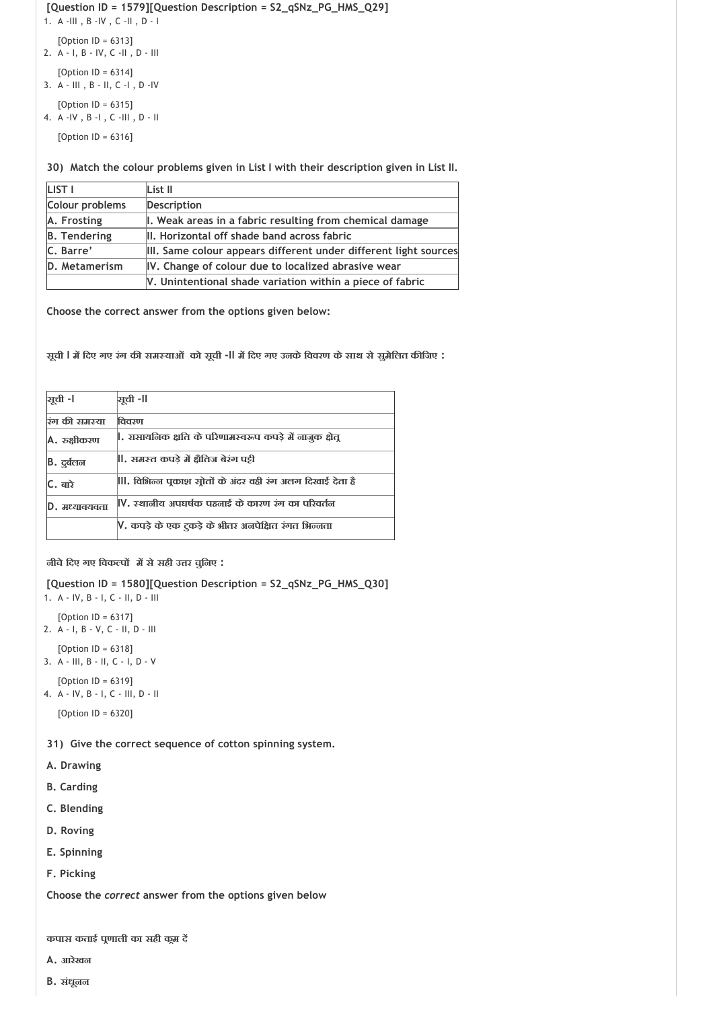# **[Question ID = 1579][Question Description = S2\_qSNz\_PG\_HMS\_Q29]**

1. A ‐III , B ‐IV , C ‐II , D ‐ I

[Option ID = 6313]

2. A ‐ I, B ‐ IV, C ‐II , D ‐ III

[Option ID = 6314]

3. A ‐ III , B ‐ II, C ‐I , D ‐IV

[Option ID = 6315] 4. A ‐IV , B ‐I , C ‐III , D ‐ II

[Option ID = 6316]

**30) Match the colour problems given in List I with their description given in List II.**

| LIST I              | List II                                                          |
|---------------------|------------------------------------------------------------------|
| Colour problems     | Description                                                      |
| A. Frosting         | I. Weak areas in a fabric resulting from chemical damage         |
| <b>B.</b> Tendering | II. Horizontal off shade band across fabric                      |
| C. Barre'           | III. Same colour appears different under different light sources |
| D. Metamerism       | IV. Change of colour due to localized abrasive wear              |
|                     | V. Unintentional shade variation within a piece of fabric        |

**Choose the correct answer from the options given below:**

**सूची I म िदए गए रंग क सम याओं को सूची ‐II म िदए गए उनकेिववरण केसाथ सेसुमेिलत क िजए :**

| <b>भूची</b> -। | ञ्जूची -II                                              |
|----------------|---------------------------------------------------------|
| रंग की समस्या  | विवरण                                                   |
| A. रुक्षीकरण   | , रासायनिक क्षति के परिणामस्वरूप कपड़े में नाजुक क्षेत् |
| B. दुर्बलन     | , समस्त कपडे में क्षैतिज बेरंग पट्टी                    |
| C. बारे        | , विभिन्न पूकाश सोतों के अंदर वही रंग अलग दिखाई देता है |
| D. मध्यावयवता  | IV, स्थालीय अपघर्षक पहलाई के कारण रंग का परिवर्तल       |
|                | V. कपड़े के एक टुकड़े के भीतर अनपेक्षित रंगत भिन्नता    |

**नीचेिदए गए िवक प म सेसही उ र चुिनए :**

```
[Question ID = 1580][Question Description = S2_qSNz_PG_HMS_Q30]
```

```
1. A ‐ IV, B ‐ I, C ‐ II, D ‐ III
   [Option ID = 6317]
2. A ‐ I, B ‐ V, C ‐ II, D ‐ III
   [Option ID = 6318]
3. A ‐ III, B ‐ II, C ‐ I, D ‐ V
```

```
[Option ID = 6319]
4. A ‐ IV, B ‐ I, C ‐ III, D ‐ II
   [Option ID = 6320]
```
**31) Give the correct sequence of cotton spinning system.**

- **A. Drawing**
- **B. Carding**
- **C. Blending**
- **D. Roving**
- **E. Spinning**
- **F. Picking**

**Choose the** *correct* **answer from the options given below**

**कपास कताई प णाली का सही क म द** 

- **A. आरेखन**
- **B. संधूनन**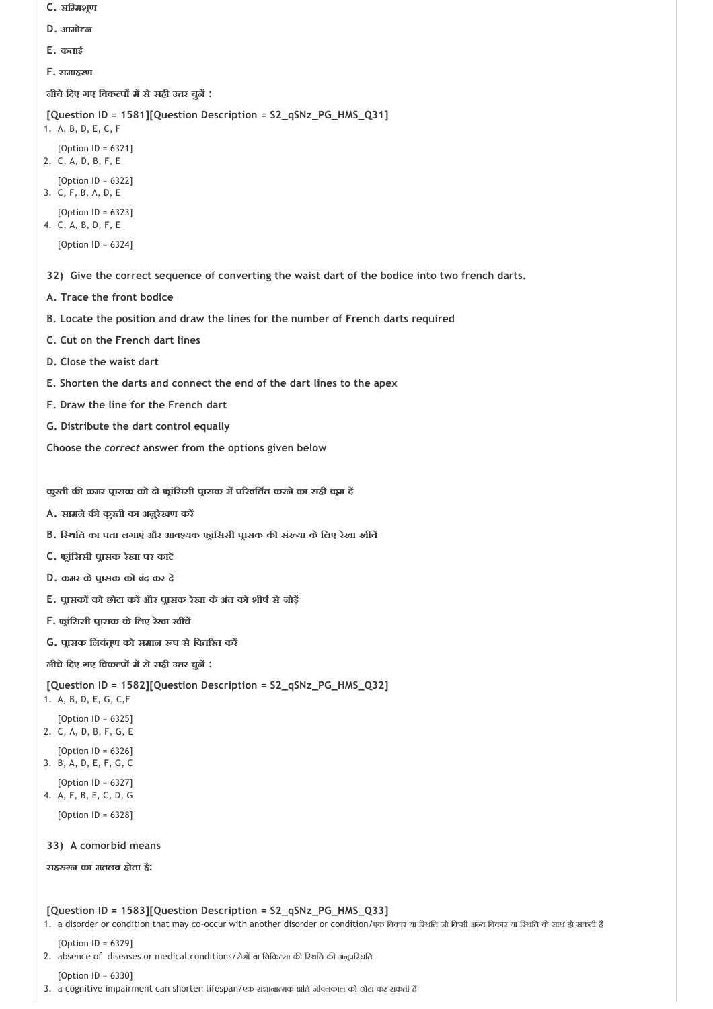- **C. सि मश ण**
- **D. आमोटन**
- **E. कताई**
- **F. समाहरण**

**नीचेिदए गए िवक प म सेसही उ र चुन :**

```
[Question ID = 1581][Question Description = S2_qSNz_PG_HMS_Q31]
```
- 1. A, B, D, E, C, F
- [Option ID = 6321] 2. C, A, D, B, F, E
- [Option ID = 6322]
- 3. C, F, B, A, D, E
- [Option ID = 6323]
- 4. C, A, B, D, F, E
	- [Option ID = 6324]
- **32) Give the correct sequence of converting the waist dart of the bodice into two french darts.**
- **A. Trace the front bodice**
- **B. Locate the position and draw the lines for the number of French darts required**
- **C. Cut on the French dart lines**
- **D. Close the waist dart**
- **E. Shorten the darts and connect the end of the dart lines to the apex**
- **F. Draw the line for the French dart**
- **G. Distribute the dart control equally**

**Choose the** *correct* **answer from the options given below**

**कुरती क कमर प ासक को दो फ ांिससी प ासक म प रवित त करनेका सही क म द** 

- **A. सामनेक कुरती का अनुरेखण कर**
- **B. ि थित का पता लगाएं और आव यक फ ांिससी प ासक क सं या केिलए रेखा ख च**
- **C. फ ांिससी प ासक रेखा पर काट**
- **D. कमर केप ासक को बंद कर द**
- **E. प ासक को छोटा कर और प ासक रेखा केअंत को शीष सेजोड़**
- **F. फ ांिससी प ासक केिलए रेखा ख च**
- **G. प ासक िनयंत ण को समान प सेिवत रत कर**

**नीचेिदए गए िवक प म सेसही उ र चुन :**

# **[Question ID = 1582][Question Description = S2\_qSNz\_PG\_HMS\_Q32]**

- 1. A, B, D, E, G, C,F
- [Option ID = 6325] 2. C, A, D, B, F, G, E
- $[Option ID = 6326]$
- 3. B, A, D, E, F, G, C
- [Option ID = 6327]
- 4. A, F, B, E, C, D, G
	- [Option ID = 6328]

# **33) A comorbid means**

**सह न का मतलब होता है:**

# **[Question ID = 1583][Question Description = S2\_qSNz\_PG\_HMS\_Q33]**

- 1. a disorder or condition that may co-occur with another disorder or condition/एक विकार या रिश्वति जो किसी अल्य विकार या रिशति के साथ हो सकती है
- [Option ID = 6329]
- 2. absence of diseases or medical conditions/रोगों या चिकित्सा की रिशति की अनुपरिशति

[Option ID = 6330]

3. a cognitive impairment can shorten lifespan/एक संज्ञानात्मक क्षति जीवनकाल को छोटा कर सकती है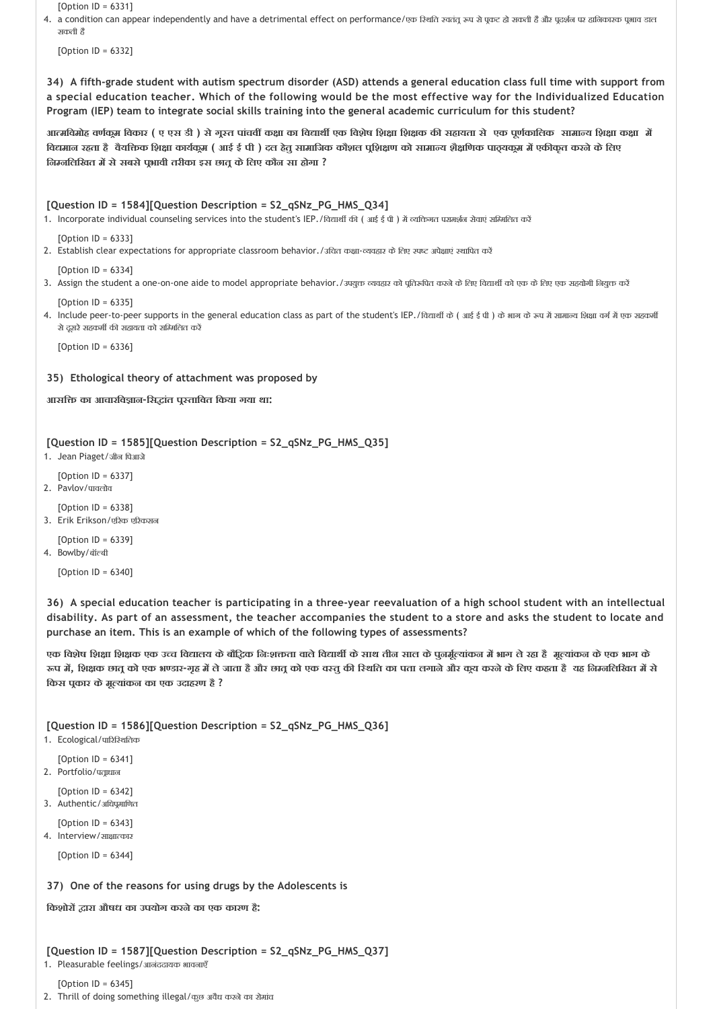[Option ID = 6331]

4. a condition can appear independently and have a detrimental effect on performance/एक रिशति स्वतंतू रूप से पूकट हो सकती है और पूदर्शन पर हानिकारक पूभाव डाल सकती है

[Option ID = 6332]

**34) A fifth‐grade student with autism spectrum disorder (ASD) attends a general education class full time with support from a special education teacher. Which of the following would be the most effective way for the Individualized Education Program (IEP) team to integrate social skills training into the general academic curriculum for this student?**

आत्मविमोह वर्णकुम विकार ( ए एस डी ) से गूस्त पांचवीं कक्षा का विद्यार्थी एक विशेष शिक्षक की सहायता से एक पूर्णकालिक सामान्य शिक्षा कक्षा में विद्यमान रहता है वैयक्तिक शिक्षा कार्यकुम ( आई ई पी ) दल हेतु सामाजिक कौशल पृशिक्षण को सामान्य शैक्षणिक पाठ्यकुम में एकीकृत करने के लिए **िन निलिखत म सेसबसेप भावी तरीका इस छात केिलए कौन सा होगा ?**

**[Question ID = 1584][Question Description = S2\_qSNz\_PG\_HMS\_Q34]**

1. Incorporate individual counseling services into the student's IEP./विद्यार्थी की (आई ई पी) में व्यक्तिगत परामर्शन सेवाएं सम्मिलित करें

#### $[Option ID = 6333]$

2. Establish clear expectations for appropriate classroom behavior./उचित कक्षा-व्यवहार के लिए स्पष्ट अपेक्षाएं स्थापित करें

```
[Option ID = 6334]
```
3. Assign the student a one-on-one aide to model appropriate behavior./उपयुक्त व्यवहार को पुतिरूपित करने के लिए विद्यार्थी को एक के लिए एक सहयोगी नियुक्त करें

 $[Option ID = 6335]$ 

4. Include peer-to-peer supports in the general education class as part of the student's IEP./विद्यार्थों के (आई ई पी ) के भाग के रूप में सामान्य शिक्षा वर्ग में एक सहकर्मी से दसरे सहकर्मी की सहायता को समिमलित करें

[Option ID = 6336]

**35) Ethological theory of attachment was proposed by**

**आसि का आचारिव ान‐िस ांत प तािवत िकया गया था:**

```
[Question ID = 1585][Question Description = S2_qSNz_PG_HMS_Q35]
```
1. Jean Piaget/जीन पिआजे

```
[Option ID = 6337]
```

```
2. Pavlov/पावलोव
```

```
[Option ID = 6338]
3. Erik Erikson/एरिक एरिकसन
```
 $[Option ID = 6339]$ 

4. Bowlbv/बॉल्बी

[Option ID = 6340]

**36) A special education teacher is participating in a three‐year reevaluation of a high school student with an intellectual disability. As part of an assessment, the teacher accompanies the student to a store and asks the student to locate and purchase an item. This is an example of which of the following types of assessments?**

एक विशेष शिक्षा शिक्षक एक उच्च विद्यालय के बौद्धिक निःशक्ता वाले विद्यार्थी के साथ तीन साल के पुनर्मूल्यांकन में भाग ले रहा है मूल्यांकन के एक भाग के रूप में, शिक्षक छातू को एक भण्डार-गृह में ले जाता है और छातू को एक वस्तू की रिथति का पता लगाने और कूय करने के लिए कहता है यह निम्नलिखित में से **िकस प कार केमू यांकन का एक उदाहरण है ?**

**[Question ID = 1586][Question Description = S2\_qSNz\_PG\_HMS\_Q36]**

1. Ecological/पारिस्थितिक

```
[Option ID = 6341]
2. Portfolio/पत्रधान
```

```
[Option ID = 6342]3. Authentic/अधिपूमाणित
```

```
[Option ID = 6343]
4. Interview/साक्षात्कार
```
[Option ID = 6344]

**37) One of the reasons for using drugs by the Adolescents is**

**िकशोर ारा औषध का उपयोग करनेका एक कारण है:**

```
[Question ID = 1587][Question Description = S2_qSNz_PG_HMS_Q37]
```

```
1. Pleasurable feelings/आनंददायक भावनाएँ
```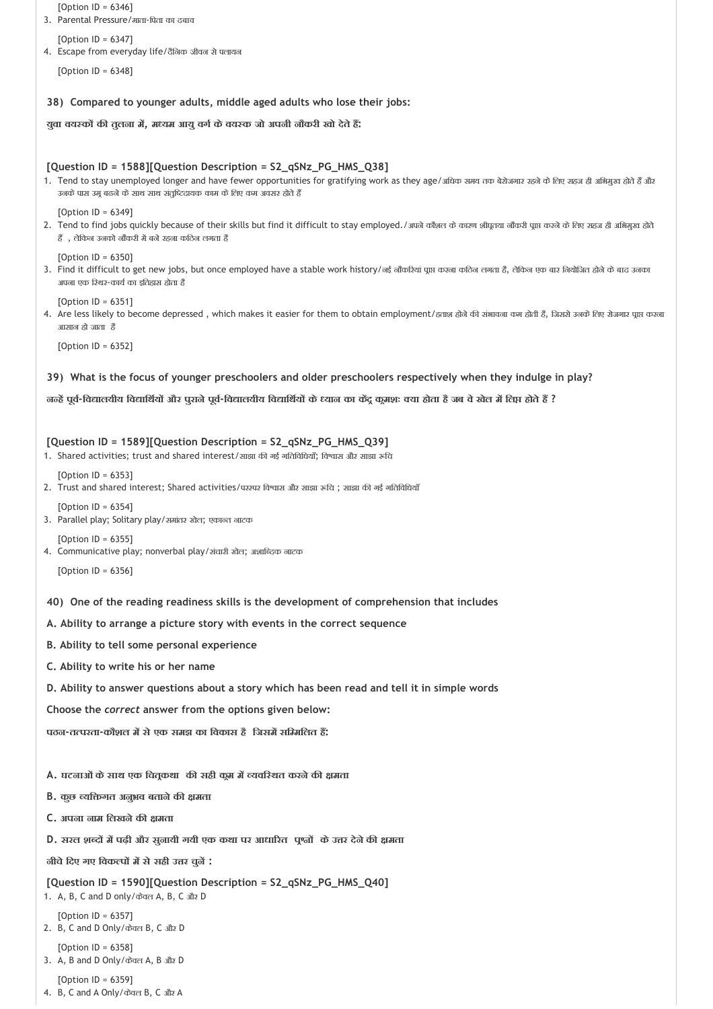| [Option ID = $6346$ ]<br>3. Parental Pressure/माता-पिता का दबाव                                                                                                                                                                                                                                       |  |
|-------------------------------------------------------------------------------------------------------------------------------------------------------------------------------------------------------------------------------------------------------------------------------------------------------|--|
| [Option ID = $6347$ ]                                                                                                                                                                                                                                                                                 |  |
| 4. Escape from everyday life/दैनिक जीवन से पलायन                                                                                                                                                                                                                                                      |  |
| [Option ID = $6348$ ]                                                                                                                                                                                                                                                                                 |  |
| 38) Compared to younger adults, middle aged adults who lose their jobs:                                                                                                                                                                                                                               |  |
| युवा वयस्कों की तुलना में, मध्यम आयु वर्ग के वयस्क जो अपनी नौकरी खो देते हैं:                                                                                                                                                                                                                         |  |
|                                                                                                                                                                                                                                                                                                       |  |
| [Question ID = 1588][Question Description = S2_qSNz_PG_HMS_Q38]<br>1. Tend to stay unemployed longer and have fewer opportunities for gratifying work as they age/अधिक समय तक बेरोजगार रहने के लिए सहज ही अभिमुख होते हैं और<br>उनके पास उमू बढने के साथ साथ संतुष्टिदायक काम के लिए कम अवसर होते हैं |  |
| [Option ID = $6349$ ]<br>2. Tend to find jobs quickly because of their skills but find it difficult to stay employed./अपने कौशल के कारण शीयूतया नौकरी प्राप्त करने के लिए सहज ही अभिमुख होते<br>हैं, लेकिन उनको नौकरी में बने रहना कठिन लगता है                                                       |  |
| [Option ID = $6350$ ]<br>3. Find it difficult to get new jobs, but once employed have a stable work history/नई नौकरियां पूप्त करना कठिन लगता है, लेकिन एक बार नियोजित होने के बाद उनका<br>अपना एक रिथर-कार्य का इतिहास होता है                                                                        |  |
| [Option ID = $6351$ ]<br>4. Are less likely to become depressed, which makes it easier for them to obtain employment/ਫਰਾ ਡੀ ਕੀ ਤੱਬ ਕਰ ਕੋਈ ਹੈ, जिससे उनके लिए रोजगर पूप्त करना<br>आसान हो जाता है                                                                                                      |  |
| [Option $ID = 6352$ ]                                                                                                                                                                                                                                                                                 |  |
| 39) What is the focus of younger preschoolers and older preschoolers respectively when they indulge in play?                                                                                                                                                                                          |  |
| , जन्हें पूर्व-विद्यालयीय विद्यार्थियों और पुराने पूर्व-विद्यालयीय विद्यार्थियों के ध्यान का केंद्र कूमशः क्या होता है जब वे खेल में लिप्त होते हैं                                                                                                                                                   |  |
|                                                                                                                                                                                                                                                                                                       |  |
| [Question ID = 1589][Question Description = S2_qSNz_PG_HMS_Q39]<br>1. Shared activities; trust and shared interest/साझा की नई नतिविधियाँ; विश्वास और साझा रूचि                                                                                                                                        |  |
| [Option $ID = 6353$ ]<br>2. Trust and shared interest; Shared activities/परस्पर विश्वास और साझा रूचि; साझा की गई गतिविधियाँ                                                                                                                                                                           |  |
| [Option ID = $6354$ ]<br>3. Parallel play; Solitary play/अमांतर खेल; एकान्त नाटक                                                                                                                                                                                                                      |  |
| [Option $ID = 6355$ ]<br>4. Communicative play; nonverbal play/संचारी खेल; अशाब्दिक नाटक                                                                                                                                                                                                              |  |
| [Option $ID = 6356$ ]                                                                                                                                                                                                                                                                                 |  |
| 40) One of the reading readiness skills is the development of comprehension that includes                                                                                                                                                                                                             |  |
| A. Ability to arrange a picture story with events in the correct sequence                                                                                                                                                                                                                             |  |
| B. Ability to tell some personal experience                                                                                                                                                                                                                                                           |  |
| C. Ability to write his or her name                                                                                                                                                                                                                                                                   |  |
| D. Ability to answer questions about a story which has been read and tell it in simple words                                                                                                                                                                                                          |  |
| Choose the correct answer from the options given below:                                                                                                                                                                                                                                               |  |
| पठन-तत्परता-कौशल में से एक समझ का विकास है जिसमें सम्मिलित हैं:                                                                                                                                                                                                                                       |  |
|                                                                                                                                                                                                                                                                                                       |  |
| A. घटनाओं के साथ एक चितूकथा की सही कूम में व्यवस्थित करने की क्षमता                                                                                                                                                                                                                                   |  |
| B. कुछ व्यक्तिगत अनुभव बताने की क्षमता                                                                                                                                                                                                                                                                |  |
| C. अपना नाम लिखने की क्षमता                                                                                                                                                                                                                                                                           |  |
| D. सरल शब्दों में पढ़ी और सुलायी गयी एक कथा पर आधारित पृश्जों के उत्तर देले की क्षमता                                                                                                                                                                                                                 |  |
| <u>जीचे दिए गए विकल्पों में से सही उत्तर चुलें :</u>                                                                                                                                                                                                                                                  |  |
| [Question ID = 1590][Question Description = S2_qSNz_PG_HMS_Q40]<br>1. A, B, C and D only/क्वल A, B, C और D                                                                                                                                                                                            |  |
| [Option ID = $6357$ ]<br>2. B, C and D Only/केवल B, C और D                                                                                                                                                                                                                                            |  |
| [Option ID = $6358$ ]<br>3. A, B and D Only/केवल A, B और D                                                                                                                                                                                                                                            |  |
| [Option ID = $6359$ ]                                                                                                                                                                                                                                                                                 |  |

4. B, C and A Only/केवल B, C और A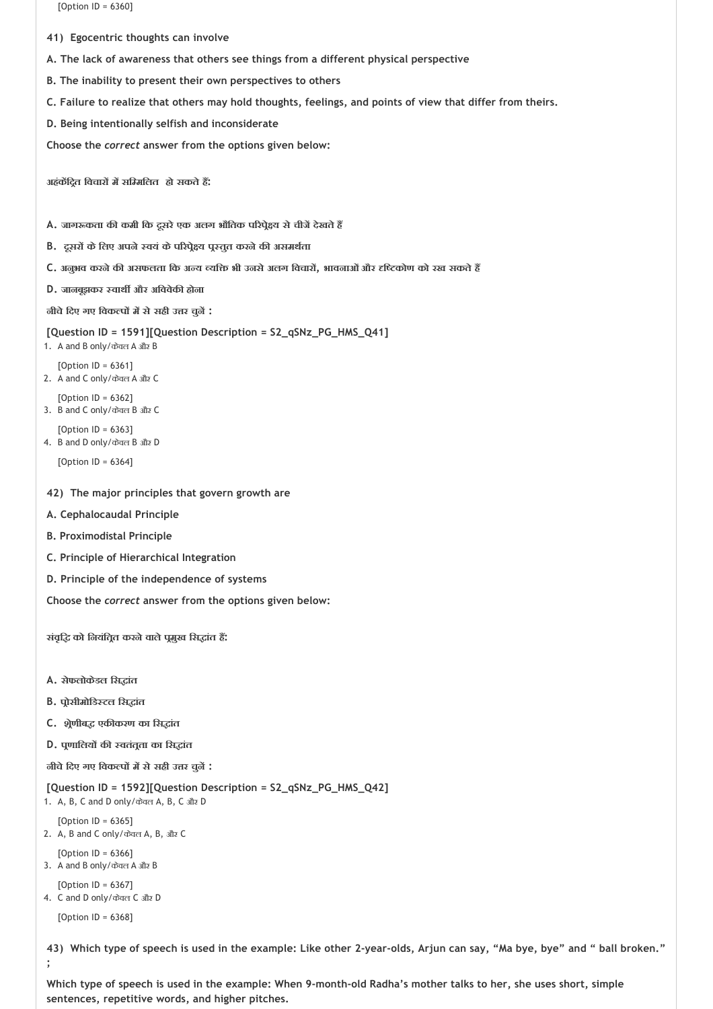[Option ID = 6360]

- **41) Egocentric thoughts can involve**
- **A. The lack of awareness that others see things from a different physical perspective**
- **B. The inability to present their own perspectives to others**
- **C. Failure to realize that others may hold thoughts, feelings, and points of view that differ from theirs.**
- **D. Being intentionally selfish and inconsiderate**

**Choose the** *correct* **answer from the options given below:**

**अहंक िद त िवचार म सि मिलत हो सकतेह :**

- **A. जाग कता क कमी िक दूसरेएक अलग भौितक प रप े य सेचीज देखतेह**
- **B. दूसर केिलए अपने वयं केप रप े य प तुत करनेक असमथ ता**
- **C. अनुभव करनेक असफलता िक अ य यि भी उनसेअलग िवचार , भावनाओंऔर ि कोण को रख सकतेह**
- **D.** जानबूझकर स्वार्थी और अविवेकी होना

**नीचेिदए गए िवक प म सेसही उ र चुन :**

```
[Question ID = 1591][Question Description = S2_qSNz_PG_HMS_Q41]
```
- 1. A and B only/केवल A और B
- [Option ID = 6361] 2. A and C only/केवल A और C
- $[Option ID = 6362]$ 3. B and C only/केवल B और C
- [Option ID = 6363] 4. B and D only/केवल B और D
	- [Option ID = 6364]
- **42) The major principles that govern growth are**
- **A. Cephalocaudal Principle**
- **B. Proximodistal Principle**
- **C. Principle of Hierarchical Integration**
- **D. Principle of the independence of systems**

**Choose the** *correct* **answer from the options given below:**

**संवृि को िनयंित त करनेवालेप मुख िस ांत ह :** 

- **A. सेफलोकेडल िस ांत**
- **B. प ोसीमोिड टल िस ांत**
- **C. श ेणीब एक करण का िस ांत**
- **D. प णािलय क वतंत ता का िस ांत**

**नीचेिदए गए िवक प म सेसही उ र चुन :**

**[Question ID = 1592][Question Description = S2\_qSNz\_PG\_HMS\_Q42]** 1. A, B, C and D only/केवल A, B, C और D

 $[Option ID = 6365]$ 2. A, B and C only/केवल A, B, और C

[Option ID = 6366]

3. A and B only/केवल A और B

```
[Option ID = 6367]4. C and D only/केवल C और D
```
[Option ID = 6368]

**43) Which type of speech is used in the example: Like other 2‐year‐olds, Arjun can say, "Ma bye, bye" and " ball broken." ;**

**Which type of speech is used in the example: When 9‐month‐old Radha's mother talks to her, she uses short, simple sentences, repetitive words, and higher pitches.**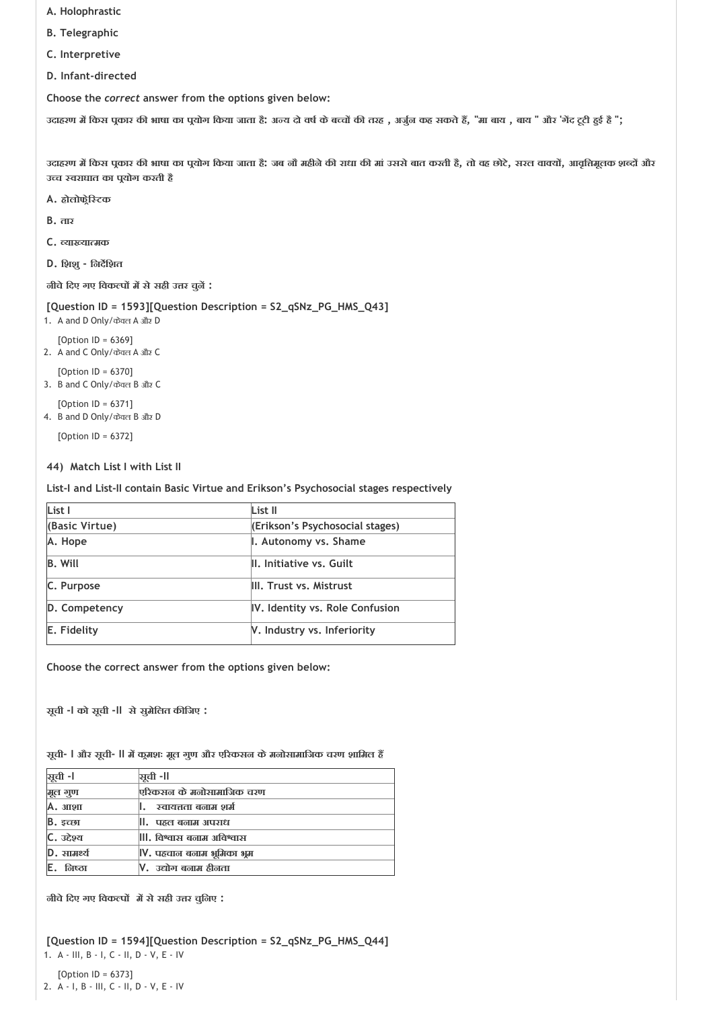- **A. Holophrastic**
- **B. Telegraphic**
- **C. Interpretive**
- **D. Infant‐directed**

उदाहरण में किस पूकार की भाषा का पूयोग किया जाता हैं: अन्य दो वर्ष के बच्चों की तरह , अर्जुन कह सकते हैं, "मा बाय , बाय " और 'गेंद टूटी हुई है ";

उदाहरण में किस प्रकार की भाषा का प्रयोग किया जाता है; जब नौ महीने की राधा की मां उससे बात करती है, तो वह छोटे, सरल वाक्यों, आवृत्तिमूलक शब्दों और **उ च वराघात का प योग करती है**

- **A. होलोफ ेि टक**
- **B. तार**
- **C. या या मक**
- **D. िशशु ‐ िनद िशत**

**नीचेिदए गए िवक प म सेसही उ र चुन :**

```
[Question ID = 1593][Question Description = S2_qSNz_PG_HMS_Q43]
```
1. A and D Only/केवल A और D [Option ID = 6369]

```
2. A and C Only/केवल A और C
```
[Option ID = 6370] 3. B and C Only/केवल B और C

```
[Option | D = 6371]4. B and D Only/केवल B और D
```
[Option ID = 6372]

## **44) Match List I with List II**

**List‐I and List‐II contain Basic Virtue and Erikson's Psychosocial stages respectively**

| List I         | List II                         |
|----------------|---------------------------------|
| (Basic Virtue) | (Erikson's Psychosocial stages) |
| A. Hope        | I. Autonomy vs. Shame           |
| <b>B.</b> Will | II. Initiative vs. Guilt        |
| C. Purpose     | III. Trust vs. Mistrust         |
| D. Competency  | IV. Identity vs. Role Confusion |
| E. Fidelity    | V. Industry vs. Inferiority     |

**Choose the correct answer from the options given below:**

**सूची ‐I को सूची ‐II सेसुमेिलत क िजए :**

**सूची‐ I और सूची‐ II म क मशः मूल गुण और ए रकसन केमनोसामािजक चरण शािमल ह** 

| सूची -l     | ञ्चची -ll                  |
|-------------|----------------------------|
| मूल गुण     | एरिकसल के मलोसामाजिक चरण   |
| А. зпоп     | स्वायत्तता बनाम शर्म       |
| $B.$ इच्छा  | ll.   पहल बनाम अपराध       |
| C. उद्देश्य | III. विश्वास बनाम अविश्वास |
| $D.$ सामर्थ | V. पहचान बनाम भूमिका भूम   |
| निष्ठा      | V.  उद्योग बनाम हीनता      |

**नीचेिदए गए िवक प म सेसही उ र चुिनए :**

```
[Question ID = 1594][Question Description = S2_qSNz_PG_HMS_Q44]
1. A ‐ III, B ‐ I, C ‐ II, D ‐ V, E ‐ IV
```
[Option ID = 6373] 2. A ‐ I, B ‐ III, C ‐ II, D ‐ V, E ‐ IV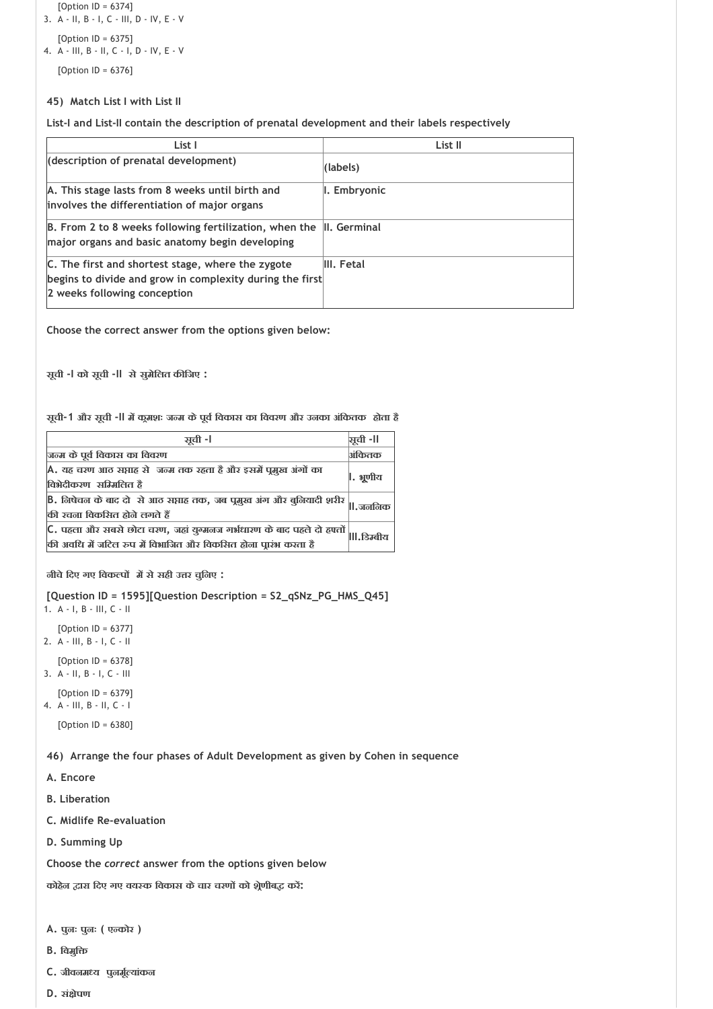```
[Option ID = 6374]
3. A ‐ II, B ‐ I, C ‐ III, D ‐ IV, E ‐ V
```

```
[Option ID = 6375]
4. A ‐ III, B ‐ II, C ‐ I, D ‐ IV, E ‐ V
```
[Option ID = 6376]

# **45) Match List I with List II**

**List‐I and List‐II contain the description of prenatal development and their labels respectively**

| List I                                                                                            | List II      |
|---------------------------------------------------------------------------------------------------|--------------|
| (description of prenatal development)                                                             | (labels)     |
| A. This stage lasts from 8 weeks until birth and                                                  | I. Embryonic |
| involves the differentiation of major organs                                                      |              |
| $\mathsf B$ . From 2 to 8 weeks following fertilization, when the $\mathsf I\mathsf I$ . Germinal |              |
| major organs and basic anatomy begin developing                                                   |              |
| C. The first and shortest stage, where the zygote                                                 | III. Fetal   |
| begins to divide and grow in complexity during the first                                          |              |
| 2 weeks following conception                                                                      |              |

**Choose the correct answer from the options given below:**

**सूची ‐I को सूची ‐II सेसुमेिलत क िजए :**

**सूची‐1 और सूची ‐II म क मशः ज म केपूव िवकास का िववरण और उनका अंिकतक होता है**

| ञ्जूची -।                                                                                                                                  | ञ्चुची -ll  |
|--------------------------------------------------------------------------------------------------------------------------------------------|-------------|
| जन्म के पूर्व विकास का विवरण                                                                                                               | अंकितक      |
| A. यह चरण आठ सप्ताह से  जन्म तक रहता है और इसमें पुमुख अंगों का<br>विभेदीकरण सम्मिलित है                                                   | ।. भूणीय    |
| B. लिषेचल के बाद दो  से आठ सप्ताह तक, जब पूमुख अंग और बुलियादी शरीर $\ $<br>की रचना विकसित होने लगते हैं                                   |             |
| C. पहला और सबसे छोटा चरण, जहां युग्मलज गर्भधारण के बाद पहले दो हफ्तों  <br>की अवधि में जटिल रुप में विभाजित और विकसित होना प्रारंभ करता है | lll.डिम्बीय |

**नीचेिदए गए िवक प म सेसही उ र चुिनए :**

**[Question ID = 1595][Question Description = S2\_qSNz\_PG\_HMS\_Q45]**

1. A ‐ I, B ‐ III, C ‐ II [Option ID = 6377] 2. A ‐ III, B ‐ I, C ‐ II

[Option ID = 6378]

- 3. A ‐ II, B ‐ I, C ‐ III
- [Option ID = 6379] 4. A ‐ III, B ‐ II, C ‐ I

[Option ID = 6380]

**46) Arrange the four phases of Adult Development as given by Cohen in sequence**

**A. Encore**

- **B. Liberation**
- **C. Midlife Re‐evaluation**
- **D. Summing Up**

**Choose the** *correct* **answer from the options given below**

**कोहेन ारा िदए गए वय क िवकास केचार चरण को श ेणीब कर :**

- **A. पुनः पुनः ( ए कोर )**
- **B. िवमुि**
- **C. जीवनम य पुनमू यांकन**
- **D. सं ेपण**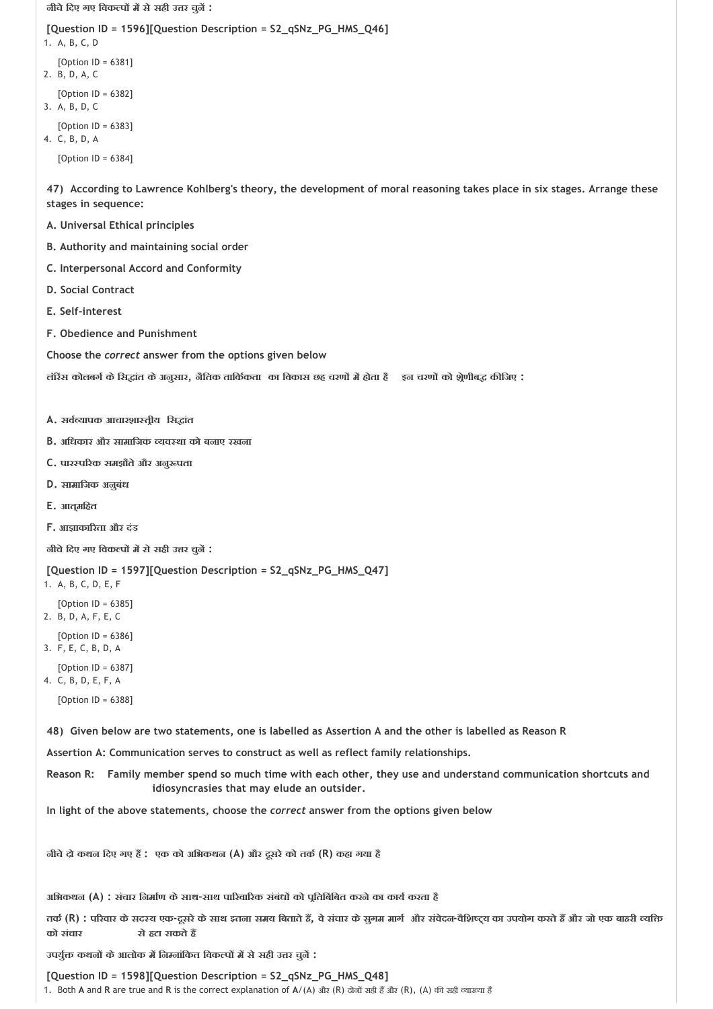**नीचेिदए गए िवक प म सेसही उ र चुन :**

```
[Question ID = 1596][Question Description = S2_qSNz_PG_HMS_Q46]
1. A, B, C, D
   [Option ID = 6381]
2. B, D, A, C
   [Option ID = 6382]
3. A, B, D, C
   [Option ID = 6383]
4. C, B, D, A
   [Option ID = 6384]
```
**47) According to Lawrence Kohlberg's theory, the development of moral reasoning takes place in six stages. Arrange these stages in sequence:**

- **A. Universal Ethical principles**
- **B. Authority and maintaining social order**
- **C. Interpersonal Accord and Conformity**
- **D. Social Contract**
- **E. Self‐interest**
- **F. Obedience and Punishment**
- **Choose the** *correct* **answer from the options given below**

**लॉर स कोलबग केिस ांत केअनुसार, नैितक तािक कता का िवकास छह चरण म होता है इन चरण को श ेणीब क िजए :**

- **A. सव यापक आचारशा त ीय िस ांत**
- **B. अिधकार और सामािजक यव था को बनाए रखना**
- **C. पार प रक समझौतेऔर अनु पता**
- **D. सामािजक अनुबंध**
- **E. आत्मिहत**
- **F. आ ाका रता और दंड**

**नीचेिदए गए िवक प म सेसही उ र चुन :**

#### **[Question ID = 1597][Question Description = S2\_qSNz\_PG\_HMS\_Q47]**

- 1. A, B, C, D, E, F
- [Option ID = 6385]
- 2. B, D, A, F, E, C
- [Option ID = 6386] 3. F, E, C, B, D, A
- 
- [Option ID = 6387] 4. C, B, D, E, F, A

```
[Option ID = 6388]
```
**48) Given below are two statements, one is labelled as Assertion A and the other is labelled as Reason R**

**Assertion A: Communication serves to construct as well as reflect family relationships.**

**Reason R: Family member spend so much time with each other, they use and understand communication shortcuts and idiosyncrasies that may elude an outsider.** 

**In light of the above statements, choose the** *correct* **answer from the options given below**

**नीचेदो कथन िदए गए ह : एक को अिभकथन (A) और दूसरेको तक (R) कहा गया है**

**अिभकथन (A) : संचार िनमा ण केसाथ‐साथ पा रवा रक संबंध को प ितिबंिबत करनेका काय करता है**

तर्क (R) : परिवार के सदस्य एक-दूसरे के साथ इतना समय बिताते हैं, वे संचार के सूगम मार्ग और संवेदन-वैशिष्ट्य का उपयोग करते हैं और जो एक बाहरी व्यक्ति **को संचार सेहटा सकतेह** 

**उपयु कथन केआलोक म िन नांिकत िवक प म सेसही उ र चुन :**

**[Question ID = 1598][Question Description = S2\_qSNz\_PG\_HMS\_Q48]** 1. Both A and R are true and R is the correct explanation of A/(A) और (R) दोनों सही हैं और (R), (A) की सही व्याख्या है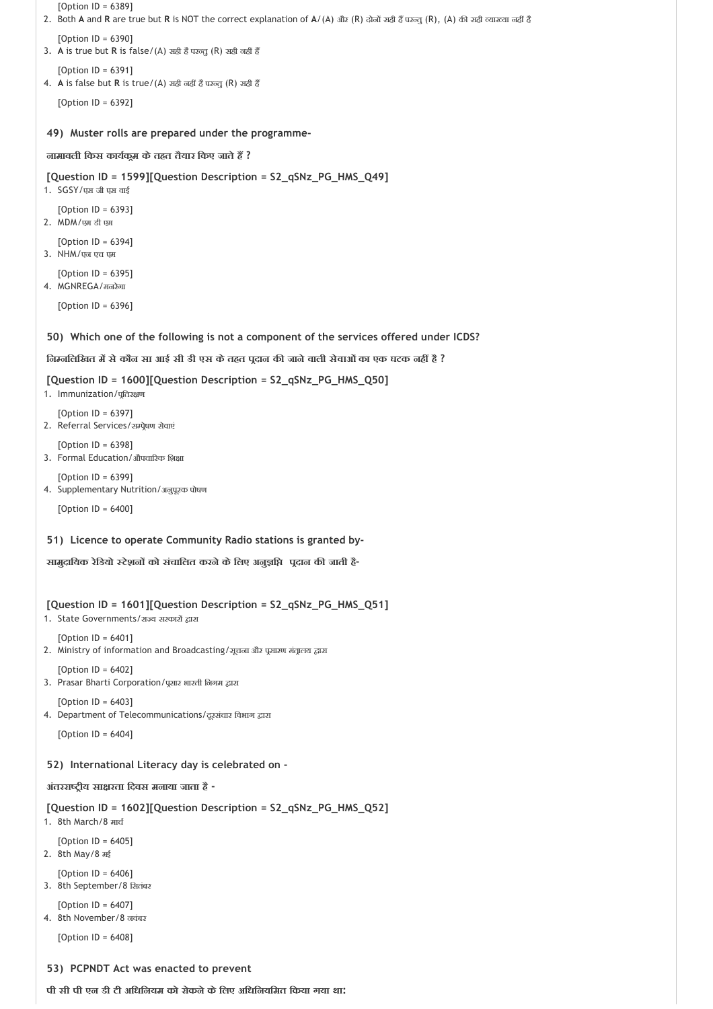```
49) 
Muster rolls are prepared under the programme‐
 50) 
Which one of the following is not a component of the services offered under ICDS?
 51) 
Licence to operate Community Radio stations is granted by‐
   [Option ID = 6389]
2. Both A and R are true but R is NOT the correct explanation of A/(A) और (R) दोनों सही हैं परन्तु (R), (A) की सही व्याख्या नहीं है
   [Option ID = 6390]3. A is true but R is false/(A) सही है परन्त (R) सही नहीं हैं
   [Option ID = 6391]
4. A is false but R is true/(A) सही नहीं है परन्तु (R) सही हैं
   [Option ID = 6392]
नामावली िकस काय क म केतहत तैयार िकए जातेह ?
[Question ID = 1599][Question Description = S2_qSNz_PG_HMS_Q49]
1. SGSY/एस जी एस वाई
   [Option ID = 6393]2. MDM/एम डी एम
   [Option ID = 6394]
3. NHM/एन एच एम
   [Option ID = 6395]
4. MGNREGA/मनरेगा
   [Option ID = 6396]
िन निलिखत म सेकौन सा आई सी डी एस केतहत प दान क जानेवाली सेवाओंका एक घटक नह है ?
[Question ID = 1600][Question Description = S2_qSNz_PG_HMS_Q50]
1. Immunization/पुतिरक्षण
   [Option ID = 6397]
2. Referral Services/सम्प्रेषण सेवाएं
   [Option ID = 6398]3. Formal Education/औपचारिक शिक्षा
   [Option ID = 6399]
4. Supplementary Nutrition/अनुपूरक पोषण
   [Option ID = 6400]
सामुदाियक रेिडयो टेशन को संचािलत करनेकेिलए अनु ि प दान क जाती है‐
[Question ID = 1601][Question Description = S2_qSNz_PG_HMS_Q51]
1. State Governments/राज्य सरकारों द्वारा
   [Option ID = 6401]
2. Ministry of information and Broadcasting/सूचना और प्रसारण मंत्रालय द्वारा
   [Option ID = 6402]
3. Prasar Bharti Corporation/पूसार भारती निगम द्वारा
   [Option ID = 6403]
4. Department of Telecommunications/दूरसंचार विभाग द्वारा
   [Option ID = 6404]
```
**52) International Literacy day is celebrated on ‐**

**अंतररा ीय सा रता िदवस मनाया जाता है ‐**

**[Question ID = 1602][Question Description = S2\_qSNz\_PG\_HMS\_Q52]**

1. 8th March/8 माच

[Option ID = 6405] 2. 8th May/8 मई

[Option  $ID = 6406$ ]

- 3. 8th September/8 िसतंबर
- [Option ID = 6407]
- 4. 8th November/8 नवंबर

[Option ID = 6408]

## **53) PCPNDT Act was enacted to prevent**

**पी सी पी एन डी टी अिधिनयम को रोकनेकेिलए अिधिनयिमत िकया गया था:**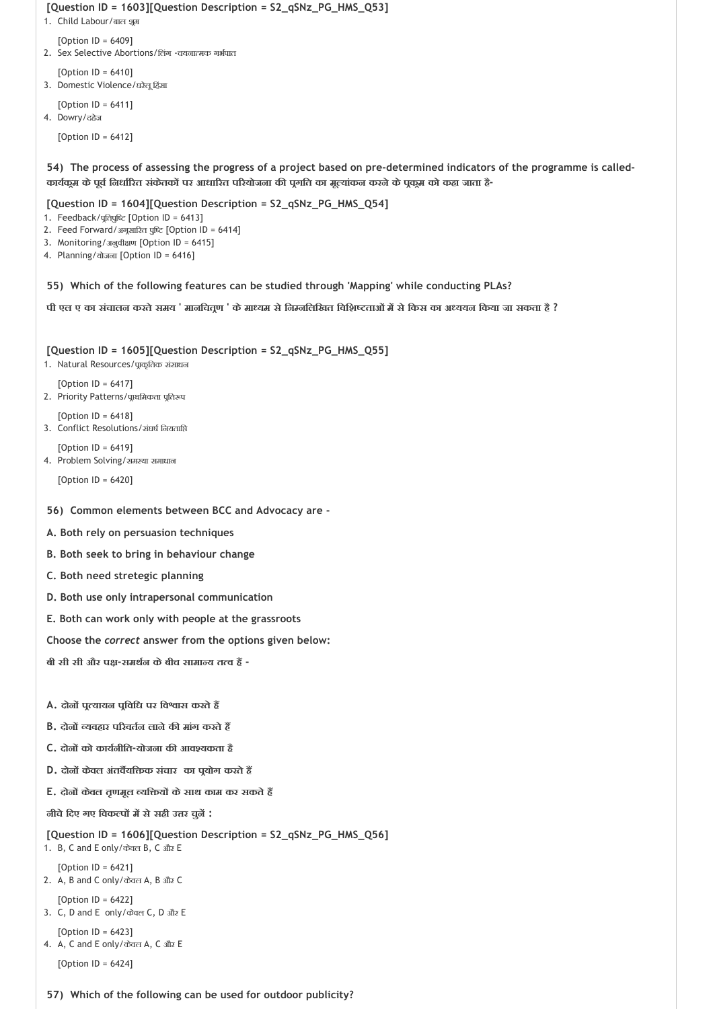```
[Question ID = 1603][Question Description = S2_qSNz_PG_HMS_Q53]
```
- 1. Child Labour/बाल शूम
	- [Option ID = 6409]
- 2. Sex Selective Abortions/तिंग चयनात्मक गर्भपात
- $[Option ID = 6410]$
- 3. Domestic Violence/घरेलू हिंसा
- [Option ID = 6411] 4. Dowry/दहेज

[Option ID = 6412]

**54) The process of assessing the progress of a project based on pre‐determined indicators of the programme is called‐ काय क म केपूव िनधा रत संकेतक पर आधा रत प रयोजना क प गित का मू यांकन करनेकेप क म को कहा जाता है‐**

## **[Question ID = 1604][Question Description = S2\_qSNz\_PG\_HMS\_Q54]**

- 1. Feedback/पूतिपुष्टि [Option ID = 6413]
- 2. Feed Forward/अगूसारित पुष्टि [Option ID = 6414]
- 3. Monitoring/अनुवीक्षण [Option ID = 6415]
- 4. Planning/योजना [Option ID = 6416]

#### **55) Which of the following features can be studied through 'Mapping' while conducting PLAs?**

पी एल ए का संचालन करते समय ' मानचितूण ' के माध्यम से निम्नलिखित विशिष्टताओं में से किस का अध्ययन किया जा सकता है ?

## **[Question ID = 1605][Question Description = S2\_qSNz\_PG\_HMS\_Q55]**

- 1. Natural Resources/प्राकृतिक संसाधन
- $[Option ID = 6417]$ 2. Priority Patterns/प्राथमिकता प्रतिरूप
- [Option ID = 6418] 3. Conflict Resolutions/संघष िनयताि
- [Option ID = 6419] 4. Problem Solving/समस्या समाधान
	- [Option ID = 6420]

## **56) Common elements between BCC and Advocacy are ‐**

- **A. Both rely on persuasion techniques**
- **B. Both seek to bring in behaviour change**
- **C. Both need stretegic planning**
- **D. Both use only intrapersonal communication**
- **E. Both can work only with people at the grassroots**

**Choose the** *correct* **answer from the options given below:**

- **बी सी सी और प ‐समथ न केबीच सामा य त व ह ‐**
- **A. दोन प यायन प िविध पर िव ास करतेह**
- **B. दोन यवहार प रवत न लानेक मांग करतेह**
- **C. दोन को काय नीित‐योजना क आव यकता है**
- **D. दोन केवल अंतव यि क संचार का प योग करतेह**
- **E. दोन केवल तृणमूल यि य केसाथ काम कर सकतेह**

**नीचेिदए गए िवक प म सेसही उ र चुन :**

```
[Question ID = 1606][Question Description = S2_qSNz_PG_HMS_Q56]
```

```
1. B, C and E only/केवल B, C और E
   [Option ID = 6421]
```

```
2. A, B and C only/केवल A, B और C
```
- [Option ID = 6422]
- 3. C, D and E only/केवल C, D और E
- [Option ID = 6423] 4. A, C and E only/केवल A, C और E
	- [Option ID = 6424]

# **57) Which of the following can be used for outdoor publicity?**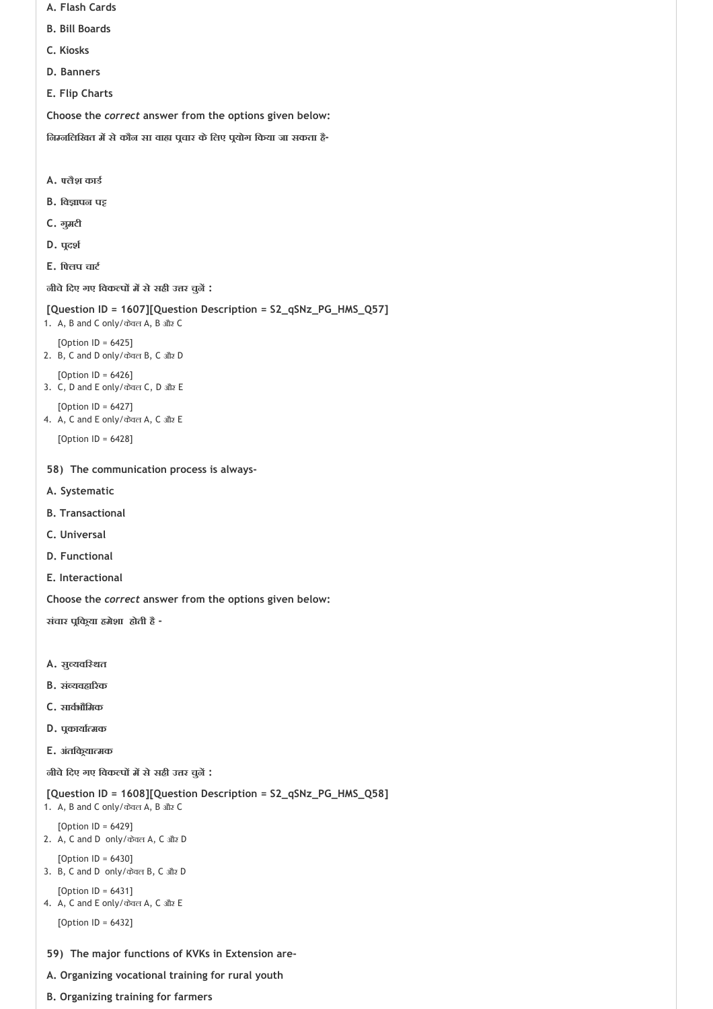- **A. Flash Cards**
- **B. Bill Boards**
- **C. Kiosks**
- **D. Banners**
- **E. Flip Charts**

**िन निलिखत म सेकौन सा वा प चार केिलए प योग िकया जा सकता है‐**

- **A. लैश काड**
- **B. िव ापन प**
- **C. गुमटी**
- **D. प दश**
- **E. ि लप चाट**

**नीचेिदए गए िवक प म सेसही उ र चुन :**

```
[Question ID = 1607][Question Description = S2_qSNz_PG_HMS_Q57]
1. A, B and C only/केवल A, B और C
```
- [Option  $ID = 6425$ ] 2. B, C and D only/केवल B, C और D
- [Option ID = 6426]
- 3. C, D and E only/केवल C, D और E
- [Option ID = 6427] 4. A, C and E only/केवल A, C और E

[Option ID = 6428]

- **58) The communication process is always‐**
- **A. Systematic**
- **B. Transactional**
- **C. Universal**
- **D. Functional**
- **E. Interactional**

**Choose the** *correct* **answer from the options given below:**

**संचार प िक या हमेशा होती है ‐**

- **A. सु यवि थत**
- **B. सं यवहा रक**
- **C. साव भौिमक**
- **D. प काया मक**
- **E. अंतिक या मक**

**नीचेिदए गए िवक प म सेसही उ र चुन :**

**[Question ID = 1608][Question Description = S2\_qSNz\_PG\_HMS\_Q58]**

1. A, B and C only/केवल A, B और C

```
[Option ID = 6429]
2. A, C and D only/केवल A, C और D
```
[Option ID = 6430] 3. B, C and D only/केवल B, C और D

```
[Option ID = 6431]
4. A, C and E only/केवल A, C और E
```
[Option ID = 6432]

## **59) The major functions of KVKs in Extension are‐**

- **A. Organizing vocational training for rural youth**
- **B. Organizing training for farmers**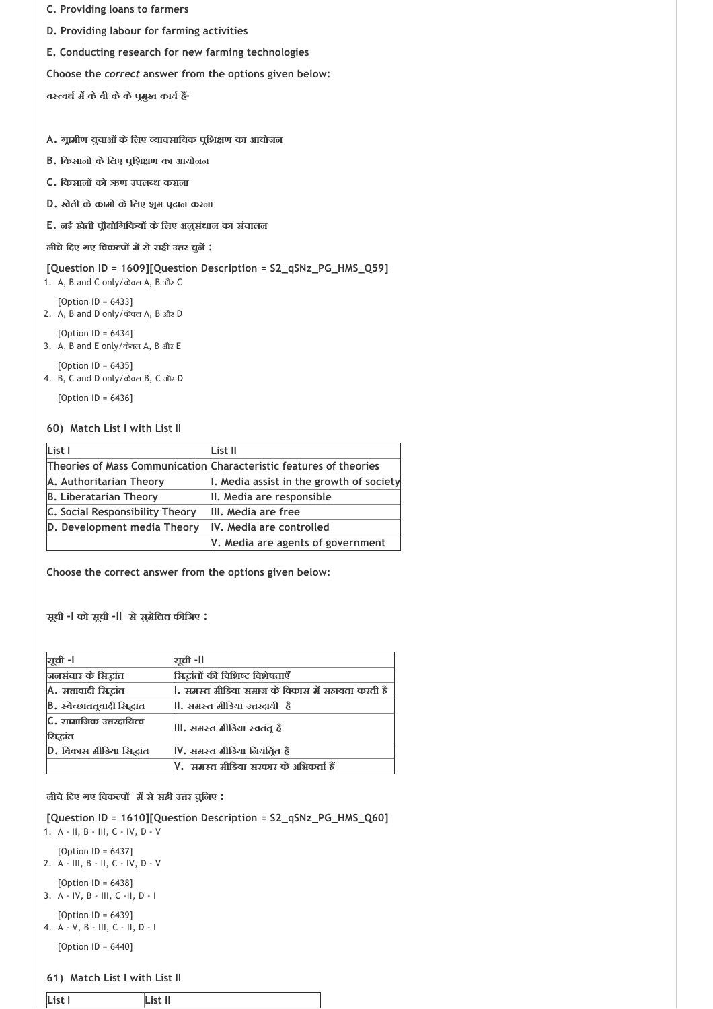- **C. Providing loans to farmers**
- **D. Providing labour for farming activities**
- **E. Conducting research for new farming technologies**

**व वथ म केवी केकेप मुख काय ह ‐**

- **A. ग ामीण युवाओंकेिलए यावसाियक प िश ण का आयोजन**
- **B. िकसान केिलए प िश ण का आयोजन**
- **C. िकसान को ऋण उपल ध कराना**
- **D. खेती केकाम केिलए श म प दान करना**
- **E. नई खेती प ौ ोिगिकय केिलए अनुसंधान का संचालन**

**नीचेिदए गए िवक प म सेसही उ र चुन :**

## **[Question ID = 1609][Question Description = S2\_qSNz\_PG\_HMS\_Q59]**

- 1. A, B and C only/केवल A, B और C
- [Option ID = 6433] 2. A, B and D only/केवल A, B और D
- [Option ID = 6434]
- 3. A, B and E only/केवल A, B और E
- [Option ID = 6435] 4. B, C and D only/केवल B, C और D

[Option ID = 6436]

#### **60) Match List I with List II**

| List I                          | List II                                                            |
|---------------------------------|--------------------------------------------------------------------|
|                                 | Theories of Mass Communication Characteristic features of theories |
| A. Authoritarian Theory         | I. Media assist in the growth of society                           |
| <b>B. Liberatarian Theory</b>   | II. Media are responsible                                          |
| C. Social Responsibility Theory | III. Media are free                                                |
| D. Development media Theory     | IV. Media are controlled                                           |
|                                 | V. Media are agents of government                                  |

**Choose the correct answer from the options given below:**

**सूची ‐I को सूची ‐II सेसुमेिलत क िजए :**

| <b>भूची -।</b>                      | ञ्चूची -II                                      |  |
|-------------------------------------|-------------------------------------------------|--|
| जनसंचार के सिद्धांत                 | सिद्धांतों की विशिष्ट विशेषताएँ                 |  |
| A. सत्तावादी सिद्धांत               | , समस्त मीडिया समाज के विकास में सहायता करती है |  |
| B. स्वेच्छातंतूवादी सिद्धांत        | , समस्त मीडिया उत्तरदायी  हैं                   |  |
| C. सामाजिक उत्तरदायित्व<br>सिद्धांत | , समस्त मीडिया स्वतंतू हैं                      |  |
| D. विकास मीडिया सिद्धांत            | V. समस्त मीडिया नियंतित है                      |  |
|                                     | V. समस्त मीडिया सरकार के अभिकर्ता हैं           |  |

#### **नीचेिदए गए िवक प म सेसही उ र चुिनए :**

**[Question ID = 1610][Question Description = S2\_qSNz\_PG\_HMS\_Q60]**

- 1. A ‐ II, B ‐ III, C ‐ IV, D ‐ V
	- [Option ID = 6437]
- 2. A ‐ III, B ‐ II, C ‐ IV, D ‐ V
- [Option ID = 6438] 3. A ‐ IV, B ‐ III, C ‐II, D ‐ I
- [Option ID = 6439] 4. A ‐ V, B ‐ III, C ‐ II, D ‐ I

[Option ID = 6440]

#### **61) Match List I with List II**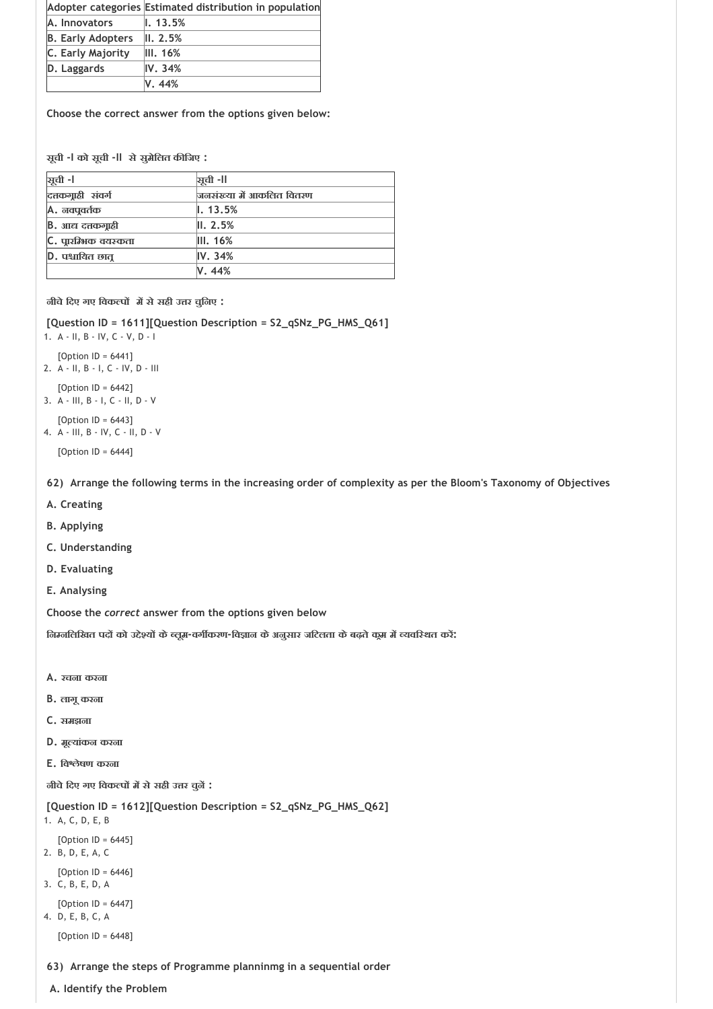|                          | Adopter categories Estimated distribution in population |
|--------------------------|---------------------------------------------------------|
| A. Innovators            | $\mathsf{I}$ . 13.5%                                    |
| <b>B. Early Adopters</b> | II. 2.5%                                                |
| C. Early Majority        | III.16%                                                 |
| D. Laggards              | IV.34%                                                  |
|                          | V. 44%                                                  |

**सूची ‐I को सूची ‐II सेसुमेिलत क िजए :**

| यूची -l                  | ञ्चूची -II               |
|--------------------------|--------------------------|
| दत्तकग्राही संवर्ग       | जनसंख्या में आकलित वितरण |
| <b>A.</b> नवपूवर्तक      | $\ . 13.5\%$             |
| <b>B.</b> आद्य दत्तकगाही | II. 2.5%                 |
| C. पारम्भिक वयस्कता      | III. 16%                 |
| D. पश्चायित छात्         | IV.34%                   |
|                          | V. 44%                   |

**नीचेिदए गए िवक प म सेसही उ र चुिनए :**

**[Question ID = 1611][Question Description = S2\_qSNz\_PG\_HMS\_Q61]**

1. A ‐ II, B ‐ IV, C ‐ V, D ‐ I

- [Option ID = 6441] 2. A ‐ II, B ‐ I, C ‐ IV, D ‐ III
- [Option ID = 6442] 3. A ‐ III, B ‐ I, C ‐ II, D ‐ V
- [Option ID = 6443]
- 4. A ‐ III, B ‐ IV, C ‐ II, D ‐ V

[Option ID = 6444]

**62) Arrange the following terms in the increasing order of complexity as per the Bloom's Taxonomy of Objectives**

- **A. Creating**
- **B. Applying**
- **C. Understanding**
- **D. Evaluating**
- **E. Analysing**

**Choose the** *correct* **answer from the options given below**

**िन निलिखत पद को उ े य के लूम‐वग करण‐िव ान केअनुसार जिटलता केबढ़तेक म म यवि थत कर :**

- **A. रचना करना**
- **B. लागूकरना**
- **C. समझना**
- **D. मू यांकन करना**
- **E. िव ेषण करना**

**नीचेिदए गए िवक प म सेसही उ र चुन :**

**[Question ID = 1612][Question Description = S2\_qSNz\_PG\_HMS\_Q62]**

- 1. A, C, D, E, B
- [Option ID = 6445]
- 2. B, D, E, A, C [Option ID = 6446]
- 3. C, B, E, D, A
- [Option ID = 6447]
- 4. D, E, B, C, A

[Option ID = 6448]

- **63) Arrange the steps of Programme planninmg in a sequential order**
- **A. Identify the Problem**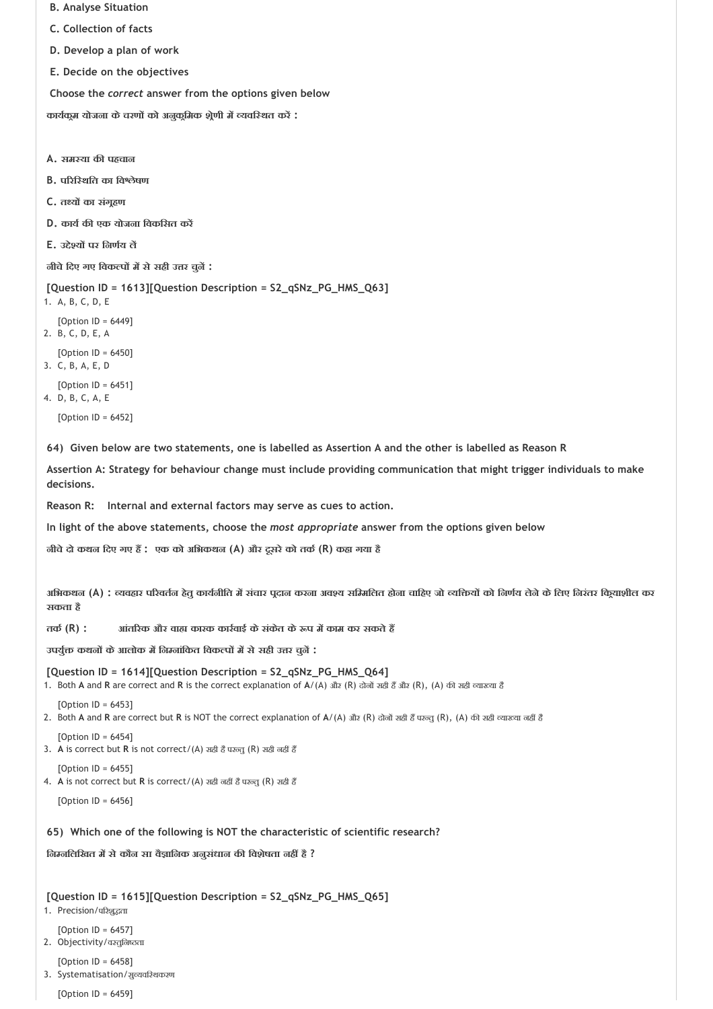```
 B. Analyse Situation
 C. Collection of facts
```
- **D. Develop a plan of work**
- **E. Decide on the objectives**

**काय क म योजना केचरण को अनुक िमक श ेणी म यवि थत कर :**

**A. सम या क पहचान**

- **B. प रि थित का िव ेषण**
- **C. त य का संग हण**
- **D. काय क एक योजना िवकिसत कर**
- **E. उ े य पर िनण य ल**

**नीचेिदए गए िवक प म सेसही उ र चुन :**

**[Question ID = 1613][Question Description = S2\_qSNz\_PG\_HMS\_Q63]**

```
1. A, B, C, D, E
   [Option ID = 6449]
2. B, C, D, E, A
   [Option ID = 6450]
```
3. C, B, A, E, D

```
[Option ID = 6451]4. D, B, C, A, E
```

```
[Option ID = 6452]
```
**64) Given below are two statements, one is labelled as Assertion A and the other is labelled as Reason R** 

**Assertion A: Strategy for behaviour change must include providing communication that might trigger individuals to make decisions.** 

**Reason R: Internal and external factors may serve as cues to action.**

**In light of the above statements, choose the** *most appropriate* **answer from the options given below** 

**नीचेदो कथन िदए गए ह : एक को अिभकथन (A) और दूसरेको तक (R) कहा गया है**

अभिकथन (A) : व्यवहार परिवर्तन हेतू कार्यनीति में संचार पुदान करना अवश्य समिनलित होना चाहिए जो व्यक्तियों को निर्णय लेने के लिए निरंतर कियाशील कर **सकता है**

**तक (R) : आंत रक और वा कारक कार वाई केसंकेत के प म काम कर सकतेह** 

**उपयु कथन केआलोक म िन नांिकत िवक प म सेसही उ र चुन :**

**[Question ID = 1614][Question Description = S2\_qSNz\_PG\_HMS\_Q64]**

1. Both A and R are correct and R is the correct explanation of A/(A) और (R) दोनों सही हैं और (R), (A) की सही व्याख्या है

 $[Option ID = 6453]$ 

2. Both A and R are correct but R is NOT the correct explanation of A/(A) और (R) दोनों सही हैं परन्तु (R), (A) की सही व्याख्या नहीं हैं

 $[Option II = 6454]$ 3. A is correct but R is not correct/(A) सही हैं परन्तु (R) सही नहीं हैं

 $[Option ID = 6455]$ 4. A is not correct but R is correct/(A) सही नहीं है परन्तु (R) सही हैं

[Option ID = 6456]

## **65) Which one of the following is NOT the characteristic of scientific research?**

**िन निलिखत म सेकौन सा वै ािनक अनुसंधान क िवशेषता नह है ?**

## **[Question ID = 1615][Question Description = S2\_qSNz\_PG\_HMS\_Q65]**

- 1. Precision/परिशूद्धता
	- [Option ID = 6457]
- 2. Objectivity/वस्तलिष्ठता

[Option ID = 6458]

3. Systematisation/सुव्यवस्थिकरण

[Option ID = 6459]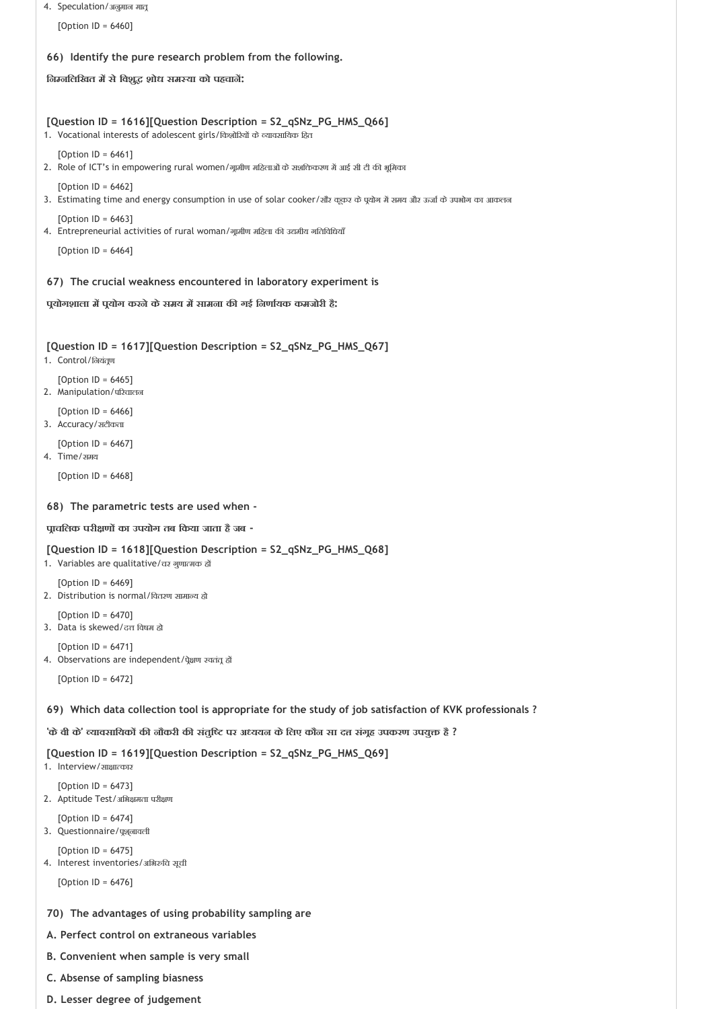```
4. Speculation/अनुमान मात
```
[Option ID = 6460]

## **66) Identify the pure research problem from the following.**

**िन निलिखत म सेिवशु शोध सम या को पहचान :**

#### **[Question ID = 1616][Question Description = S2\_qSNz\_PG\_HMS\_Q66]**

1. Vocational interests of adolescent girls/किशोरियों के व्यावसायिक हित

[Option ID = 6461]

- 2. Role of ICT's in empowering rural women/गूमीण महिलाओं के सशक्तिकरण में आई सी टी की भूमिका
- [Option ID = 6462]
- 3. Estimating time and energy consumption in use of solar cooker/सौंर कूकर के पूयोग में समय और ऊर्जा के उपभोग का आकलन
- [Option ID = 6463] 4. Entrepreneurial activities of rural woman/गूमीण महिला की उद्यमीय गतिविधियाँ

[Option ID = 6464]

#### **67) The crucial weakness encountered in laboratory experiment is**

#### **प योगशाला म प योग करनेकेसमय म सामना क गई िनणा यक कमजोरी है:**

#### **[Question ID = 1617][Question Description = S2\_qSNz\_PG\_HMS\_Q67]**

- 1. Control/लियंतूण
- [Option ID = 6465]
- 2. Manipulation/परिचालन
- [Option  $ID = 6466$ ]
- 3. Accuracy/सटीकता
- $[Option ID = 6467]$ 4. Time/समय

[Option ID = 6468]

#### **68) The parametric tests are used when ‐**

#### **प ाचिलक परी ण का उपयोग तब िकया जाता हैजब ‐**

## **[Question ID = 1618][Question Description = S2\_qSNz\_PG\_HMS\_Q68]**

- 1. Variables are qualitative/चर गुणात्मक हों
- [Option ID = 6469] 2. Distribution is normal/वितरण सामान्य हो
- [Option ID = 6470]

3. Data is skewed/दत्त विषम हो

[Option ID = 6471] 4. Observations are independent/पेक्षण स्वतंत् हो

[Option ID = 6472]

## **69) Which data collection tool is appropriate for the study of job satisfaction of KVK professionals ?**

**'केवी के' यावसाियक क नौकरी क संतुि पर अ ययन केिलए कौन सा द संग ह उपकरण उपयु है ?**

## **[Question ID = 1619][Question Description = S2\_qSNz\_PG\_HMS\_Q69]**

```
1. Interview/ साक्षात्कार
```
[Option ID = 6473] 2. Aptitude Test/अभिक्षमता परीक्षण

- $[Option II = 6474]$
- 3. Questionnaire/पूश्*वावली*

[Option ID = 6475]

4. Interest inventories/अभिरुचि सूची

[Option ID = 6476]

## **70) The advantages of using probability sampling are**

- **A. Perfect control on extraneous variables**
- **B. Convenient when sample is very small**
- **C. Absense of sampling biasness**
- **D. Lesser degree of judgement**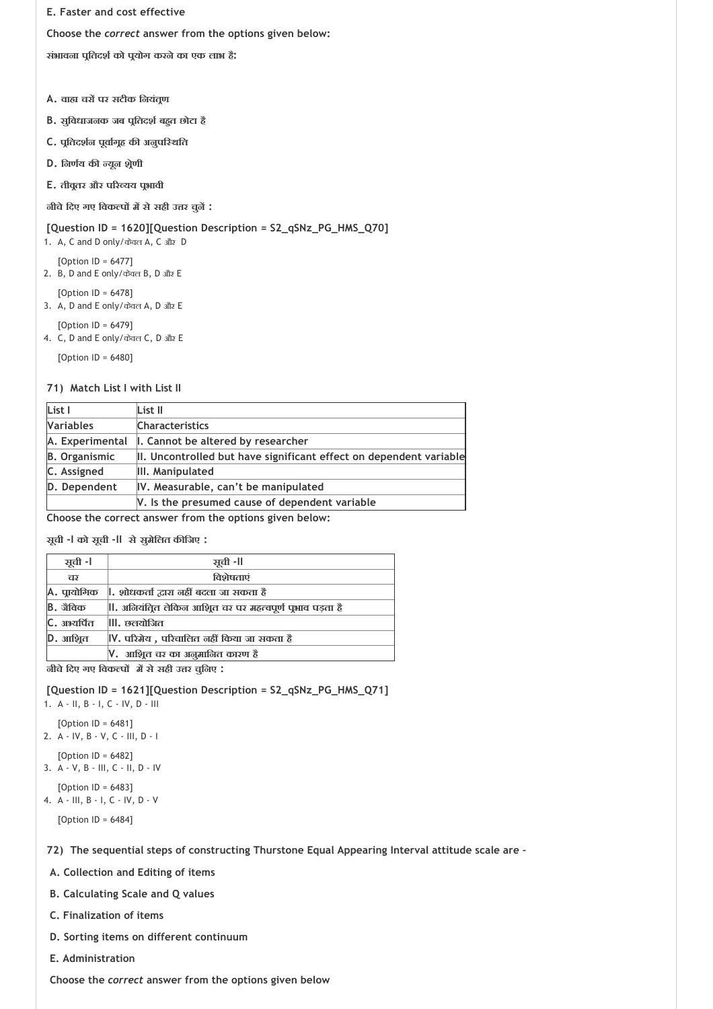**E. Faster and cost effective**

**Choose the** *correct* **answer from the options given below:**

**संभावना प ितदश को प योग करनेका एक लाभ है:**

- **A. वा चर पर सटीक िनयंत ण**
- **B. सुिवधाजनक जब प ितदश बह त छोटा है**
- **C. प ितदश न पूवा ग ह क अनुपि थित**
- **D. िनण य क यून श ेणी**
- **E. तीव तर और प र यय प भावी**

**नीचेिदए गए िवक प म सेसही उ र चुन :**

# **[Question ID = 1620][Question Description = S2\_qSNz\_PG\_HMS\_Q70]**

1. A, C and D only/केवल A, C और D

[Option ID = 6477]

- 2. B, D and E only/केवल B, D और E
- [Option ID = 6478]
- 3. A, D and E only/केवल A, D और E
- [Option ID = 6479] 4. C, D and E only/केवल C, D और E

[Option ID = 6480]

# **71) Match List I with List II**

| List I               | List II                                                            |  |
|----------------------|--------------------------------------------------------------------|--|
| <b>Variables</b>     | <b>Characteristics</b>                                             |  |
| A. Experimental      | I. Cannot be altered by researcher                                 |  |
| <b>B.</b> Organismic | II. Uncontrolled but have significant effect on dependent variable |  |
| C. Assigned          | III. Manipulated                                                   |  |
| D. Dependent         | IV. Measurable, can't be manipulated                               |  |
|                      | V. Is the presumed cause of dependent variable                     |  |

**Choose the correct answer from the options given below:**

**सूची ‐I को सूची ‐II सेसुमेिलत क िजए :**

| ञूची -l                                             | ञ्चूची -ll                                               |  |
|-----------------------------------------------------|----------------------------------------------------------|--|
| चर                                                  | विशेषताएं                                                |  |
| <b>A.</b> प्रायोगिक                                 | , शोधकर्ता द्वारा नहीं बदला जा सकता है                   |  |
| <b>B.</b> जैविक                                     | , अनियंत्रित लेकिन आशिूत चर पर महत्वपूर्ण पूभाव पड़ता है |  |
| C. अभ्यर्पित                                        | <b>III. छलयोजित</b>                                      |  |
| D. आश्रित                                           | V, परिमेय , परिचालित नहीं किया जा सकता है                |  |
|                                                     | V.  आशित चर का अनुमानित कारण हैं                         |  |
| $\sim$ $\sim$<br>$\sim$ $\sim$ $\sim$ $\sim$ $\sim$ |                                                          |  |

**नीचेिदए गए िवक प म सेसही उ र चुिनए :**

**[Question ID = 1621][Question Description = S2\_qSNz\_PG\_HMS\_Q71]** 1. A ‐ II, B ‐ I, C ‐ IV, D ‐ III

- [Option ID = 6481]
- 2. A ‐ IV, B ‐ V, C ‐ III, D ‐ I
- [Option ID = 6482]
- 3. A ‐ V, B ‐ III, C ‐ II, D ‐ IV
- $[Option ID = 6483]$ 4. A ‐ III, B ‐ I, C ‐ IV, D ‐ V

[Option ID = 6484]

**72) The sequential steps of constructing Thurstone Equal Appearing Interval attitude scale are –**

- **A. Collection and Editing of items**
- **B. Calculating Scale and Q values**
- **C. Finalization of items**
- **D. Sorting items on different continuum**
- **E. Administration**

 **Choose the** *correct* **answer from the options given below**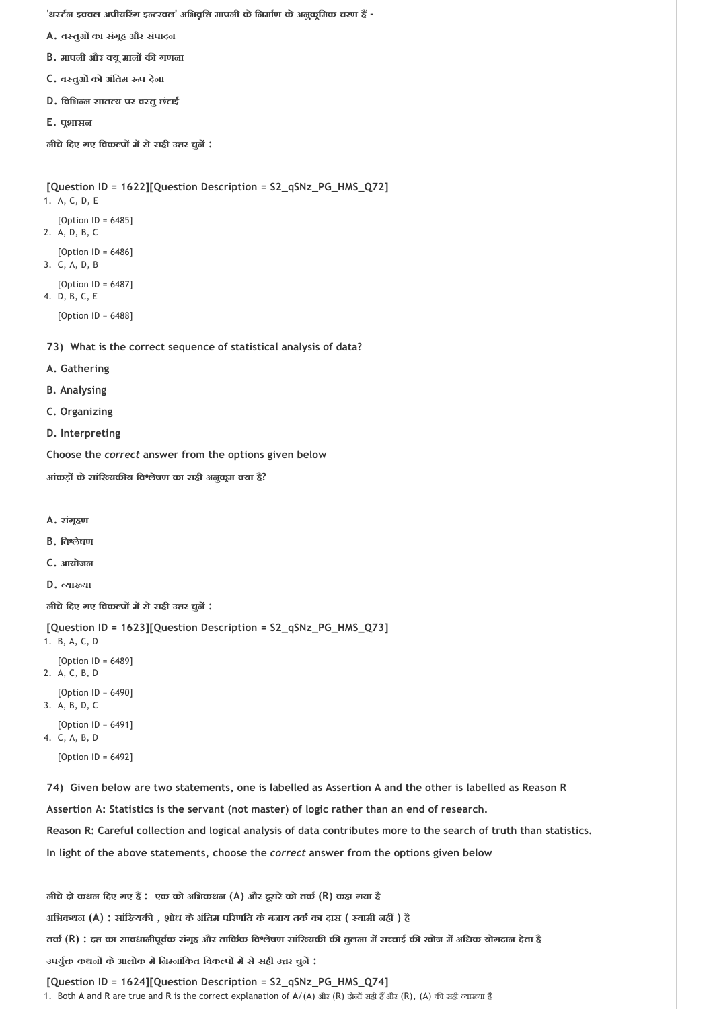**'थ ट न इ वल अपीय रंग इ टरवल' अिभवृि मापनी केिनमा ण केअनुक िमक चरण ह ‐**

- **A. व तुओंका संग ह और संपादन**
- **B.** मापनी और क्यू मानों की गणना
- **C. व तुओंको अंितम प देना**
- **D. िविभ न सात य पर व तुछंटाई**
- **E. प शासन**

**नीचेिदए गए िवक प म सेसही उ र चुन :**

```
73) 
What is the correct sequence of statistical analysis of data?
 74) 
Given below are two statements, one is labelled as Assertion A and the other is labelled as Reason R 
[Question ID = 1622][Question Description = S2_qSNz_PG_HMS_Q72]
1. A, C, D, E
   [Option ID = 6485]
2. A, D, B, C
   [Option ID = 6486]
3. C, A, D, B
   [Option ID = 6487]
4. D, B, C, E
   [Option ID = 6488]
A. Gathering
B. Analysing
C. Organizing
D. Interpreting
Choose the correct answer from the options given below
आंकड़ केसांि यक य िव ेषण का सही अनुक म या है?
A. संग हण
B. िव ेषण
C. आयोजन
D. या या
नीचेिदए गए िवक प म सेसही उ र चुन :
[Question ID = 1623][Question Description = S2_qSNz_PG_HMS_Q73]
1. B, A, C, D
   [Option ID = 6489]
2. A, C, B, D
   [Option ID = 6490]
3. A, B, D, C
   [Option ID = 6491]
4. C, A, B, D
   [Option ID = 6492]
Assertion A: Statistics is the servant (not master) of logic rather than an end of research.
Reason R: Careful collection and logical analysis of data contributes more to the search of truth than statistics.
In light of the above statements, choose the correct answer from the options given below
नीचेदो कथन िदए गए ह : एक को अिभकथन (A) और दूसरेको तक (R) कहा गया है
अिभकथन (A) : सांि यक , शोध केअंितम प रणित केबजाय तक का दास ( वामी नह ) है
```
**तक (R) : द का सावधानीपूव क संग ह और तािक क िव ेषण सांि यक क तुलना म स चाई क खोज म अिधक योगदान देता है**

**उपयु कथन केआलोक म िन नांिकत िवक प म सेसही उ र चुन :**

**[Question ID = 1624][Question Description = S2\_qSNz\_PG\_HMS\_Q74]** 1. Both A and R are true and R is the correct explanation of A/(A) और (R) दोनों सही हैं और (R), (A) की सही व्याख्या है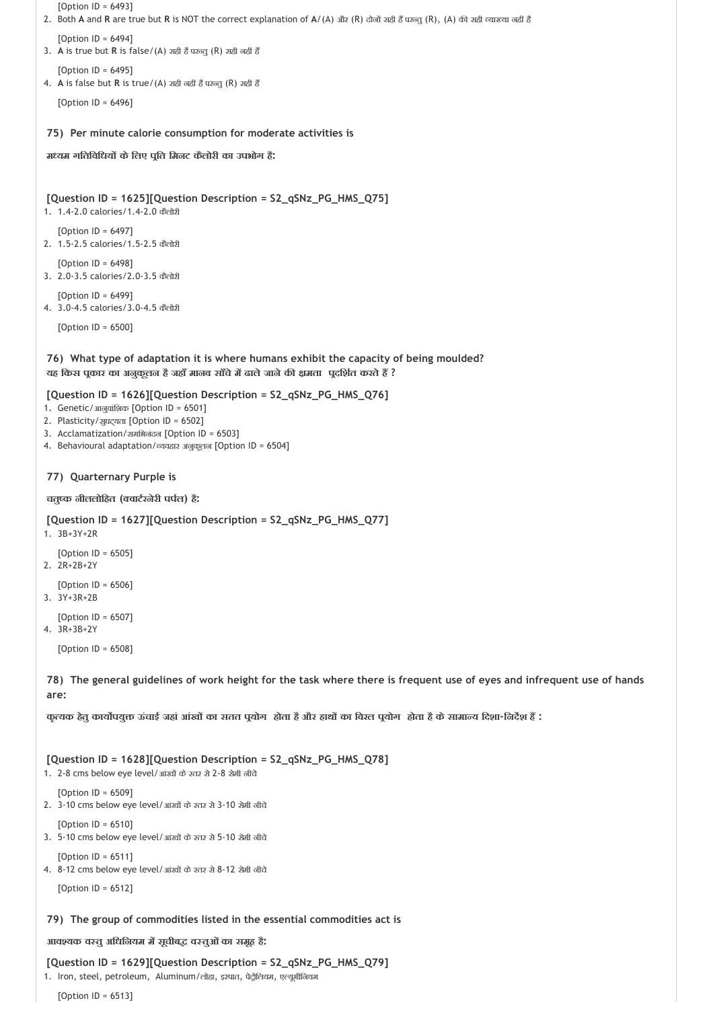```
75) 
Per minute calorie consumption for moderate activities is
   [Option ID = 6493]
2. Both A and R are true but R is NOT the correct explanation of A/(A) और (R) दोनों सही हैं परन्तु (R), (A) की सही व्याख्या नहीं है
   [Option ID = 6494]3. A is true but R is false/(A) सही है परन्त (R) सही नहीं हैं
   [Option ID = 6495]
4. A is false but R is true/(A) सही नहीं है परन्तु (R) सही हैं
   [Option ID = 6496]
म यम गितिविधय केिलए प ित िमनट कैलोरी का उपभोग है:
[Question ID = 1625][Question Description = S2_qSNz_PG_HMS_Q75]
1. 1.4‐2.0 calories/1.4‐2.0 कैलोरी
   [Option ID = 6497]
2. 1.5‐2.5 calories/1.5‐2.5 कैलोरी
   [Option ID = 6498]
3. 2.0‐3.5 calories/2.0‐3.5 कैलोरी
   [Option ID = 6499]
4. 3.0‐4.5 calories/3.0‐4.5 कैलोरी
```
[Option ID = 6500]

**76) What type of adaptation it is where humans exhibit the capacity of being moulded? यह िकस प कार का अनुकूलन हैजहाँमानव साँचेम ढालेजानेक मता प दिश त करतेह ?**

#### **[Question ID = 1626][Question Description = S2\_qSNz\_PG\_HMS\_Q76]**

- 1. Genetic/आनुवांशिक [Option ID = 6501]
- 2. Plasticity/सुघट्यता [Option ID = 6502]
- 3. Acclamatization/समिभनंदन [Option ID = 6503]
- 4. Behavioural adaptation/ यवहार अनुकूलन [Option ID = 6504]

#### **77) Quarternary Purple is**

#### **चतु क नीललोिहत ( वाट रनेरी पप ल) है:**

```
[Question ID = 1627][Question Description = S2_qSNz_PG_HMS_Q77]
1. 3B+3Y+2R 
  [Option ID = 6505]
2. 2R+2B+2Y 
  [Option ID = 6506]
```
3. 3Y+3R+2B

```
[Option ID = 6507]
4. 3R+3B+2Y
```
[Option ID = 6508]

**78) The general guidelines of work height for the task where there is frequent use of eyes and infrequent use of hands are:**

कत्यक हेत कार्योपयक्त ऊंचाई जहां आंखों का सतत पयोग होता है और हाथों का विख्त पयोग होता है के सामान्य दिशा-निर्देश हैं :

**[Question ID = 1628][Question Description = S2\_qSNz\_PG\_HMS\_Q78]**

```
1. 2-8 cms below eye level/आंखों के स्तर से 2-8 सेमी नीचे
```
[Option ID = 6509]

- 2. 3‐10 cms below eye level/आंख के तर से 3‐10 सेमी नीचे
- [Option ID = 6510] 3. 5‐10 cms below eye level/आंख के तर से 5‐10 सेमी नीचे

[Option ID = 6511]

4. 8‐12 cms below eye level/आंख के तर से 8‐12 सेमी नीचे

```
[Option ID = 6512]
```
#### **79) The group of commodities listed in the essential commodities act is**

**आव यक व तुअिधिनयम म सूचीब व तुओंका समूह है:**

**[Question ID = 1629][Question Description = S2\_qSNz\_PG\_HMS\_Q79]**

1. Iron, steel, petroleum, Aluminum/लोहा, इस्पात, पेट्रोलियम, एल्यूमीजियम

[Option ID = 6513]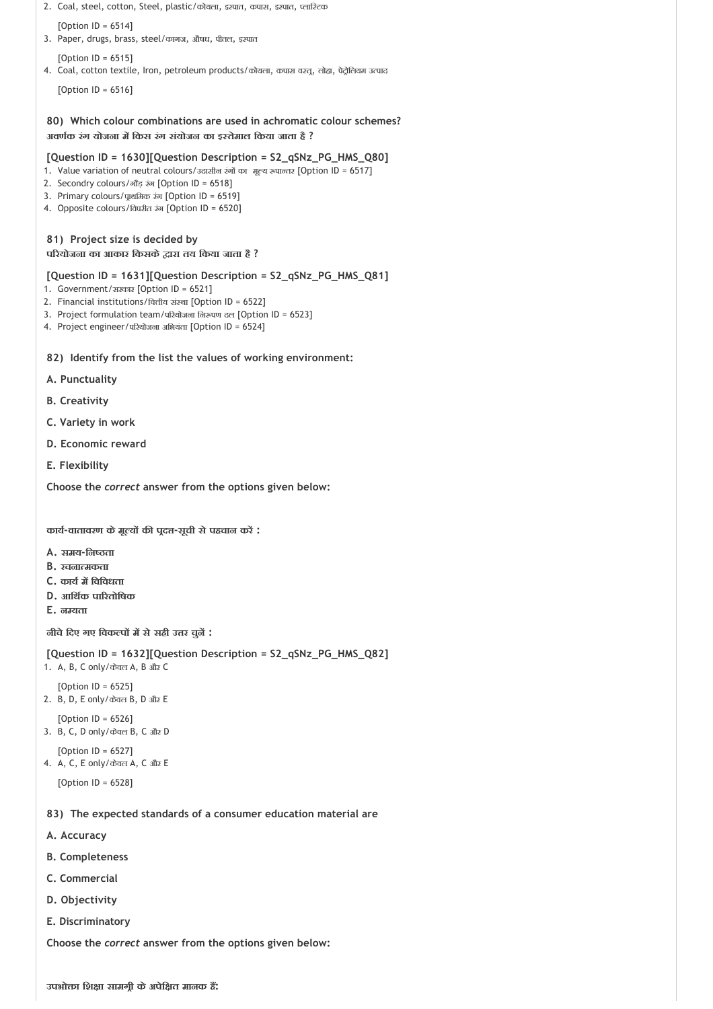```
2. Coal, steel, cotton, Steel, plastic/कोयला, इस्पात, कपास, इस्पात, प्लास्टिक
```
[Option ID = 6514] 3. Paper, drugs, brass, steel/कागज, औषध, पीतल, इस्पात

[Option ID = 6515]

4. Coal, cotton textile, Iron, petroleum products/कोयला, कपास वस्तू, लोहा, पेट्रोलियम उत्पाद

[Option ID = 6516]

**80) Which colour combinations are used in achromatic colour schemes? अवण क रंग योजना म िकस रंग संयोजन का इ तेमाल िकया जाता है ?**

#### **[Question ID = 1630][Question Description = S2\_qSNz\_PG\_HMS\_Q80]**

- 1. Value variation of neutral colours/उदासीन रंगों का मूल्य रूपान्तर [Option ID = 6517]
- 2. Secondry colours/गौड़ रंग [Option ID = 6518]
- 3. Primary colours/पाथमिक रंग [Option ID = 6519]
- 4. Opposite colours/िवपरीत रंग [Option ID = 6520]

#### **81) Project size is decided by**

#### **प रयोजना का आकार िकसके ारा तय िकया जाता है ?**

**[Question ID = 1631][Question Description = S2\_qSNz\_PG\_HMS\_Q81]**

- 1. Government/सरकार [Option ID = 6521]
- 2. Financial institutions/वित्तीय संस्था [Option ID = 6522]
- 3. Project formulation team/परियोजना निरूपण दल [Option ID = 6523]
- 4. Project engineer/परियोजना अभियंता [Option ID = 6524]

#### **82) Identify from the list the values of working environment:**

- **A. Punctuality**
- **B. Creativity**
- **C. Variety in work**
- **D. Economic reward**
- **E. Flexibility**

**Choose the** *correct* **answer from the options given below:**

**काय ‐वातावरण केमू य क प द ‐सूची सेपहचान कर :**

- **A. समय‐िन ता**
- **B. रचना मकता**
- **C. काय म िविवधता**
- **D. आिथ क पा रतोिषक**
- **E. न यता**

**नीचेिदए गए िवक प म सेसही उ र चुन :**

```
[Question ID = 1632][Question Description = S2_qSNz_PG_HMS_Q82]
```

```
1. A, B, C only/केवल A, B और C
```

```
[Option ID = 6525]
2. B, D, E only/केवल B, D और E
```

```
[Option ID = 6526]
3. B, C, D only/केवल B, C और D
```

```
[Option | D = 6527]
```

```
4. A, C, E only/केवल A, C और E
```

```
[Option ID = 6528]
```
- **83) The expected standards of a consumer education material are**
- **A. Accuracy**
- **B. Completeness**
- **C. Commercial**
- **D. Objectivity**
- **E. Discriminatory**

**Choose the** *correct* **answer from the options given below:**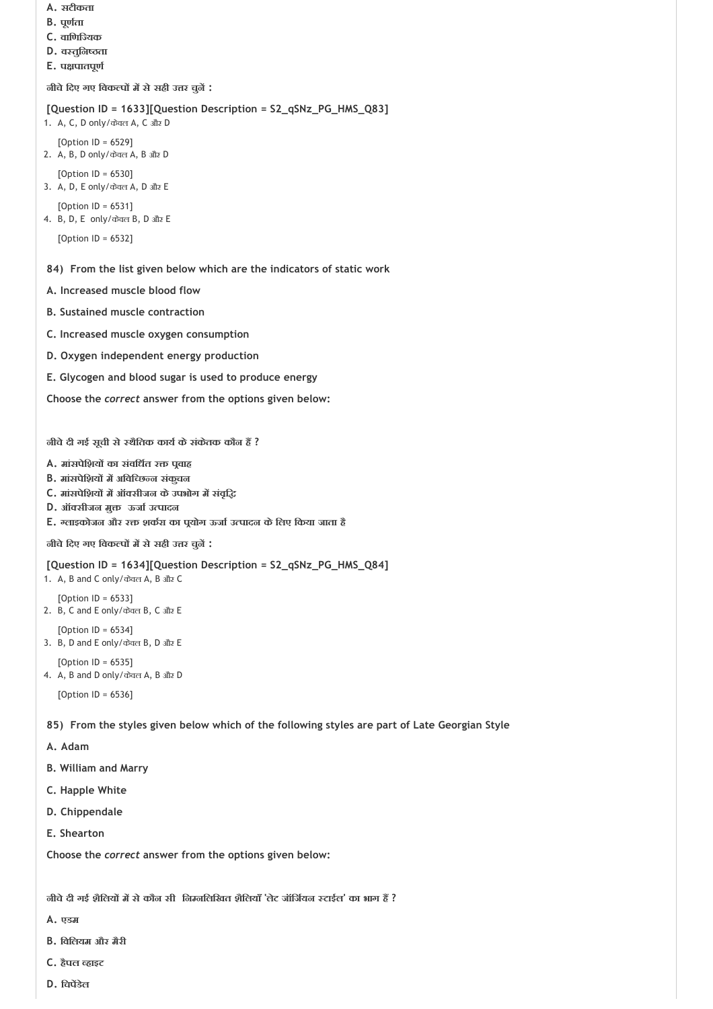```
A. सटीकता
```
- **B. पूण ता**
- **C. वािणि यक**
- **D. व तुिन ता**
- **E. प पातपूण**

**नीचेिदए गए िवक प म सेसही उ र चुन :**

```
[Question ID = 1633][Question Description = S2_qSNz_PG_HMS_Q83]
1. A, C, D only/केवल A, C और D
   [Option ID = 6529]
2. A, B, D only/केवल A, B और D
   [Option ID = 6530]
3. A, D, E only/केवल A, D और E
   [Option ID = 6531]
4. B, D, E only/केवल B, D और E
   [Option ID = 6532]
```
**84) From the list given below which are the indicators of static work**

- **A. Increased muscle blood flow**
- **B. Sustained muscle contraction**
- **C. Increased muscle oxygen consumption**
- **D. Oxygen independent energy production**
- **E. Glycogen and blood sugar is used to produce energy**

**Choose the** *correct* **answer from the options given below:**

**नीचेदी गई सूची से थैितक काय केसंकेतक कौन ह ?**

- **A. मांसपेिशय का संविध त र प वाह**
- **B.** मांसपेशियों में अविच्छिन्न संकूचन
- **C. मांसपेिशय म ऑ सीजन केउपभोग म संवृि**
- **D.** ऑक्सीजन मुक्त ऊर्जा उत्पादन
- **E. लाइकोजन और र शक रा का प योग ऊजा उ पादन केिलए िकया जाता है**

**नीचेिदए गए िवक प म सेसही उ र चुन :**

**[Question ID = 1634][Question Description = S2\_qSNz\_PG\_HMS\_Q84]**

1. A, B and C only/केवल A, B और C

- [Option ID = 6533] 2. B, C and E only/केवल B, C और E
- $[Option ID = 6534]$
- 3. B, D and E only/केवल B, D और E
- [Option ID = 6535] 4. A, B and D only/केवल A, B और D

[Option ID = 6536]

**85) From the styles given below which of the following styles are part of Late Georgian Style**

- **A. Adam**
- **B. William and Marry**
- **C. Happle White**
- **D. Chippendale**
- **E. Shearton**

**Choose the** *correct* **answer from the options given below:**

**नीचेदी गई शैिलय म सेकौन सी िन निलिखत शैिलयाँ 'लेट जॉिज यन टाईल' का भाग ह ?**

- **A. एडम**
- **B. िविलयम और मैरी**
- **C. हैपल हाइट**
- **D. िचप डेल**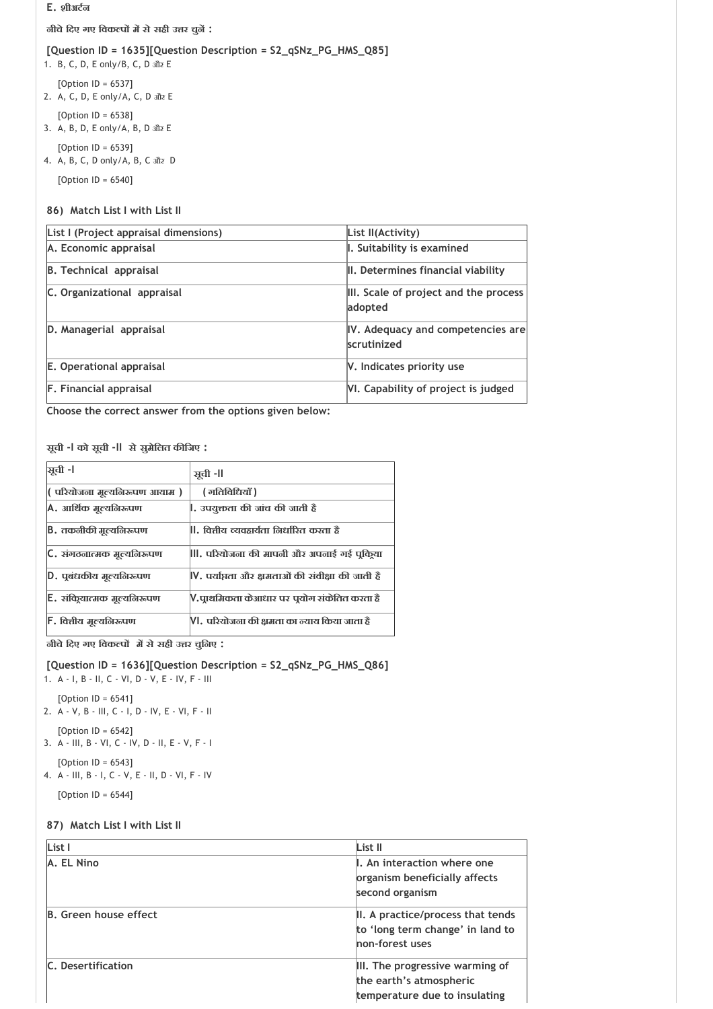#### **E. शीअट न**

**नीचेिदए गए िवक प म सेसही उ र चुन :**

#### **[Question ID = 1635][Question Description = S2\_qSNz\_PG\_HMS\_Q85]**

- 1. B, C, D, E only/B, C, D और E
- [Option ID = 6537] 2. A, C, D, E only/A, C, D और E
- [Option ID = 6538] 3. A, B, D, E only/A, B, D और E
- [Option ID = 6539]
- 4. A, B, C, D only/A, B, C और D

[Option ID = 6540]

## **86) Match List I with List II**

| List I (Project appraisal dimensions) | List II(Activity)                                |
|---------------------------------------|--------------------------------------------------|
| A. Economic appraisal                 | I. Suitability is examined                       |
| <b>B. Technical appraisal</b>         | II. Determines financial viability               |
| C. Organizational appraisal           | III. Scale of project and the process<br>adopted |
| D. Managerial appraisal               | IV. Adequacy and competencies are<br>scrutinized |
| E. Operational appraisal              | V. Indicates priority use                        |
| <b>F.</b> Financial appraisal         | VI. Capability of project is judged              |

**Choose the correct answer from the options given below:**

## **सूची ‐I को सूची ‐II सेसुमेिलत क िजए :**

| <b>भूची</b> -।              | ञ्चुची -ll                                       |
|-----------------------------|--------------------------------------------------|
| परियोजना मूल्यनिरूपण आयाम)  | ( गतिविधियाँ )                                   |
| A. आर्थिक मूल्यनिरूपण       | ।. उपयुक्तता की जांच की जाती हैं                 |
| B. तकनीकी मुल्यनिरूपण       | . वित्तीय व्यवहार्यता निर्धारित करता है          |
| C. संगठनात्मक मूल्यनिरूपण   | , परियोजना की मापनी और अपनाई गई पुकिया           |
| D. पूबंधकीय मुल्यनिरूपण     | V, पर्याप्तता और क्षमताओं की संवीक्षा की जाती है |
| E. संक्रियात्मक मूल्यनिरूपण | V.प्राथमिकता केआधार पर पूयोग संकेतित करता है     |
| F. वित्तीय मूल्यलिरूपण      | VI. परियोजना की क्षमता का न्याय किया जाता है     |

**नीचेिदए गए िवक प म सेसही उ र चुिनए :**

## **[Question ID = 1636][Question Description = S2\_qSNz\_PG\_HMS\_Q86]**

- 1. A ‐ I, B ‐ II, C ‐ VI, D ‐ V, E ‐ IV, F ‐ III
- [Option ID = 6541] 2. A ‐ V, B ‐ III, C ‐ I, D ‐ IV, E ‐ VI, F ‐ II [Option ID = 6542]
- 3. A ‐ III, B ‐ VI, C ‐ IV, D ‐ II, E ‐ V, F ‐ I
- [Option ID = 6543] 4. A ‐ III, B ‐ I, C ‐ V, E ‐ II, D ‐ VI, F ‐ IV

[Option ID = 6544]

## **87) Match List I with List II**

| List I                       | List II                                                                                     |
|------------------------------|---------------------------------------------------------------------------------------------|
| A. EL Nino                   | L. An interaction where one<br>organism beneficially affects<br>second organism             |
| <b>B.</b> Green house effect | II. A practice/process that tends<br>to 'long term change' in land to<br>non-forest uses    |
| C. Desertification           | III. The progressive warming of<br>the earth's atmospheric<br>temperature due to insulating |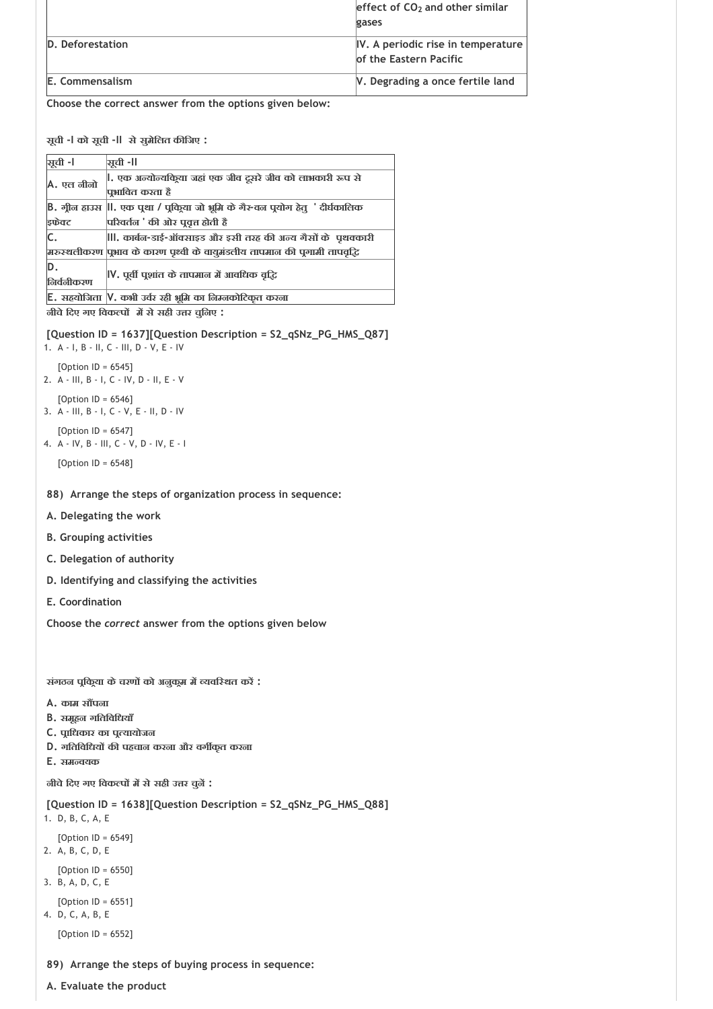|                                                          | effect of $CO2$ and other similar                            |
|----------------------------------------------------------|--------------------------------------------------------------|
|                                                          | gases                                                        |
| D. Deforestation                                         | IV. A periodic rise in temperature<br>of the Eastern Pacific |
| E. Commensalism                                          | V. Degrading a once fertile land                             |
| Charles the computer common form the puttons of me halon |                                                              |

**सूची ‐I को सूची ‐II सेसुमेिलत क िजए :**

| <b>मूची</b> -। | ञ्चुची -ll                                                                   |
|----------------|------------------------------------------------------------------------------|
| A. एल नीनो     | , एक अन्योन्यकिूया जहां एक जीव दूसरे जीव को लाभकारी रूप से                   |
|                | पभावित करता है                                                               |
|                | B. गील हाउस    . एक पुथा / पुकिया जो भूमि के गैर-वल पुयोग हेतू  ' दीर्घकालिक |
| इफ्रेक्ट       | परिवर्तन ' की ओर पुवृत्त होती हैं                                            |
| C.             | , कार्बल-डाई-ऑक्साइड और इसी तरह की अन्य गैसों के पृथक्कारी                   |
|                | म्नरुस्थलीकरण पृभाव के कारण पृथ्वी के वायुमंडलीय तापमान की पृगामी तापवृद्धि  |
| D.             | IV. पूर्वी पूशांत के तापमान में आवधिक वृद्धि                                 |
| निर्वनीकरण     |                                                                              |
|                | E. सहयोजिता  V. कभी उर्वर रही भूमि का निम्नकोटिकूत करना                      |
|                |                                                                              |

**नीचेिदए गए िवक प म सेसही उ र चुिनए :**

**[Question ID = 1637][Question Description = S2\_qSNz\_PG\_HMS\_Q87]**

1. A ‐ I, B ‐ II, C ‐ III, D ‐ V, E ‐ IV  $[Option ID = 6545]$ 

- 2. A ‐ III, B ‐ I, C ‐ IV, D ‐ II, E ‐ V [Option ID = 6546]
- 3. A ‐ III, B ‐ I, C ‐ V, E ‐ II, D ‐ IV
- [Option ID = 6547] 4. A ‐ IV, B ‐ III, C ‐ V, D ‐ IV, E ‐ I

[Option ID = 6548]

# **88) Arrange the steps of organization process in sequence:**

- **A. Delegating the work**
- **B. Grouping activities**
- **C. Delegation of authority**
- **D. Identifying and classifying the activities**
- **E. Coordination**

**Choose the** *correct* **answer from the options given below**

**संगठन प िक या केचरण को अनुक म म यवि थत कर :**

- **A. काम स पना**
- **B. समूहन गितिविधयाँ**
- **C. प ािधकार का प यायोजन**
- **D. गितिविधय क पहचान करना और वग कृत करना**
- **E. सम वयक**

**नीचेिदए गए िवक प म सेसही उ र चुन :**

```
[Question ID = 1638][Question Description = S2_qSNz_PG_HMS_Q88]
1. D, B, C, A, E
```
- [Option ID = 6549]
- 2. A, B, C, D, E

[Option ID = 6550] 3. B, A, D, C, E

- $[Option ID = 6551]$
- 4. D, C, A, B, E

[Option ID = 6552]

# **89) Arrange the steps of buying process in sequence:**

**A. Evaluate the product**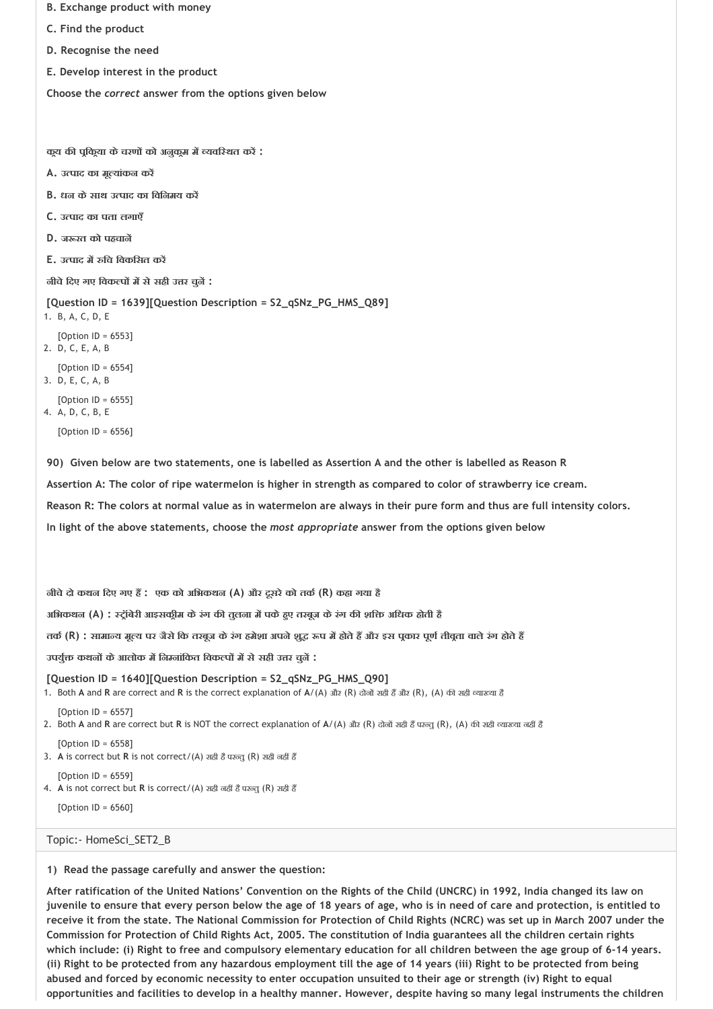- **B. Exchange product with money**
- **C. Find the product**
- **D. Recognise the need**
- **E. Develop interest in the product**

**क य क प िक या केचरण को अनुक म म यवि थत कर :**

- **A. उ पाद का मू यांकन कर**
- **B. धन केसाथ उ पाद का िविनमय कर**
- **C. उ पाद का पता लगाएँ**
- **D. ज रत को पहचान**
- **E. उ पाद म िच िवकिसत कर**

**नीचेिदए गए िवक प म सेसही उ र चुन :**

**[Question ID = 1639][Question Description = S2\_qSNz\_PG\_HMS\_Q89]**

- 1. B, A, C, D, E
- [Option ID = 6553]
- 2. D, C, E, A, B

 $[Option ID = 6554]$ 3. D, E, C, A, B

- 
- [Option ID = 6555] 4. A, D, C, B, E

 $[Option II = 6556]$ 

**90) Given below are two statements, one is labelled as Assertion A and the other is labelled as Reason R** 

**Assertion A: The color of ripe watermelon is higher in strength as compared to color of strawberry ice cream.**

**Reason R: The colors at normal value as in watermelon are always in their pure form and thus are full intensity colors.**

**In light of the above statements, choose the** *most appropriate* **answer from the options given below** 

**नीचेदो कथन िदए गए ह : एक को अिभकथन (A) और दूसरेको तक (R) कहा गया है**

**अिभकथन (A) : ट ॉबेरी आइसक ीम केरंग क तुलना म पकेह ए तरबूज केरंग क शि अिधक होती है**

**तक (R) : सामा य मू य पर जैसेिक तरबूज केरंग हमेशा अपनेशु प म होतेह और इस प कार पूण तीव ता वालेरंग होतेह** 

**उपयु कथन केआलोक म िन नांिकत िवक प म सेसही उ र चुन :**

#### **[Question ID = 1640][Question Description = S2\_qSNz\_PG\_HMS\_Q90]**

1. Both A and R are correct and R is the correct explanation of A/(A) और (R) दोनों सही हैं और (R), (A) की सही व्याख्या है

- [Option ID = 6557]
- 2. Both A and R are correct but R is NOT the correct explanation of A/(A) और (R) दोनों सही हैं परन्तु (R), (A) की सही व्याख्या नहीं हैं
- $[Option II = 6558]$
- 3. A is correct but R is not correct/(A) सही है परन्तु (R) सही नहीं है
- [Option ID = 6559] 4. A is not correct but R is correct/(A) सही नहीं है परन्तु (R) सही हैं

[Option ID = 6560]

#### Topic:‐ HomeSci\_SET2\_B

**1) Read the passage carefully and answer the question:**

**After ratification of the United Nations' Convention on the Rights of the Child (UNCRC) in 1992, India changed its law on juvenile to ensure that every person below the age of 18 years of age, who is in need of care and protection, is entitled to receive it from the state. The National Commission for Protection of Child Rights (NCRC) was set up in March 2007 under the Commission for Protection of Child Rights Act, 2005. The constitution of India guarantees all the children certain rights which include: (i) Right to free and compulsory elementary education for all children between the age group of 6‐14 years. (ii) Right to be protected from any hazardous employment till the age of 14 years (iii) Right to be protected from being abused and forced by economic necessity to enter occupation unsuited to their age or strength (iv) Right to equal opportunities and facilities to develop in a healthy manner. However, despite having so many legal instruments the children**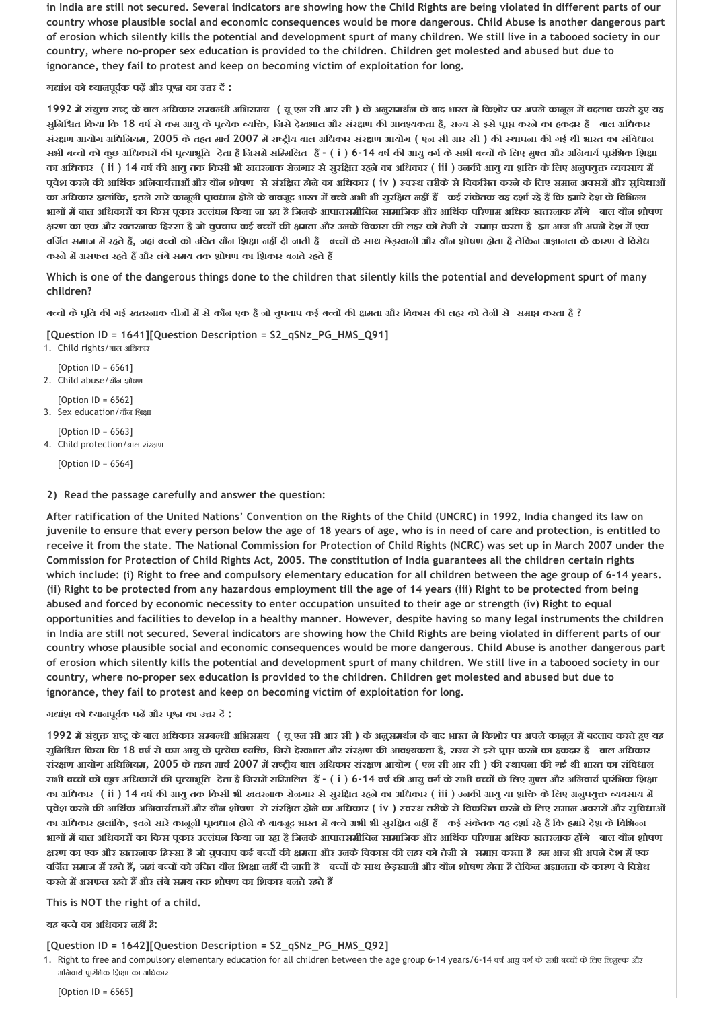**in India are still not secured. Several indicators are showing how the Child Rights are being violated in different parts of our country whose plausible social and economic consequences would be more dangerous. Child Abuse is another dangerous part of erosion which silently kills the potential and development spurt of many children. We still live in a tabooed society in our country, where no‐proper sex education is provided to the children. Children get molested and abused but due to ignorance, they fail to protest and keep on becoming victim of exploitation for long.**

**ग ांश को यानपूव क पढ़ और प का उ र द :**

1992 में संयुक्त राष्ट्र के बाल अधिकार सम्बन्धी अभिसमय ( यू एन सी आर सी ) के अनुसमर्थन के बाद भारत ने किशोर पर अपने कानून में बदलाव करते हुए यह सुनिश्चित किया कि 18 वर्ष से कम आयु के पूत्येक व्यक्ति, जिसे देखभाल और संरक्षण की आवश्यकता है, राज्य से इसे पूाप्त करने का हकदार हैं बाल अधिकार संरक्षण आयोग अधिनियम, 2005 के तहत मार्च 2007 में राष्ट्रीय बाल अधिकार संरक्षण आयोग ( एन सी आर सी ) की स्थापना की गई थी भारत का संविधान सभी बच्चों को कुछ अधिकारों की पुत्याभूति देता हैं जिसमें सम्मिलित हैं - ( i ) 6-14 वर्ष की आयु वर्ग के सभी बच्चों के लिए मुफ्त और अनिवार्य पारंभिक शिक्षा का अधिकार (ii ) 14 वर्ष की आयु तक किसी भी खतरनाक रोजगार से सूरक्षित रहने का अधिकार (iii ) उनकी आयु या शक्ति के लिए अनुपयुक्त व्यवसाय में पुवेश करने की आर्थिक अनिवार्यताओं और यौन शोषण से संरक्षित होने का अधिकार ( iv ) स्वस्थ तरीके से विकसित करने के लिए समान अवसरों और सुविधाओं का अधिकार हालांकि, इतने सारे कानूनी पावधान होने के बावजूद भारत में बच्चे अभी भी सूरक्षित नहीं हैं कई संकेतक यह दर्शा रहे हैं कि हमारे देश के विभिन्न भागों में बाल अधिकारों का किस पुकार उल्लंघन किया जा रहा है जिनके आपातसमीचिन सामाजिक और आर्थिक परिणाम अधिक खतरनाक होंगे बाल यौन शोषण क्षरण का एक और खतरनाक हिस्सा है जो चुपचाप कई बच्चों की क्षमता और उनके विकास की लहर को तेजी से समाप्त करता है हम आज भी अपने देश में एक वर्जित समाज में रहते हैं, जहां बच्चों को उचित यौन शिक्षा नहीं दी जाती हैं बच्चों के साथ छेड़खानी और यौन शोषण होता है लेकिन अज्ञानता के कारण वे विरोध **करनेम असफल रहतेह और लंबेसमय तक शोषण का िशकार बनतेरहतेह** 

**Which is one of the dangerous things done to the children that silently kills the potential and development spurt of many children?**

बच्चों के पूति की गई खतरलाक चीजों में से कौल एक है जो चुपचाप कई बच्चों की क्षमता और विकास की लहर को तेजी से समाप्त करता है ?

**[Question ID = 1641][Question Description = S2\_qSNz\_PG\_HMS\_Q91]**

1. Child rights/बाल अधिकार  $[Option ID = 6561]$ 

2. Child abuse/यौन शोषण

[Option ID = 6562] 3. Sex education/यौन शिक्षा

 $[Option II = 6563]$ 4. Child protection/बाल संरक्षण

[Option ID = 6564]

**2) Read the passage carefully and answer the question:**

**After ratification of the United Nations' Convention on the Rights of the Child (UNCRC) in 1992, India changed its law on juvenile to ensure that every person below the age of 18 years of age, who is in need of care and protection, is entitled to receive it from the state. The National Commission for Protection of Child Rights (NCRC) was set up in March 2007 under the Commission for Protection of Child Rights Act, 2005. The constitution of India guarantees all the children certain rights which include: (i) Right to free and compulsory elementary education for all children between the age group of 6‐14 years. (ii) Right to be protected from any hazardous employment till the age of 14 years (iii) Right to be protected from being abused and forced by economic necessity to enter occupation unsuited to their age or strength (iv) Right to equal opportunities and facilities to develop in a healthy manner. However, despite having so many legal instruments the children in India are still not secured. Several indicators are showing how the Child Rights are being violated in different parts of our country whose plausible social and economic consequences would be more dangerous. Child Abuse is another dangerous part of erosion which silently kills the potential and development spurt of many children. We still live in a tabooed society in our country, where no‐proper sex education is provided to the children. Children get molested and abused but due to ignorance, they fail to protest and keep on becoming victim of exploitation for long.**

**ग ांश को यानपूव क पढ़ और प का उ र द :**

1992 में संयुक्त राष्ट्र के बाल अधिकार सम्बन्धी अभिसमय ( यू एन सी आर सी ) के अनुसमर्थन के बाद भारत ने किशोर पर अपने कानून में बदलाव करते हुए यह सूनिश्चित किया कि 18 वर्ष से कम आयु के पुत्येक व्यक्ति, जिसे देखभाल और संरक्षण की आवश्यकता है, राज्य से इसे पाप्त करने का हकदार हैं बाल अधिकार संरक्षण आयोग अधिनियम, 2005 के तहत मार्च 2007 में राष्ट्रीय बाल अधिकार संरक्षण आयोग ( एन सी आर सी ) की स्थापना की गई थी भारत का संविधान सभी बच्चों को कुछ अधिकारों की पुत्याभूति देता है जिसमें सम्मिलित हैं - (i) 6-14 वर्ष की आयु वर्ग के सभी बच्चों के लिए मुफ्त और अनिवार्य पारंभिक शिक्षा का अधिकार ( ii ) 14 वर्ष की आयु तक किसी भी खतरनाक रोजगार से सूरक्षित रहने का अधिकार ( iii ) उनकी आयु या शक्ति के लिए अनुपयुक्त व्यवसाय में पुवेश करने की आर्थिक अनिवार्यताओं और यौन शोषण से संरक्षित होने का अधिकार ( iv ) स्वस्थ तरीके से विकसित करने के लिए समान अवसरों और सुविधाओं का अधिकार हालांकि, इतने सारे कानूनी प्रावधान होने के बावजूद भारत में बच्चे अभी भी सुरक्षित नहीं हैं कई संकेतक यह दर्शा रहे हैं कि हमारे देश के विभिन्न भागों में बाल अधिकारों का किस पकार उल्लंघन किया जा रहा है जिनके आपातसमीचिन सामाजिक और आर्थिक परिणाम अधिक खतरनाक होंगे बाल यौन शोषण क्षरण का एक और खतरजाक हिस्सा है जो चुपचाप कई बच्चों की क्षमता और उजके विकास की लहर को तेजी से समाप्त करता है हम आज भी अपजे देश में एक वर्जित समाज में रहते हैं, जहां बच्चों को उचित यौन शिक्षा नहीं दी जाती हैं बच्चों के साथ छेड़खानी और यौन शोषण होता है लेकिन अज्ञानता के कारण वे विरोध **करनेम असफल रहतेह और लंबेसमय तक शोषण का िशकार बनतेरहतेह** 

**This is NOT the right of a child.**

**यह ब चेका अिधकार नह है:**

## **[Question ID = 1642][Question Description = S2\_qSNz\_PG\_HMS\_Q92]**

1. Right to free and compulsory elementary education for all children between the age group 6-14 years/6-14 वर्ष आयु वर्ग के सभी बच्चों के लिए जिशूल्क और अनिवार्य पारंभिक शिक्षा का अधिकार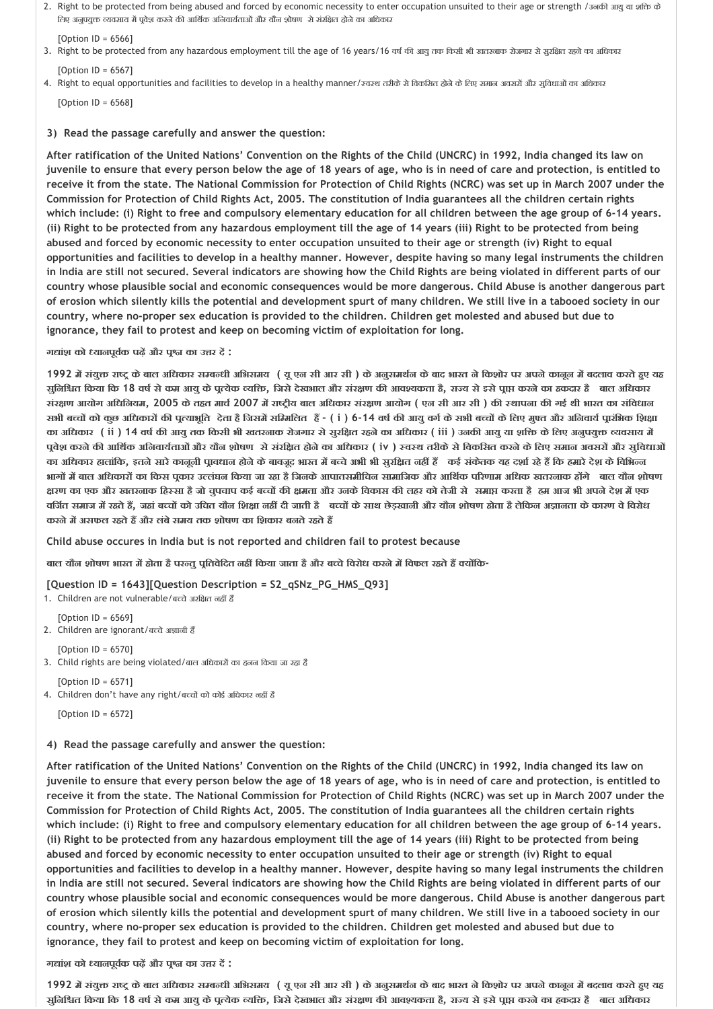2. Right to be protected from being abused and forced by economic necessity to enter occupation unsuited to their age or strength /उनक आयुया शि के तिए अनुपयुक्त व्यवसाय में पूर्वेश करने की आर्थिक अनिवार्यताओं और यौन शोषण से संरक्षित होने का अधिकार

 $[Option ID = 6566]$ 

- 3. Right to be protected from any hazardous employment till the age of 16 years/16 वर्ष की आयुतक रिसी भी खतरनाक रोजगार से सुरक्षित रहने का अधिकार  $[Option II = 6567]$
- 4. Right to equal opportunities and facilities to develop in a healthy manner/ खरब तरीके से विकसित होने के लिए समान अवसरों और सुविधाओं का अधिकार

 $[Option ID = 6568]$ 

#### **3) Read the passage carefully and answer the question:**

**After ratification of the United Nations' Convention on the Rights of the Child (UNCRC) in 1992, India changed its law on juvenile to ensure that every person below the age of 18 years of age, who is in need of care and protection, is entitled to receive it from the state. The National Commission for Protection of Child Rights (NCRC) was set up in March 2007 under the Commission for Protection of Child Rights Act, 2005. The constitution of India guarantees all the children certain rights which include: (i) Right to free and compulsory elementary education for all children between the age group of 6‐14 years. (ii) Right to be protected from any hazardous employment till the age of 14 years (iii) Right to be protected from being abused and forced by economic necessity to enter occupation unsuited to their age or strength (iv) Right to equal opportunities and facilities to develop in a healthy manner. However, despite having so many legal instruments the children in India are still not secured. Several indicators are showing how the Child Rights are being violated in different parts of our country whose plausible social and economic consequences would be more dangerous. Child Abuse is another dangerous part of erosion which silently kills the potential and development spurt of many children. We still live in a tabooed society in our country, where no‐proper sex education is provided to the children. Children get molested and abused but due to ignorance, they fail to protest and keep on becoming victim of exploitation for long.**

**ग ांश को यानपूव क पढ़ और प का उ र द :**

1992 में संयुक्त राष्ट्र के बाल अधिकार सम्बन्धी अभिसमय ( यू एन सी आर सी ) के अनुसमर्थन के बाद भारत ने किशोर पर अपने कानून में बदलाव करते हुए यह सूनिश्चित किया कि 18 वर्ष से कम आयु के पूत्येक व्यक्ति, जिसे देखभाल और संरक्षण की आवश्यकता है, राज्य से इसे पाप्त करने का हकदार हैं बाल अधिकार संरक्षण आयोग अधिनियम, 2005 के तहत मार्च 2007 में राष्ट्रीय बाल अधिकार संरक्षण आयोग ( एन सी आर सी ) की स्थापना की गई थी भारत का संविधान सभी बच्चों को कुछ अधिकारों की पुत्याभूति देता है जिसमें सम्मिलित हैं - ( i ) 6-14 वर्ष की आयु वर्ग के सभी बच्चों के लिए मुफ्त और अनिवार्य प्रारंभिक शिक्षा का अधिकार (ii ) 14 वर्ष की आयु तक किसी भी खतरनाक रोजगार से सुरक्षित रहने का अधिकार (iii ) उनकी आयु या शक्ति के लिए अनुपयुक्त व्यवसाय में पुवेश करने की आर्थिक अनिवार्यताओं और यौन शोषण से संरक्षित होने का अधिकार ( iv ) स्वस्थ तरीके से विकसित करने के लिए समान अवसरों और सुविधाओं का अधिकार हालांकि, इतने सारे कानूनी प्रावधान होने के बावजूद भारत में बच्चे अभी भी सुरक्षित नहीं हैं कई संकेतक यह दर्शा रहे हैं कि हमारे देश के विभिन्न भागों में बाल अधिकारों का किस पूकार उल्लंघन किया जा रहा है जिनके आपातसमीचिन सामाजिक और आर्थिक परिणाम अधिक खतरनाक होंगे बाल यौन शोषण क्षरण का एक और खतरनाक हिस्सा है जो चुपचाप कई बच्चों की क्षमता और उनके विकास की लहर को तेजी से समाप्त करता है हम आज भी अपने देश में एक वर्जित समाज में रहते हैं, जहां बच्चों को उचित यौन शिक्षा नहीं दी जाती है वच्चों के साथ छेड़खानी और यौन शोषण होता है लेकिन अज्ञानता के कारण वे विरोध **करनेम असफल रहतेह और लंबेसमय तक शोषण का िशकार बनतेरहतेह** 

**Child abuse occures in India but is not reported and children fail to protest because**

**बाल यौन शोषण भारत म होता हैपर तुप ितवेिदत नह िकया जाता हैऔर ब चेिवरोध करनेम िवफल रहतेह य िक‐**

**[Question ID = 1643][Question Description = S2\_qSNz\_PG\_HMS\_Q93]**

1. Children are not vulnerable/बच्चे अरक्षित नहीं हैं

[Option ID = 6569]

- 2. Children are ignorant/बच्चे अज्ञानी हैं
- $[Option II = 6570]$ 3. Child rights are being violated/बाल अधिकारों का हनन किया जा रहा है

 $[Option ID = 6571]$ 4. Children don't have any right/बच्चों को कोई अधिकार नहीं है

 $[Option ID = 6572]$ 

**4) Read the passage carefully and answer the question:**

**After ratification of the United Nations' Convention on the Rights of the Child (UNCRC) in 1992, India changed its law on juvenile to ensure that every person below the age of 18 years of age, who is in need of care and protection, is entitled to receive it from the state. The National Commission for Protection of Child Rights (NCRC) was set up in March 2007 under the Commission for Protection of Child Rights Act, 2005. The constitution of India guarantees all the children certain rights which include: (i) Right to free and compulsory elementary education for all children between the age group of 6‐14 years. (ii) Right to be protected from any hazardous employment till the age of 14 years (iii) Right to be protected from being abused and forced by economic necessity to enter occupation unsuited to their age or strength (iv) Right to equal opportunities and facilities to develop in a healthy manner. However, despite having so many legal instruments the children in India are still not secured. Several indicators are showing how the Child Rights are being violated in different parts of our country whose plausible social and economic consequences would be more dangerous. Child Abuse is another dangerous part of erosion which silently kills the potential and development spurt of many children. We still live in a tabooed society in our country, where no‐proper sex education is provided to the children. Children get molested and abused but due to ignorance, they fail to protest and keep on becoming victim of exploitation for long.**

**ग ांश को यानपूव क पढ़ और प का उ र द :**

1992 में संयुक्त राष्ट्र के बाल अधिकार सम्बन्धी अभिसमय ( यू एन सी आर सी ) के अनुसमर्थन के बाद भारत ने किशोर पर अपने कानून में बदलाव करते हुए यह सुनिश्चित किया कि 18 वर्ष से कम आयु के पूत्येक व्यक्ति, जिसे देखभाल और संरक्षण की आवश्यकता है, राज्य से इसे पूाप्त करने का हकदार हैं बाल अधिकार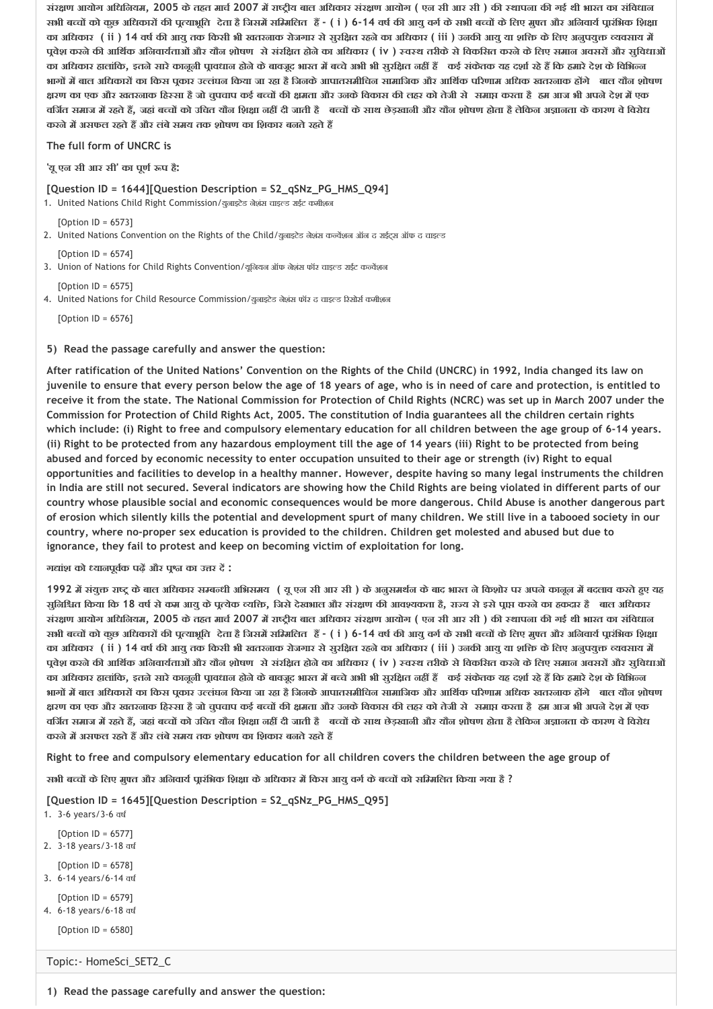संरक्षण आयोग अधिनियम, 2005 के तहत मार्च 2007 में राष्ट्रीय बाल अधिकार संरक्षण आयोग ( एन सी आर सी ) की स्थापना की गई थी भारत का संविधान सभी बच्चों को कुछ अधिकारों की पूत्याभूति देता है जिसमें सम्मिलित हैं - (i ) 6-14 वर्ष की आयु वर्ग के सभी बच्चों के लिए मुफ्त और अनिवार्य प्रारंभिक शिक्षा का अधिकार ( ii ) 14 वर्ष की आयु तक किसी भी खतरनाक रोजगार से सरक्षित रहने का अधिकार ( iii ) उनकी आयु या शक्ति के लिए अनुपयुक्त व्यवसाय में पवेश करने की आर्थिक अनिवार्यताओं और यौन शोषण से संरक्षित होने का अधिकार ( iv ) स्वस्थ तरीके से विकसित करने के लिए समान अवसरों और सविधाओं का अधिकार हालांकि, इतने सारे कानूनी पावधान होने के बावजूद भारत में बच्चे अभी भी सूरक्षित नहीं हैं कई संकेतक यह दर्शा रहे हैं कि हमारे देश के विभिन्न भागों में बाल अधिकारों का किस पकार उल्लंघन किया जा रहा है जिनके आपातसमीचिन सामाजिक और आर्थिक परिणाम अधिक खतरनाक होंगे बाल यौन शोषण क्षरण का एक और खतरनाक हिस्सा है जो चुपचाप कई बच्चों की क्षमता और उनके विकास की लहर को तेजी से समाप्त करता है हम आज भी अपने देश में एक वर्जित समाज में रहते हैं, जहां बच्चों को उचित यौन शिक्षा नहीं दी जाती है कच्चों के साथ छेड़खानी और यौन शोषण होता है लेकिन अज्ञानता के कारण वे विरोध **करनेम असफल रहतेह और लंबेसमय तक शोषण का िशकार बनतेरहतेह** 

**The full form of UNCRC is**

**'यूएन सी आर सी' का पूण प है:**

#### **[Question ID = 1644][Question Description = S2\_qSNz\_PG\_HMS\_Q94]**

1. United Nations Child Right Commission/युनाइटेड नेशंस चाइल्ड राईट कमीशन

 $[Option ID = 6573]$ 

- 2. United Nations Convention on the Rights of the Child/युनाइटेड नेशंस कन्वेंशन ऑन द राईट्स ऑफ द चाइल्ड
- [Option ID = 6574] 3. Union of Nations for Child Rights Convention/यूनियन ऑफ नेशंस फॉर चाइल्ड राईट कन्वेंशन

 $[Option II = 6575]$ 4. United Nations for Child Resource Commission/युनाइटेड नेशंस फॉर द चाइल्ड रिसोर्स कमीशन

[Option ID = 6576]

**5) Read the passage carefully and answer the question:**

**After ratification of the United Nations' Convention on the Rights of the Child (UNCRC) in 1992, India changed its law on juvenile to ensure that every person below the age of 18 years of age, who is in need of care and protection, is entitled to receive it from the state. The National Commission for Protection of Child Rights (NCRC) was set up in March 2007 under the Commission for Protection of Child Rights Act, 2005. The constitution of India guarantees all the children certain rights which include: (i) Right to free and compulsory elementary education for all children between the age group of 6‐14 years. (ii) Right to be protected from any hazardous employment till the age of 14 years (iii) Right to be protected from being abused and forced by economic necessity to enter occupation unsuited to their age or strength (iv) Right to equal opportunities and facilities to develop in a healthy manner. However, despite having so many legal instruments the children in India are still not secured. Several indicators are showing how the Child Rights are being violated in different parts of our country whose plausible social and economic consequences would be more dangerous. Child Abuse is another dangerous part of erosion which silently kills the potential and development spurt of many children. We still live in a tabooed society in our country, where no‐proper sex education is provided to the children. Children get molested and abused but due to ignorance, they fail to protest and keep on becoming victim of exploitation for long.**

**ग ांश को यानपूव क पढ़ और प का उ र द :**

1992 में संयुक्त राष्ट्र के बाल अधिकार सम्बन्धी अभिसमय ( यू एन सी आर सी ) के अनुसमर्थन के बाद भारत ने किशोर पर अपने कानून में बदलाव करते हुए यह सुनिश्चित किया कि 18 वर्ष से कम आयु के पूत्येक व्यक्ति, जिसे देखभाल और संरक्षण की आवश्यकता है, राज्य से इसे पूाप्त करने का हकदार हैं बाल अधिकार संरक्षण आयोग अधिनियम, 2005 के तहत मार्च 2007 में राष्ट्रीय बाल अधिकार संरक्षण आयोग ( एन सी आर सी ) की स्थापना की गई थी भारत का संविधान सभी बच्चों को कुछ अधिकारों की पूत्याभूति देता है जिसमें सम्मिलित हैं - (i ) 6-14 वर्ष की आयु वर्ग के सभी बच्चों के लिए मुफ्त और अनिवार्य प्रारंभिक शिक्षा का अधिकार (ii ) 14 वर्ष की आयु तक किसी भी खतरनाक रोजगार से सूरक्षित रहने का अधिकार (iii ) उनकी आयु या शक्ति के लिए अनुपयुक्त व्यवसाय में पुवेश करने की आर्थिक अनिवार्यताओं और यौन शोषण से संरक्षित होने का अधिकार ( iv ) स्वस्थ तरीके से विकसित करने के लिए समान अवसरों और सुविधाओं का अधिकार हालांकि, इतने सारे कानूनी पावधान होने के बावजूद भारत में बच्चे अभी भी सूरक्षित नहीं हैं कई संकेतक यह दर्शा रहे हैं कि हमारे देश के विभिन्न भागों में बाल अधिकारों का किस पकार उल्लंघन किया जा रहा है जिनके आपातसमीचिन सामाजिक और आर्थिक परिणाम अधिक खतरनाक होंगे बाल यौन शोषण क्षरण का एक और खतरनाक हिस्सा है जो चपचाप कई बच्चों की क्षमता और उनके विकास की लहर को तेजी से समाप्त करता है हम आज भी अपने देश में एक वर्जित समाज में रहते हैं, जहां बच्चों को उचित यौन शिक्षा नहीं दी जाती हैं बच्चों के साथ छेड़खानी और यौन शोषण होता है लेकिन अज्ञानता के कारण वे विरोध **करनेम असफल रहतेह और लंबेसमय तक शोषण का िशकार बनतेरहतेह** 

**Right to free and compulsory elementary education for all children covers the children between the age group of**

**सभी ब च केिलए मु त और अिनवाय प ारंिभक िश ा केअिधकार म िकस आयुवग केब च को सि मिलत िकया गया है ?**

**[Question ID = 1645][Question Description = S2\_qSNz\_PG\_HMS\_Q95]**

1. 3‐6 years/3‐6 वष

- [Option ID = 6577] 2. 3‐18 years/3‐18 वष
- $[Option ID = 6578]$ 3. 6‐14 years/6‐14 वष
- [Option ID = 6579]
- 4. 6‐18 years/6‐18 वष
	- $[Option ID = 6580]$

Topic:‐ HomeSci\_SET2\_C

**1) Read the passage carefully and answer the question:**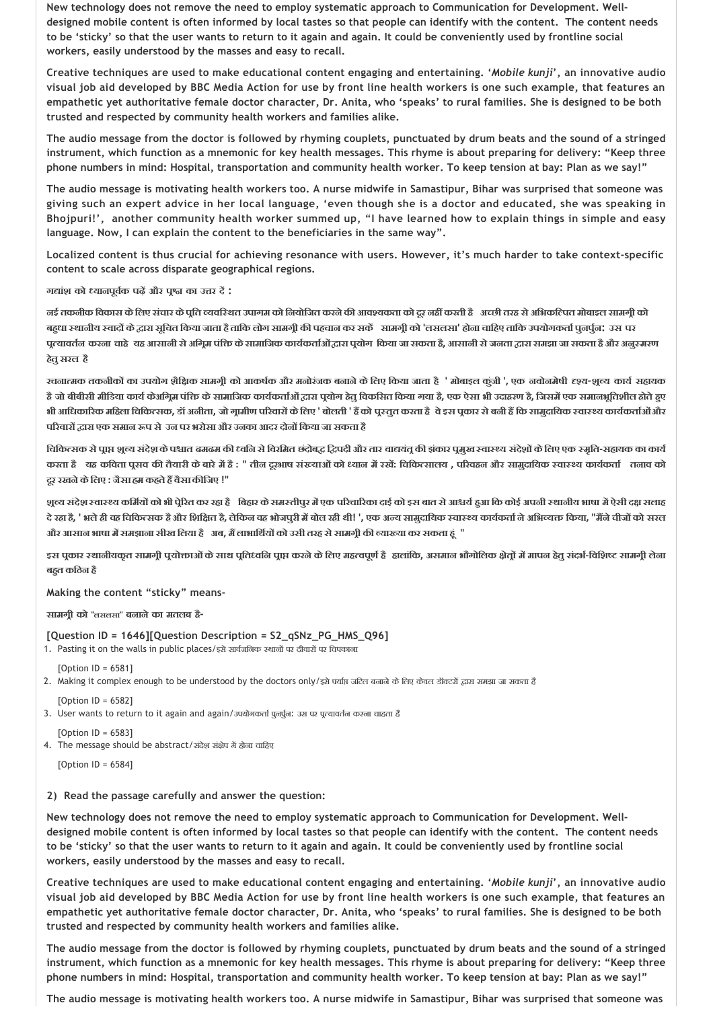**New technology does not remove the need to employ systematic approach to Communication for Development. Well‐ designed mobile content is often informed by local tastes so that people can identify with the content. The content needs to be 'sticky' so that the user wants to return to it again and again. It could be conveniently used by frontline social workers, easily understood by the masses and easy to recall.**

**Creative techniques are used to make educational content engaging and entertaining. '***Mobile kunji***', an innovative audio visual job aid developed by BBC Media Action for use by front line health workers is one such example, that features an empathetic yet authoritative female doctor character, Dr. Anita, who 'speaks' to rural families. She is designed to be both trusted and respected by community health workers and families alike.**

**The audio message from the doctor is followed by rhyming couplets, punctuated by drum beats and the sound of a stringed instrument, which function as a mnemonic for key health messages. This rhyme is about preparing for delivery: "Keep three phone numbers in mind: Hospital, transportation and community health worker. To keep tension at bay: Plan as we say!"**

**The audio message is motivating health workers too. A nurse midwife in Samastipur, Bihar was surprised that someone was giving such an expert advice in her local language, 'even though she is a doctor and educated, she was speaking in Bhojpuri!', another community health worker summed up, "I have learned how to explain things in simple and easy language. Now, I can explain the content to the beneficiaries in the same way".**

**Localized content is thus crucial for achieving resonance with users. However, it's much harder to take context‐specific content to scale across disparate geographical regions.**

**ग ांश को यानपूव क पढ़ और प का उ र द :**

नई तकनीक विकास के लिए संचार के पति व्यवस्थित उपागम को नियोजित करने की आवश्यकता को दर नहीं करती हैं अच्छी तरह से अभिकल्पित मोबाइल सामगी को बहुधा स्थानीय स्वादों के द्वारा सूचित किया जाता है ताकि लोग सामग्री की पहचान कर सकें सामग्री को 'लसलसा' होना चाहिए ताकि उपयोगकर्ता पुनर्पुन: उस पर पत्यावर्तन करना चाहे यह आसानी से अग्रिम पंक्ति के सामाजिक कार्यकर्ताओं द्वारा पूयोग किया जा सकता है, आसानी से जनता द्वारा समझा जा सकता है और अनुस्मरण **हेतुसरल है**

रचनात्मक तकनीकों का उपयोग शैक्षिक सामग्री को आकर्षक और मनोरंजक बनाने के लिए किया जाता है ' मोबाइल कुंजी ', एक नवोनमेषी दृश्य-शूल्य कार्य सहायक हैं जो बीबीसी मीडिया कार्य केअग्निम पंक्ति के सामाजिक कार्यकर्ताओं द्वारा पुयोग हेतू विकसित किया गया है, एक ऐसा भी उदाहरण है, जिसमें एक समानभूतिशील होते हुए भी आधिकारिक महिला चिकित्सक, डॉ अनीता, जो गूमीण परिवारों के लिए ' बोलती ' हैं को पूस्तुत करता है वे इस पूकार से बनी हैं कि सामुदायिक स्वास्थ्य कार्यकर्ताओं और **प रवार ारा एक समान प से उन पर भरोसा और उनका आदर दोन िकया जा सकता है**

चिकित्सक से प्राप्त शूल्य संदेश के पश्चात ढमढम की ध्वनि से विरमित छंदोबद्ध द्विपदी और तार वाद्यवंतू की झंकार पुमुख स्वास्थ्य संदेशों के लिए एक स्मृति-सहायक का कार्य करता है यह कविता पूसव की तैयारी के बारे में है : " तीन दूरभाष संख्याओं को ध्यान में रखें: चिकित्सालय , परिवहन और सामुदायिक स्वास्थ्य कार्यकर्ता तनाव को **दूर रखनेकेिलए : जैसा हम कहतेह वैसाक िजए !"**

शूल्य संदेश स्वास्थ्य कर्मियों को भी प्रेरित कर रहा है बिहार के समस्तीपुर में एक परिचारिका दाई को इस बात से आश्चर्य हुआ कि कोई अपनी स्थानीय भाषा में ऐसी दक्ष सताह दे रहा है, ' भले ही वह चिकित्सक है और शिक्षित है, लेकिन वह भोजपुरी में बोल रही थी! ', एक अन्य सामुदायिक स्वास्थ्य कार्यकर्ता ने अभिव्यक्त किया, "मैंने चीजों को सरत **और आसान भाषा म समझाना सीख िलया हैअब, म लाभािथ य को उसी तरह सेसामग ी क या या कर सकता ह ं "**

इस प्रकार स्थानीयकृत सामग्री पूयोक्ताओं के साथ प्रतिध्वनि प्राप्त करने के लिए महत्वपूर्ण हैं हालांकि, असमान भौगोलिक क्षेत्रों में मापन हेतु संदर्भ-विशिष्ट सामग्री लेना **बह त किठन है**

**Making the content "sticky" means‐**

**सामग ी को "लसलसा" बनानेका मतलब है‐**

## **[Question ID = 1646][Question Description = S2\_qSNz\_PG\_HMS\_Q96]**

1. Pasting it on the walls in public places/इसे सार्वजनिक स्थानों पर दीवारों पर विपकाना

- $[Option ID = 6581]$
- 2. Making it complex enough to be understood by the doctors only/इसे पर्याप्त जटिल बनाने के लिए केवल डॉक्टरों द्वारा समझा जा सकता है
- $[Option ID = 6582]$

3. User wants to return to it again and again/उपयोगकर्ता पुनर्पून: उस पर पत्यावर्तन करना चाहता है

 $[Option ID = 6583]$ 

4. The message should be abstract/संदेश संक्षेप में होना चाहिए

[Option ID = 6584]

## **2) Read the passage carefully and answer the question:**

**New technology does not remove the need to employ systematic approach to Communication for Development. Well‐ designed mobile content is often informed by local tastes so that people can identify with the content. The content needs to be 'sticky' so that the user wants to return to it again and again. It could be conveniently used by frontline social workers, easily understood by the masses and easy to recall.**

**Creative techniques are used to make educational content engaging and entertaining. '***Mobile kunji***', an innovative audio visual job aid developed by BBC Media Action for use by front line health workers is one such example, that features an empathetic yet authoritative female doctor character, Dr. Anita, who 'speaks' to rural families. She is designed to be both trusted and respected by community health workers and families alike.**

**The audio message from the doctor is followed by rhyming couplets, punctuated by drum beats and the sound of a stringed instrument, which function as a mnemonic for key health messages. This rhyme is about preparing for delivery: "Keep three phone numbers in mind: Hospital, transportation and community health worker. To keep tension at bay: Plan as we say!"**

**The audio message is motivating health workers too. A nurse midwife in Samastipur, Bihar was surprised that someone was**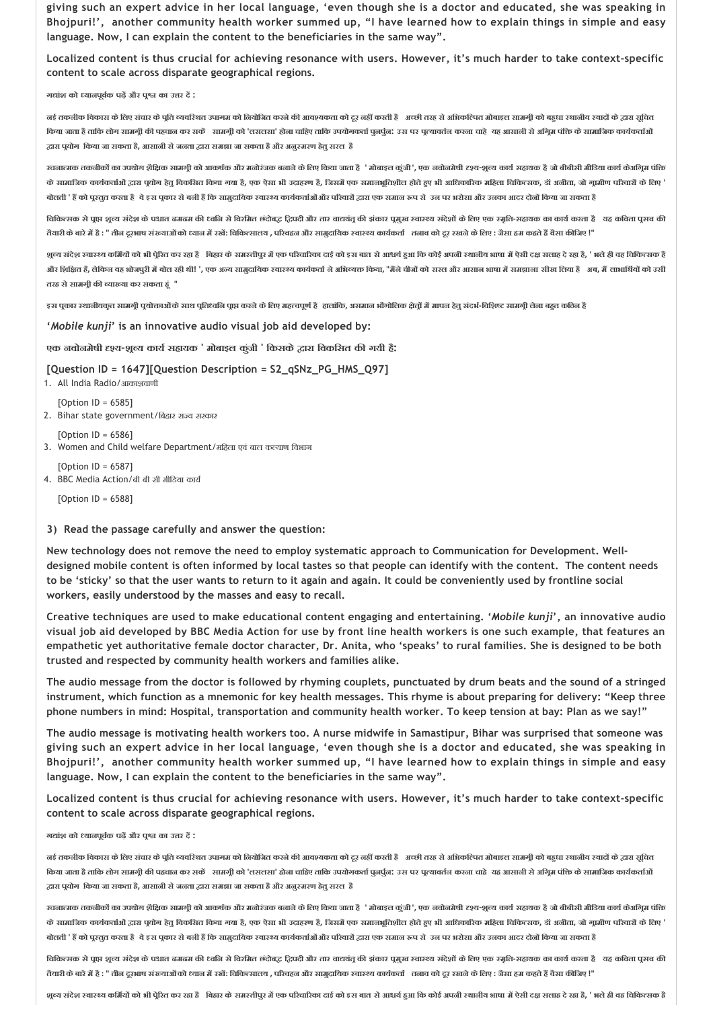**giving such an expert advice in her local language, 'even though she is a doctor and educated, she was speaking in Bhojpuri!', another community health worker summed up, "I have learned how to explain things in simple and easy language. Now, I can explain the content to the beneficiaries in the same way".**

**Localized content is thus crucial for achieving resonance with users. However, it's much harder to take context‐specific content to scale across disparate geographical regions.**

**ग ांश को यानपूव क पढ़ और प का उ र द :**

नई तकनीक विकास के लिए संचार के पूति व्यवस्थित उपागम को नियोजित करने की आवश्यकता को दूर नहीं करती है आरथी तरह से अभिकल्पित मोबाइल सामगी को बहधा स्थानीय स्वादों के द्वारा सुवित किया जाता है ताकि लोग सामग्री की पहचान कर सकें सामग्री को 'लसलसा' होना चाहिए ताकि उपयोगकर्ता पुर्नुन; उस पर पुत्यावर्तन करना चाहे यह आसानी से अगिम पंक्ति के सामाजिक कार्यकर्ताओं  **ारा प योग िकया जा सकता है, आसानी सेजनता ारा समझा जा सकता हैऔर अनु मरण हेतुसरल है**

रचनात्मक तकनीकों का उपयोग शैक्षिक सामग्री को आकर्षक और मनोरंजक बनाने के लिए किया जाता है ' मोबाइल कूंडी', एक नवोनमेषी दृश्य-शूब्य कार्य सहायक है जो बीबीसी मीडिया कार्य केअग्निम पंक्ति के सामाजिक कार्यकर्ताओं द्वारा पयोग हेत विकसित किया गया है, एक ऐसा भी उदाहरण है, जिसमें एक समाजशीक महिला के सहला चिकित्सक, डॉ अनीता, जो गामीण परिवारों के लिए ' बोलती ' हैं को पुस्तुत करता है वे इस पुकार से बनी हैं कि सामुदायिक स्वास्थ्य कार्यकर्ताओं गैर परिवारों द्वारा एक समान रूप से उन पर भरोसा और उनका आदर दोनों किया जा सकता है

विकित्सक से पाप शुल्य संदेश के पश्चात ढमढम की ध्वक्ति से विरमित छंदोबुद्ध द्विपदी और तार चायल की झंकार चुनाए सब रमार संदेशों के लिए एक स्मृति-सहायक का कार्य करता है यह कविता पुसव की तैयारी के बारे में है : " तीन दूरभाष संख्याओं को ध्यान में रखें: चिकित्सालय , परिवहन और सामुदायिक रचारथ कार्चकर्ता तनाव को दूर रखने के लिए : जैसा हम कहते हैं वैसा कीजिए !"

शूव्य संदेश स्वास्थ्य कभ्रियों को भी पूरित कर रहा है । बिहार के समस्तीपुर में एक परिवारिका दाई को इस बात से आधर्य हुआ कि कोई अपनी स्थानीय भाषा में ऐसी दक्ष सताह दे रहा है, ' भले ही वह चिकित्सक है और शिक्षित है, लेकिन वह भोजपुरी में बोल रही थी! ', एक अन्य सामुदायिक स्वास्थ्य कार्यकर्ता ने अभिवक्त किया, "मैंने चीजों को सरत और आसान भाषा में समझाना सीख लिया है अब, मैं लाभार्थियों को उसी **तरह सेसामग ी क या या कर सकता ह ं "**

इस पुकार स्थाजीयकृत सामग्री पुयोक्ताओं के साथ प्रतिध्वनि पाप्त करने के लिए महत्वपूर्ण है हलांकि, असमान भौगोलिक क्षेत्रों में मापन हेतू संदर्भ-विशिष्ट सामग्री लेना बहुत कठिन है

**'***Mobile kunji***' is an innovative audio visual job aid developed by:**

**एक नवोनमेषी य‐श य काय सहायक ' मोबाइल कुंजी ' िकसके ारा िवकिसत क गयी है:**

#### **[Question ID = 1647][Question Description = S2\_qSNz\_PG\_HMS\_Q97]**

1. All India Radio/आकाशवाणी

[Option ID = 6585] 2. Bihar state government/बिहार राज्य सरकार

[Option ID = 6586]

3. Women and Child welfare Department/महिला एवं बाल कल्याण विभाग

[Option ID = 6587] 4. BBC Media Action/बी बी सी मीिडया काय

 $[Option II = 6588]$ 

#### **3) Read the passage carefully and answer the question:**

**New technology does not remove the need to employ systematic approach to Communication for Development. Well‐ designed mobile content is often informed by local tastes so that people can identify with the content. The content needs to be 'sticky' so that the user wants to return to it again and again. It could be conveniently used by frontline social workers, easily understood by the masses and easy to recall.**

**Creative techniques are used to make educational content engaging and entertaining. '***Mobile kunji***', an innovative audio visual job aid developed by BBC Media Action for use by front line health workers is one such example, that features an empathetic yet authoritative female doctor character, Dr. Anita, who 'speaks' to rural families. She is designed to be both trusted and respected by community health workers and families alike.**

**The audio message from the doctor is followed by rhyming couplets, punctuated by drum beats and the sound of a stringed instrument, which function as a mnemonic for key health messages. This rhyme is about preparing for delivery: "Keep three phone numbers in mind: Hospital, transportation and community health worker. To keep tension at bay: Plan as we say!"**

**The audio message is motivating health workers too. A nurse midwife in Samastipur, Bihar was surprised that someone was giving such an expert advice in her local language, 'even though she is a doctor and educated, she was speaking in Bhojpuri!', another community health worker summed up, "I have learned how to explain things in simple and easy language. Now, I can explain the content to the beneficiaries in the same way".**

**Localized content is thus crucial for achieving resonance with users. However, it's much harder to take context‐specific content to scale across disparate geographical regions.**

**ग ांश को यानपूव क पढ़ और प का उ र द :**

नई तकनीक विकास के लिए संचार के पूति व्यवस्थित उपागम को नियोजित करने की आवश्यकता को दूर नहीं करती है अच्छी तरह से अभिकटिपत मोबाइल सामगूी को बहुधा स्थानीय स्वादों के द्धारा सूचित किया जाता है ताकि लोग सामगी की पहचान कर सकें सामगी को 'लसलसा' होना चाहिए ताकि उपयोगकर्ता पुर्जुल, उस पर पुत्यावर्तन करना चाहे यह आसानी से अगिम पंक्ति के सामानिक कार्यकर्ताओं  **ारा प योग िकया जा सकता है, आसानी सेजनता ारा समझा जा सकता हैऔर अनु मरण हेतुसरल है**

रचनात्मक तकनीकों का उपयोग शैक्षिक सामग्री को आकर्षक और मनोरंजक बनाने के लिए किया जाता है ' मोबाइल कुंजी', एक नवोनमेषी दृश्य-शूल्य कार्य सहायक है जो बीबीसी मीडिया कार्य केअग्निम पंक्ति के सामाजिक कार्यकर्ताओं द्वारा पूयोग हेतु विकसित किया गया है, एक ऐसा भी उदाहरण है, जिसमें एक समाधान होते हुए भी आधिकारिक महिला चिकित्सक, डॉ अनीता, जो गूामीण परिवारों के लिए ' बोलती ' हैं को पूरतुत करता है वे इस पूकार से बनी हैं कि सामुदायिक स्वास्थ्य कार्यकर्ताओं और परिवारों राज कर स्वास्थ्य से उन पर भरोसा और उनका आदर दोनों किया जा सकता है

चिकित्सक से पूप्त शुल्य संदेश के पश्चात ढमढम की ध्वकि से विरमित छंदोबऊ दिवती और तार वाद्यवंत छो इंजार समुदार संदेशों के लिए एक स्मृति-सहायक का कार्य करता है यह कविता पुसव की तैयारी के बारे में है : " तीन दूरभाष संख्याओं को ध्यान में रखें: चिकित्सालय , परिवहन और सामुदायिक रचारथ कार्चकर्ता तनाव को दूर रखने के लिए : जैसा हम कहते हैं वैसा कीजिए !"

शूव्य संदेश स्वास्थ्य कर्मियों को भी पूरित कर रहा है | बिहार के समस्तीपुर में एक परिवारिका दर्द को इस बात से आधर्य हुआ कि कोई अपनी स्थानीय भाषा में ऐसी दक्ष सलाह दे रहा है, ' भले ही वह चिकित्सक है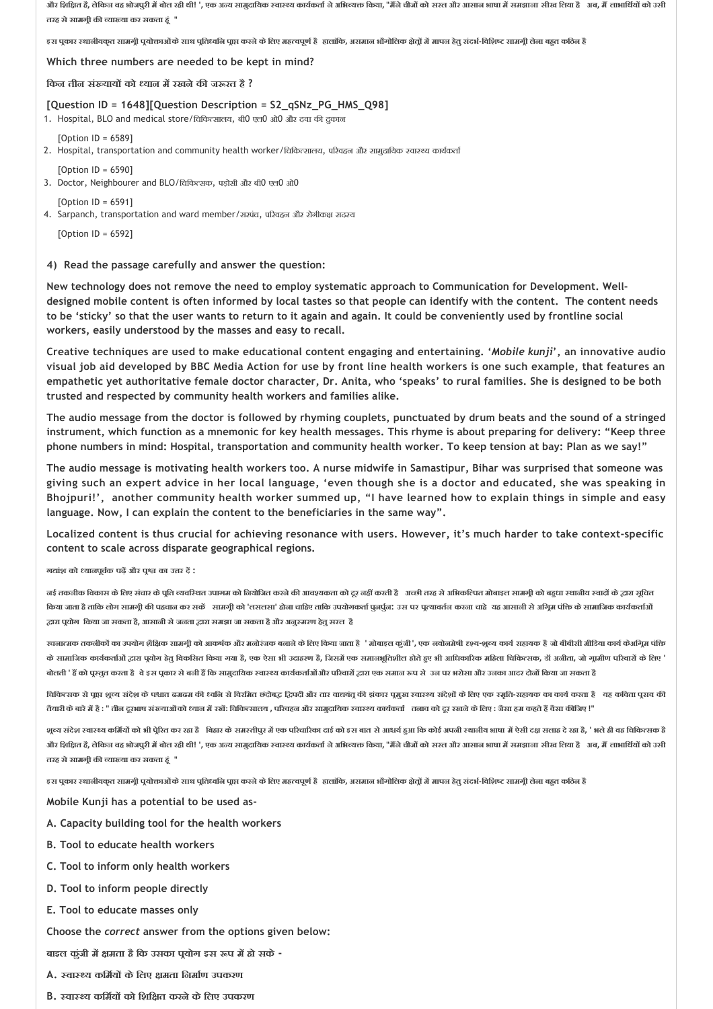और शिक्षित है, तेकिन वह भोजपुरी में बोत रही थी! ', एक अन्य सामुदायिक स्वास्थ्य कार्यकर्ता ने अभिक्का किया, "मैंने चीजों को सरत और आसान भाषा में समझाना सीख लिया है अब, मैं ताभार्थियों को उसी **तरह सेसामग ी क या या कर सकता ह ं "**

इस पकार स्थानीयकत सामगी पयोक्ताओं के साथ पतिध्वनि पाप्त करने के लिए महत्वपूर्ण है हालांकि, असमान भौगोलिक क्षेतों में मापन हेतु संदर्भ-विशिष्ट सामगी लेना बहुत कठिन है

#### **Which three numbers are needed to be kept in mind?**

**िकन तीन सं याय को यान म रखनेक ज रत है ?**

#### **[Question ID = 1648][Question Description = S2\_qSNz\_PG\_HMS\_Q98]**

1. Hospital, BLO and medical store/चिकित्सालय, बी0 एल0 ओ0 और दवा की दुकान

[Option ID = 6589]

- 2. Hospital, transportation and community health worker/विकित्सालय, परिवहन और सामुदायिक स्वास्थ्य कार्यकर्ता
- $[Option ID = 6590]$ 3. Doctor, Neighbourer and BLO/चिकित्सक, पड़ोसी और बी0 एल0 ओ0

 $[Option ID = 6591]$ 

4. Sarpanch, transportation and ward member/सरपंच, परिवहन और रोगीकक्ष सदस्य

[Option ID = 6592]

#### **4) Read the passage carefully and answer the question:**

**New technology does not remove the need to employ systematic approach to Communication for Development. Well‐ designed mobile content is often informed by local tastes so that people can identify with the content. The content needs to be 'sticky' so that the user wants to return to it again and again. It could be conveniently used by frontline social workers, easily understood by the masses and easy to recall.**

**Creative techniques are used to make educational content engaging and entertaining. '***Mobile kunji***', an innovative audio visual job aid developed by BBC Media Action for use by front line health workers is one such example, that features an empathetic yet authoritative female doctor character, Dr. Anita, who 'speaks' to rural families. She is designed to be both trusted and respected by community health workers and families alike.**

**The audio message from the doctor is followed by rhyming couplets, punctuated by drum beats and the sound of a stringed instrument, which function as a mnemonic for key health messages. This rhyme is about preparing for delivery: "Keep three phone numbers in mind: Hospital, transportation and community health worker. To keep tension at bay: Plan as we say!"**

**The audio message is motivating health workers too. A nurse midwife in Samastipur, Bihar was surprised that someone was giving such an expert advice in her local language, 'even though she is a doctor and educated, she was speaking in Bhojpuri!', another community health worker summed up, "I have learned how to explain things in simple and easy language. Now, I can explain the content to the beneficiaries in the same way".**

**Localized content is thus crucial for achieving resonance with users. However, it's much harder to take context‐specific content to scale across disparate geographical regions.**

**ग ांश को यानपूव क पढ़ और प का उ र द :**

नई तकनीक विकास के लिए संचार के पूति व्यवस्थित उपागम को नियोजित करने की आवश्यकता को टूर नहीं करती है अच्छी तरह से अभिकल्पित मोबाइल सामगूी को बहुधा स्थानीय स्वादों के द्वारा सूचित किया जाता है ताकि लोग सामगूी की पहचान कर सकें सामगूी को 'लसलसा' होना चाहिए ताकि उपयोगकर्ता पुर्नुन: उस पर पूत्यावर्तन करना चाहे यह आसानी से अगूम पंक्ति के सामानिक कार्यकर्ताओं  **ारा प योग िकया जा सकता है, आसानी सेजनता ारा समझा जा सकता हैऔर अनु मरण हेतुसरल है**

रचनात्मक तकनीकों का उपयोग शैक्षिक सामगी को आकर्षक और मनोरंजक बनाने के लिए किया जाता है ' मोबाइल कुंडी', एक नवोनमेषी दृश्य-शूब्य कार्य सहायक है जो बीबीसी मीडिया कार्य केअगिम पंक्ति के सामाजिक कार्यकर्ताओं द्वारा पूयोग हेतु विकसित किया गया है, एक ऐसा भी उदाहरण है, जिससे एक समाधान होते हुए भी आधिकारिक महिला चिकित्सक, डॉ अजीता, जो गूमीण परिवारों के लिए ' बोलती ' हैं को पूरतुत करता है वे इस पूकार से बनी हैं कि सामुदायिक स्वास्थ्य कार्यकर्ताओं और परिवारों द्वारा एक समान रूप से उन पर भरोसा और उनका आदर दोनों किया जा सकता है

चिकित्सक से पूाप्त शूल्य संदेश के पश्चात ढमढम की ध्वलि से विरमित छंतेबद्ध, दिपदी और तार बायलू की इंकार पुगुर सहस संदेशों के लिए एक स्मृति-सहायक का कार्य करता है यह कविता पूसव की तैयारी के बारे में है : " तीन दूरभाष संरूयाओं को ध्यान में रखें: चिकित्सालय , परिवहन और सामुदायिक स्वास्थ्य कार्यकर्ता तनाव को दूर रखने के लिए : जैसा हम कहते हैं वैसा कीजिए !"

शून्य संदेश स्वास्थ्य कक्रियों को भी पेरित कर रहा है । बिहार के समस्यापर में एक परिवारिका दर्श को आधर्य हुआ कि कोई अपनी स्थानीय भाषा में ऐसी दक्ष सताह दे रहा है, ' भले ही वह चिकित्सक है और शिक्षित है, लेकिन वह भोजपुरी में बोल रही थी! ', एक अन्य सामुदायिक स्वास्थ्य कार्यकर्ता ने अभिवक्त किया, "मैंने चीजों को सरत और आसान भाषा में समझाना सीख लिया है अब, मैं लाभार्थियों को उसी **तरह सेसामग ी क या या कर सकता ह ं "**

इस पूकार स्थानीयकृत सामग्री पूयोक्ताओं के साथ पूतिध्वनि पूाप करने के लिए महत्वपूर्ण है हलांकि, असमान भौगोलिक क्षेत्रों में मापन हेतु संदर्भ-विशिष्ट सामग्री लेना बहुत कठिन है

**Mobile Kunji has a potential to be used as‐**

- **A. Capacity building tool for the health workers**
- **B. Tool to educate health workers**
- **C. Tool to inform only health workers**
- **D. Tool to inform people directly**
- **E. Tool to educate masses only**

**Choose the** *correct* **answer from the options given below:**

**बाइल कुंजी म मता हैिक उसका प योग इस प म हो सके ‐**

- **A. वा य किम य केिलए मता िनमा ण उपकरण**
- **B. वा य किम य को िशि त करनेकेिलए उपकरण**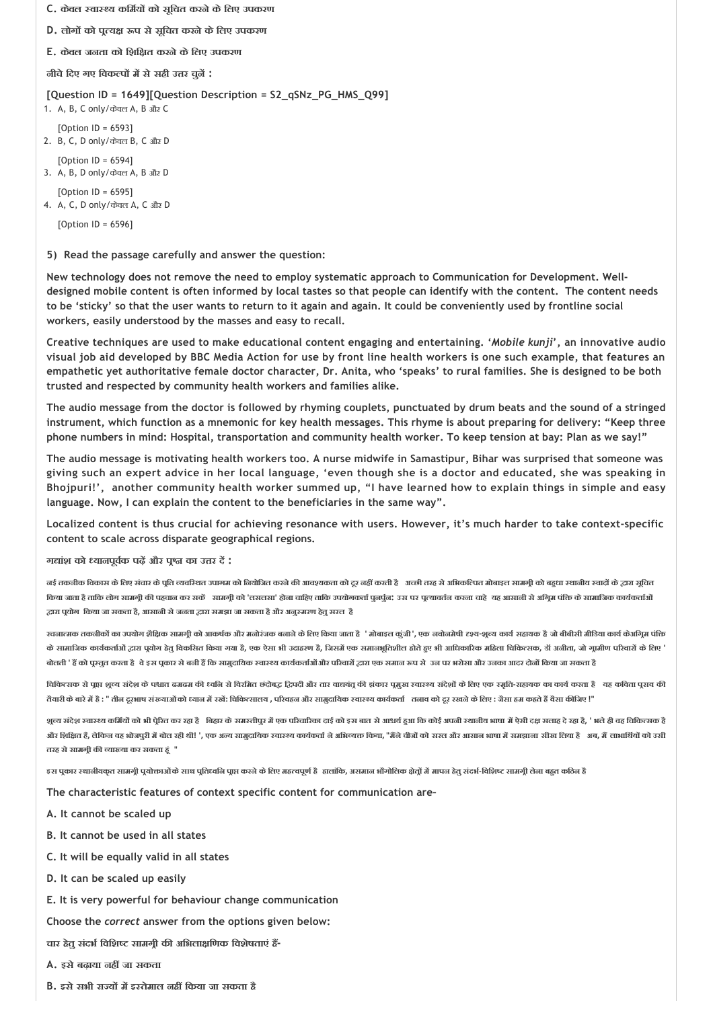**C. केवल वा य किम य को सूिचत करनेकेिलए उपकरण D. लोग को प य प सेसूिचत करनेकेिलए उपकरण E. केवल जनता को िशि त करनेकेिलए उपकरण नीचेिदए गए िवक प म सेसही उ र चुन : [Question ID = 1649][Question Description = S2\_qSNz\_PG\_HMS\_Q99]** 1. A, B, C only/केवल A, B और C  $[Option ID = 6593]$ 2. B, C, D only/केवल B, C और D [Option ID = 6594] 3. A, B, D only/केवल A, B और D [Option ID = 6595] 4. A, C, D only/केवल A, C और D [Option ID = 6596]

#### **5) Read the passage carefully and answer the question:**

**New technology does not remove the need to employ systematic approach to Communication for Development. Well‐ designed mobile content is often informed by local tastes so that people can identify with the content. The content needs to be 'sticky' so that the user wants to return to it again and again. It could be conveniently used by frontline social workers, easily understood by the masses and easy to recall.**

**Creative techniques are used to make educational content engaging and entertaining. '***Mobile kunji***', an innovative audio visual job aid developed by BBC Media Action for use by front line health workers is one such example, that features an empathetic yet authoritative female doctor character, Dr. Anita, who 'speaks' to rural families. She is designed to be both trusted and respected by community health workers and families alike.**

**The audio message from the doctor is followed by rhyming couplets, punctuated by drum beats and the sound of a stringed instrument, which function as a mnemonic for key health messages. This rhyme is about preparing for delivery: "Keep three phone numbers in mind: Hospital, transportation and community health worker. To keep tension at bay: Plan as we say!"**

**The audio message is motivating health workers too. A nurse midwife in Samastipur, Bihar was surprised that someone was giving such an expert advice in her local language, 'even though she is a doctor and educated, she was speaking in Bhojpuri!', another community health worker summed up, "I have learned how to explain things in simple and easy language. Now, I can explain the content to the beneficiaries in the same way".**

**Localized content is thus crucial for achieving resonance with users. However, it's much harder to take context‐specific content to scale across disparate geographical regions.**

#### **ग ांश को यानपूव क पढ़ और प का उ र द :**

नई तकनीक विकास के लिए संचार के पूति व्यवस्थित उपागम को नियोजित करने की आवश्यकता को दूर नहीं करती है अच्छी तरह से अभिकल्पित मोबाइल सामगूी को बहुधा स्थानीय स्वादों के द्वारा सूचित किया जाता है ताकि लोग सामगूी की पहचान कर सकें सामगूी को 'लसलसा' होना चाहिए ताकि उपयोगकर्ता पुर्नुन: उस पर पूत्यावर्तन करना चाहे यह आसानी से अगूम पंक्ति के सामानिक कार्यकर्ताओं  **ारा प योग िकया जा सकता है, आसानी सेजनता ारा समझा जा सकता हैऔर अनु मरण हेतुसरल है**

रचनात्मक तकनीकों का उपयोग शैक्षिक सामग्री को आकर्षक और मनोरंजक बनाने के लिए किया जाता है ' मोबाइल कुंडी', एक नवोनमेषी दृश्य-शुल्य कार्य सहायक है जो बीबीसी मीडिया कार्य केअग्निम पंक्ति के सामाजिक कार्यकर्ताओं द्वारा पूयोग हेतु विकसित किया गया है, एक ऐसा भी उतहरण है, जिसमें एक समाजश्रीक महिला कारी का विकित्सक, डॉ अनीता, जो गूमीण परिवारों के लिए बोलती ' हैं को पूस्तूत करता है वे इस पूकार से बनी हैं कि सामुदायिक स्वास्थ्य कार्यकर्ताओं और परिवारों द्वारा एक समान रूप से उन पर भरोसा और उनका आदर दोनों किया जा सकता है

चिकित्सक से पूाप्त शूल्य संदेश के पश्चात ढमढम की ध्वकि थेती से विश्वविद्य हिपदी और तार वाद्ययंत की इंकार पुगुर सहसे करे से लिए एक स्मृति-सहायक का कार्य करता है यह कविता पूसव की तैयारी के बारे में है : " तीन दूरभाष संख्याओं को ध्यान में रखें: चिकित्सालय , परिवहन और सामुदायिक स्वास्थ्य कार्यकर्ता तनाव को दूर रखने के लिए : जैसा हम कहते हैं वैसा कीजिए !"

शून्य संदेश स्वास्थ्य कक्रियों को भी पेरित कर रहा है । बिहार के समस्यापर में एक परिवारिका दर्श को आधर्य हुआ कि कोई अपनी स्थानीय भाषा में ऐसी दक्ष सताह दे रहा है, ' भले ही वह चिकित्सक है और शिक्षित है, लेकिन वह भोजपूरी में बोल रही थी! ', एक अन्य सामुदायिक स्वास्थ्य कार्यकर्ता ने अभिव्यक्त किया, "मैंने चीजों को सरत और आसान भाषा में समझाना सीख लिया है अब, मैं लाभार्थियों को उसी **तरह सेसामग ी क या या कर सकता ह ं "**

इस पुकार स्थानीयकृत सामग्री पूयोक्ताओं के साथ प्रतिध्वनि प्राप्त करने के लिए महत्वपूर्ण है हलांकि, असमान भौगोलिक क्षेत्रों में मापन हेतु संदर्भ-विशिष्ट सामग्री लेना बहुत कठिन है

**The characteristic features of context specific content for communication are–**

- **A. It cannot be scaled up**
- **B. It cannot be used in all states**
- **C. It will be equally valid in all states**
- **D. It can be scaled up easily**
- **E. It is very powerful for behaviour change communication**

**Choose the** *correct* **answer from the options given below:**

**चार हेतुसंदभ िविश सामग ी क अिभला िणक िवशेषताएं ह ‐**

- **A. इसेबढ़ाया नह जा सकता**
- **B. इसेसभी रा य म इ तेमाल नह िकया जा सकता है**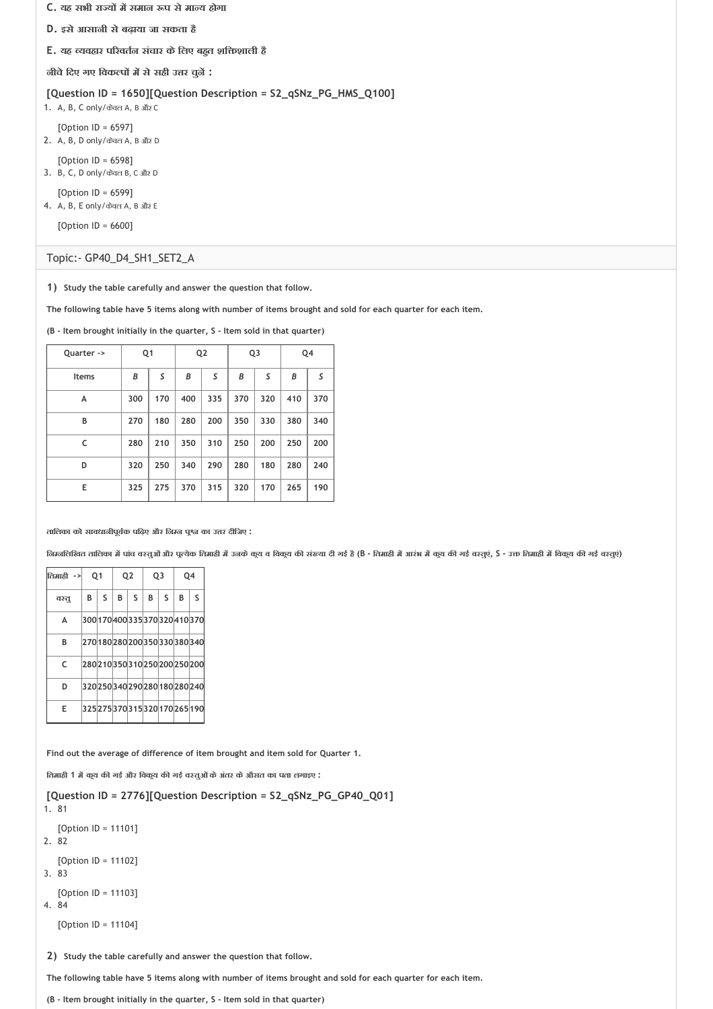- **C. यह सभी रा य म समान प सेमा य होगा**
- **D. इसेआसानी सेबढ़ाया जा सकता है**
- **E. यह यवहार प रवत न संचार केिलए बह त शि शाली है**

**नीचेिदए गए िवक प म सेसही उ र चुन :**

**[Question ID = 1650][Question Description = S2\_qSNz\_PG\_HMS\_Q100]**

1. A, B, C only/केवल A, B और C

[Option ID = 6597] 2. A, B, D only/केवल A, B और D

[Option ID = 6598]

3. B, C, D only/केवल B, C और D

[Option ID = 6599] 4. A, B, E only/केवल A, B और E

[Option ID = 6600]

#### Topic:‐ GP40\_D4\_SH1\_SET2\_A

**1) Study the table carefully and answer the question that follow.**

**The following table have 5 items along with number of items brought and sold for each quarter for each item.**

**(B ‐ Item brought initially in the quarter, S ‐ Item sold in that quarter)**

| Quarter ->   | Q1  |     | Q <sub>2</sub> |     | Q3  |     | Q4  |     |
|--------------|-----|-----|----------------|-----|-----|-----|-----|-----|
| <b>Items</b> | B   | S   | B              | S   | B   | S   | B   | S   |
| A            | 300 | 170 | 400            | 335 | 370 | 320 | 410 | 370 |
| B            | 270 | 180 | 280            | 200 | 350 | 330 | 380 | 340 |
| C            | 280 | 210 | 350            | 310 | 250 | 200 | 250 | 200 |
| D            | 320 | 250 | 340            | 290 | 280 | 180 | 280 | 240 |
| E            | 325 | 275 | 370            | 315 | 320 | 170 | 265 | 190 |

**तािलका को सावधानीपूव क पिढ़ए और िन न प का उ र दीिजए :**

निम्नलिखित तालिका में पांच वस्तुओं और पूत्येक तिमाही में उनके कूय व विकूय की संख्या दी नई है (B - तिमाही में बजुए की नई वस्तुएं, S - उक्त तिमाही में विकूय की नई वस्तुएं)

| तिमाठी -> | O <sub>1</sub> |              |    | Q <sub>2</sub> | Q <sub>3</sub> |              | 04 |                                 |
|-----------|----------------|--------------|----|----------------|----------------|--------------|----|---------------------------------|
| वश्तू     | B              | <sub>S</sub> | B. | S              | B              | $\mathsf{s}$ | B  | S                               |
| A         |                |              |    |                |                |              |    | 300 170 400 335 370 320 410 370 |
| В         |                |              |    |                |                |              |    | 270 180 280 200 350 330 380 340 |
| C         |                |              |    |                |                |              |    | 280210350310250200250200        |
| D         |                |              |    |                |                |              |    | 320250340290280180280240        |
| F         |                |              |    |                |                |              |    | 325 275 370 315 320 170 265 190 |

**Find out the average of difference of item brought and item sold for Quarter 1.**

**ितमाही 1 म क य क गई और िवक य क गई व तुओंकेअंतर केऔसत का पता लगाइए :**

**[Question ID = 2776][Question Description = S2\_qSNz\_PG\_GP40\_Q01]** 1. 81

[Option ID = 11101] 2. 82 [Option ID = 11102] 3. 83 [Option ID = 11103] 4. 84

[Option ID = 11104]

**2) Study the table carefully and answer the question that follow.**

**The following table have 5 items along with number of items brought and sold for each quarter for each item.**

**(B ‐ Item brought initially in the quarter, S ‐ Item sold in that quarter)**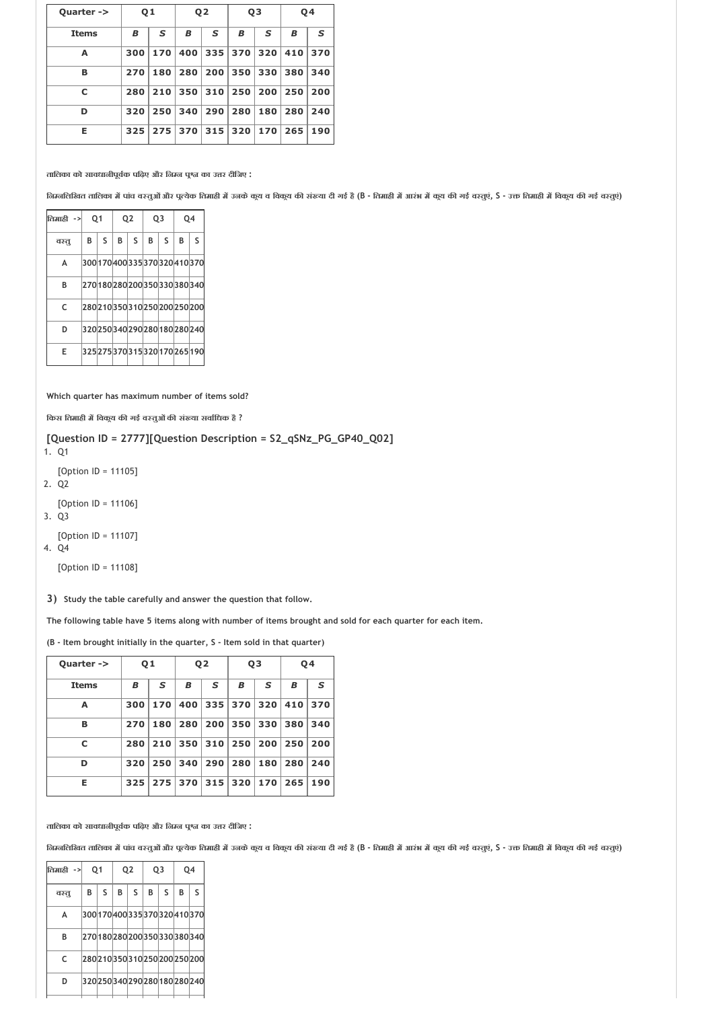| Quarter ->   | Q <sub>1</sub> |     | Q <sub>2</sub> |     | Q <sub>3</sub> |     | Q4  |     |
|--------------|----------------|-----|----------------|-----|----------------|-----|-----|-----|
| <b>Items</b> | В              | S   | В              | S   | В              | s   | В   | S   |
| Α            | 300            | 170 | 400            | 335 | 370            | 320 | 410 | 370 |
| в            | 270            | 180 | 280            | 200 | 350            | 330 | 380 | 340 |
| C            | 280            | 210 | 350            | 310 | 250            | 200 | 250 | 200 |
| D            | 320            | 250 | 340            | 290 | 280            | 180 | 280 | 240 |
| Е            | 325            | 275 | 370            | 315 | 320            | 170 | 265 | 190 |

**तािलका को सावधानीपूव क पिढ़ए और िन न प का उ र दीिजए :**

निम्नलिखित तालिका में पांच वस्तुओं और पूत्येक तिमाही में उनके कूय व विकूय की संख्या दी नई है (B - तिमाही में बजुए की नई वस्तुएं, S - उक्त तिमाही में विकूय की गई वस्तुएं)

| तिमाठी -> | O <sub>1</sub> |              |   | 02 | Q <sub>3</sub>           |   | 04 |                                 |
|-----------|----------------|--------------|---|----|--------------------------|---|----|---------------------------------|
| वश्तू     | В              | <sub>S</sub> | B | S  | B                        | S | B  | S                               |
| A         |                |              |   |    |                          |   |    | 300 170 400 335 370 320 410 370 |
| В         |                |              |   |    | 270180280200350330380340 |   |    |                                 |
| C         |                |              |   |    |                          |   |    | 280 210 350 310 250 200 250 200 |
| D         |                |              |   |    |                          |   |    | 320 250 340 290 280 180 280 240 |
| F         |                |              |   |    |                          |   |    | 325 275 370 315 320 170 265 190 |

**Which quarter has maximum number of items sold?**

**िकस ितमाही म िवक य क गई व तुओंक सं या सवा िधक है ?**

```
[Question ID = 2777][Question Description = S2_qSNz_PG_GP40_Q02]
```
1. Q1

```
[Option ID = 11105]
```
2. Q2

[Option ID = 11106]

3. Q3

[Option ID = 11107]

4. Q4

[Option ID = 11108]

**3) Study the table carefully and answer the question that follow.**

**The following table have 5 items along with number of items brought and sold for each quarter for each item.**

**(B ‐ Item brought initially in the quarter, S ‐ Item sold in that quarter)**

| Quarter ->   | Q <sub>1</sub> |     | Q <sub>2</sub> |     | Q <sub>3</sub> |     | Q4  |     |
|--------------|----------------|-----|----------------|-----|----------------|-----|-----|-----|
| <b>Items</b> | В              | S   | В              | S   | B              | s   | В   | S   |
| Α            | 300            | 170 | 400            | 335 | 370            | 320 | 410 | 370 |
| B            | 270            | 180 | 280            | 200 | 350            | 330 | 380 | 340 |
| C            | 280            | 210 | 350            | 310 | 250            | 200 | 250 | 200 |
| D            | 320            | 250 | 340            | 290 | 280            | 180 | 280 | 240 |
| Е            | 325            | 275 | 370            | 315 | 320            | 170 | 265 | 190 |

**तािलका को सावधानीपूव क पिढ़ए और िन न प का उ र दीिजए :**

निम्नलिखित तालिका में पांच वस्तुओं और पुत्येक तिमाही में उनके कुय व विकुय की संख्या दी नई है (B - तिमाही में बाजे में कहा के बाद कर जमाही में विकुय की गई वस्तुएं), S - उक्त तिमाही में विकुय की गई वस्तुएं)

| तिमाही -> |   | 01 |   | Q <sub>2</sub> |   | 03 |   | 04                              |  |
|-----------|---|----|---|----------------|---|----|---|---------------------------------|--|
| वस्तु     | B | S  | B | S              | B | S  | B | $\mathsf{S}$                    |  |
| A         |   |    |   |                |   |    |   | 300 170 400 335 370 320 410 370 |  |
| B         |   |    |   |                |   |    |   | 270180280200350330380340        |  |
| C         |   |    |   |                |   |    |   | 280 210 350 310 250 200 250 200 |  |
| D         |   |    |   |                |   |    |   | 320 250 340 290 280 180 280 240 |  |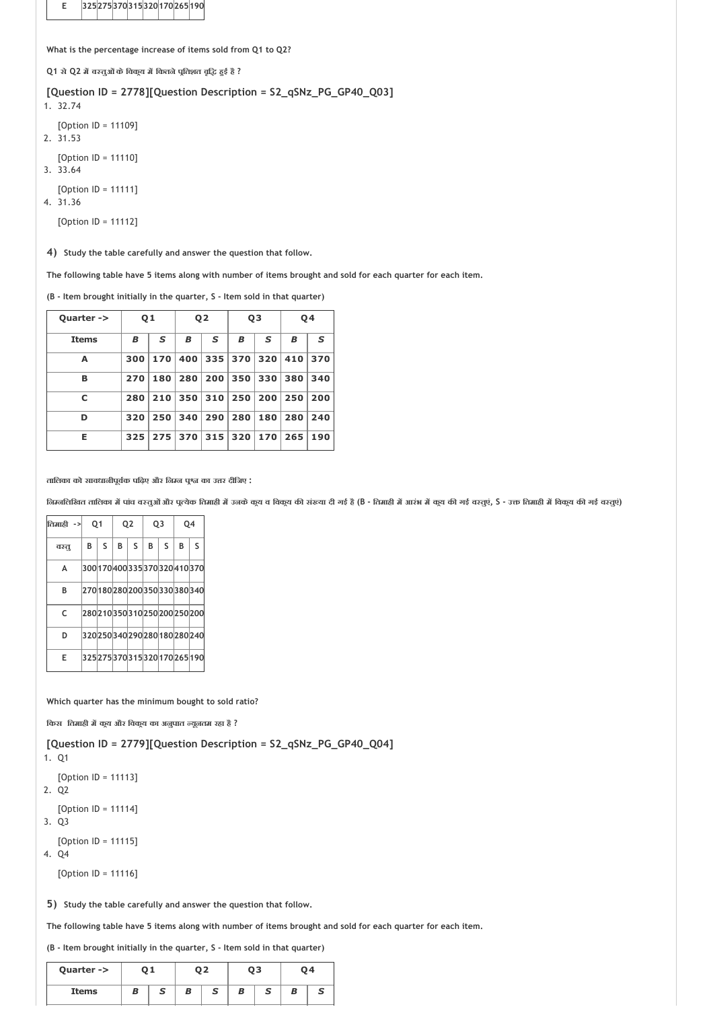**E 325275370315320170265190**

**What is the percentage increase of items sold from Q1 to Q2?**

**Q1 से Q2 म व तुओंकेिवक य म िकतनेप ितशत वृि ह ई है ?**

**[Question ID = 2778][Question Description = S2\_qSNz\_PG\_GP40\_Q03]**

1. 32.74

[Option ID = 11109]

2. 31.53

[Option ID = 11110]

3. 33.64

[Option ID = 11111] 4. 31.36

[Option ID = 11112]

**4) Study the table carefully and answer the question that follow.**

**The following table have 5 items along with number of items brought and sold for each quarter for each item.**

**(B ‐ Item brought initially in the quarter, S ‐ Item sold in that quarter)**

| Quarter ->   | Q <sub>1</sub> |     | Q <sub>2</sub> |     | Q3  |     | Q4  |     |
|--------------|----------------|-----|----------------|-----|-----|-----|-----|-----|
| <b>Items</b> | В              | S   | B              | S   | В   | S   | В   | S   |
| Α            | 300            | 170 | 400            | 335 | 370 | 320 | 410 | 370 |
| в            | 270            | 180 | 280            | 200 | 350 | 330 | 380 | 340 |
| c            | 280            | 210 | 350            | 310 | 250 | 200 | 250 | 200 |
| D            | 320            | 250 | 340            | 290 | 280 | 180 | 280 | 240 |
| Е            | 325            | 275 | 370            | 315 | 320 | 170 | 265 | 190 |

**तािलका को सावधानीपूव क पिढ़ए और िन न प का उ र दीिजए :**

निम्नलिखित तालिका में पांच वस्तुओं और पूत्येक तिमाही में उनके कुय व विकुय की संख्या दी गई है (B - तिमाही में आरंभ में कुय की गई वस्तूएं, S - उक्त तिमाही में विकुय की गई वस्तूएं)

| तिमाठी -> | 01 |   | Q <sub>2</sub> |   | Q <sub>3</sub>                  |   | 04 |   |
|-----------|----|---|----------------|---|---------------------------------|---|----|---|
| वश्तू     | B  | S | B              | S | B                               | S | B  | S |
| A         |    |   |                |   | 300 170 400 335 370 320 410 370 |   |    |   |
| B         |    |   |                |   | 270180280200350330380340        |   |    |   |
| C         |    |   |                |   | 280 210 350 310 250 200 250 200 |   |    |   |
| D         |    |   |                |   | 320 250 340 290 280 180 280 240 |   |    |   |
| E         |    |   |                |   | 325 275 370 315 320 170 265 190 |   |    |   |

**Which quarter has the minimum bought to sold ratio?**

**िकस ितमाही म क य और िवक य का अनुपात यूनतम रहा है ?**

**[Question ID = 2779][Question Description = S2\_qSNz\_PG\_GP40\_Q04]**

1. Q1

[Option ID = 11113] 2. Q2

[Option ID = 11114]

3. Q3

[Option ID = 11115]

4. Q4

[Option ID = 11116]

**5) Study the table carefully and answer the question that follow.**

**The following table have 5 items along with number of items brought and sold for each quarter for each item.**

**(B ‐ Item brought initially in the quarter, S ‐ Item sold in that quarter)**

| Quarter -> |   |   |   | ר ה |   | QЗ | 04 |
|------------|---|---|---|-----|---|----|----|
| Items      | в | s | в | ٥   | в |    |    |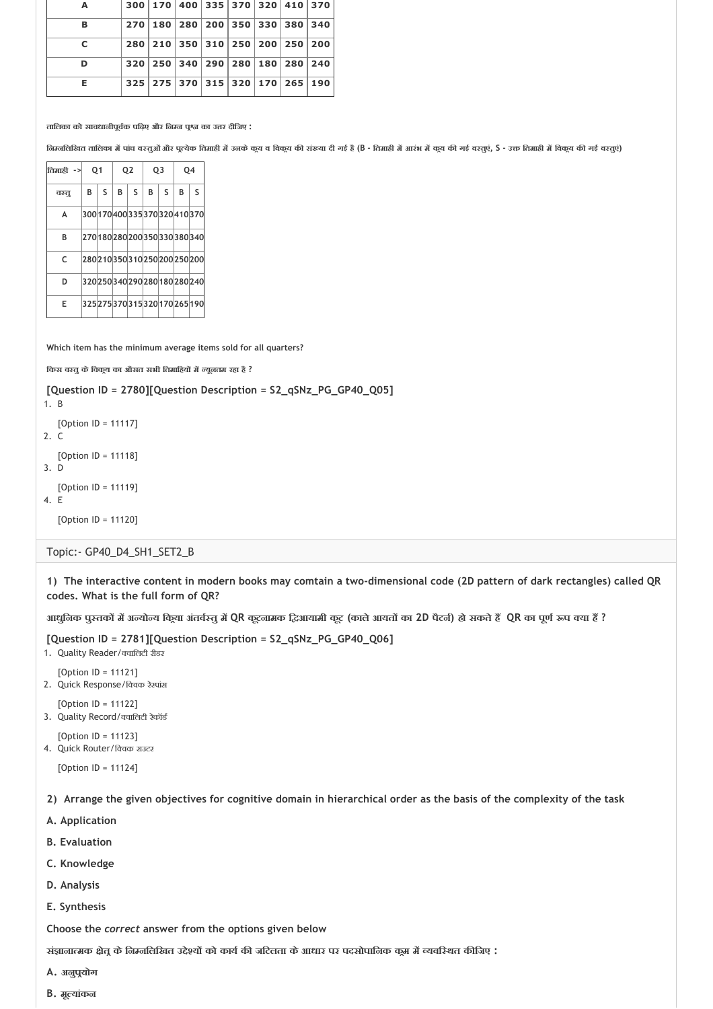| A  | 300   170   400   335   370   320   410   370 |  |  |  |
|----|-----------------------------------------------|--|--|--|
| В  | 270   180   280   200   350   330   380   340 |  |  |  |
| c  | 280 210 350 310 250 200 250 200               |  |  |  |
| D  | 320 250 340 290 280 180 280 240               |  |  |  |
| Е. | 325 275 370 315 320 170 265 190               |  |  |  |

**तािलका को सावधानीपूव क पिढ़ए और िन न प का उ र दीिजए :**

निम्नलिखित तालिका में पांच वस्तुओं और पूत्येक तिमाही में उनके कुय व विकुय की संख्या दी गई है (B - तिमाही में आरंभ में कुय की गई वस्तूएं, S - उक्त तिमाही में विकुय की गई वस्तूएं)

| तिमाही -> |   | 01 |   | Q <sub>2</sub> | Q <sub>3</sub> |   |   | Q4                              |
|-----------|---|----|---|----------------|----------------|---|---|---------------------------------|
| वश्तू     | B | S  | B | S              | B              | S | B | S                               |
| A         |   |    |   |                |                |   |   | 300 170 400 335 370 320 410 370 |
| B         |   |    |   |                |                |   |   | 270180280200350330380340        |
| C         |   |    |   |                |                |   |   | 280 210 350 310 250 200 250 200 |
| D         |   |    |   |                |                |   |   | 320250340290280180280240        |
| E         |   |    |   |                |                |   |   | 325 275 370 315 320 170 265 190 |

**Which item has the minimum average items sold for all quarters?**

**िकस व तुकेिवक य का औसत सभी ितमािहय म यूनतम रहा है ?**

**[Question ID = 2780][Question Description = S2\_qSNz\_PG\_GP40\_Q05]**

1. B [Option ID = 11117] 2. C [Option ID = 11118] 3. D [Option ID = 11119] 4. E [Option ID = 11120]

Topic:‐ GP40\_D4\_SH1\_SET2\_B

**1) The interactive content in modern books may comtain a two‐dimensional code (2D pattern of dark rectangles) called QR codes. What is the full form of QR?**

आधुनिक पुस्तकों में अन्योन्य किया अंतर्वस्तु में QR कूटनामक दिआयामी कूट (काले आयतों का 2D पैटर्न) हो सकते हैं QR का पूर्ण रूप क्या हैं ?

**[Question ID = 2781][Question Description = S2\_qSNz\_PG\_GP40\_Q06]**

- 1. Quality Reader/ वािलटी रीडर
- [Option ID = 11121]
- 2. Quick Response/विवक रेस्पांस
- $[Option II = 11122]$ 3. Ouality Record/ क्वालिटी रेकॉर्ड
- [Option ID = 11123]
- 4. Quick Router/विवक राउटर

[Option ID = 11124]

**2) Arrange the given objectives for cognitive domain in hierarchical order as the basis of the complexity of the task**

- **A. Application**
- **B. Evaluation**
- **C. Knowledge**
- **D. Analysis**
- **E. Synthesis**

**Choose the** *correct* **answer from the options given below**

**सं ाना मक ेत केिन निलिखत उ े य को काय क जिटलता केआधार पर पदसोपािनक क म म यवि थत क िजए :**

- **A. अनुप योग**
- **B. मू यांकन**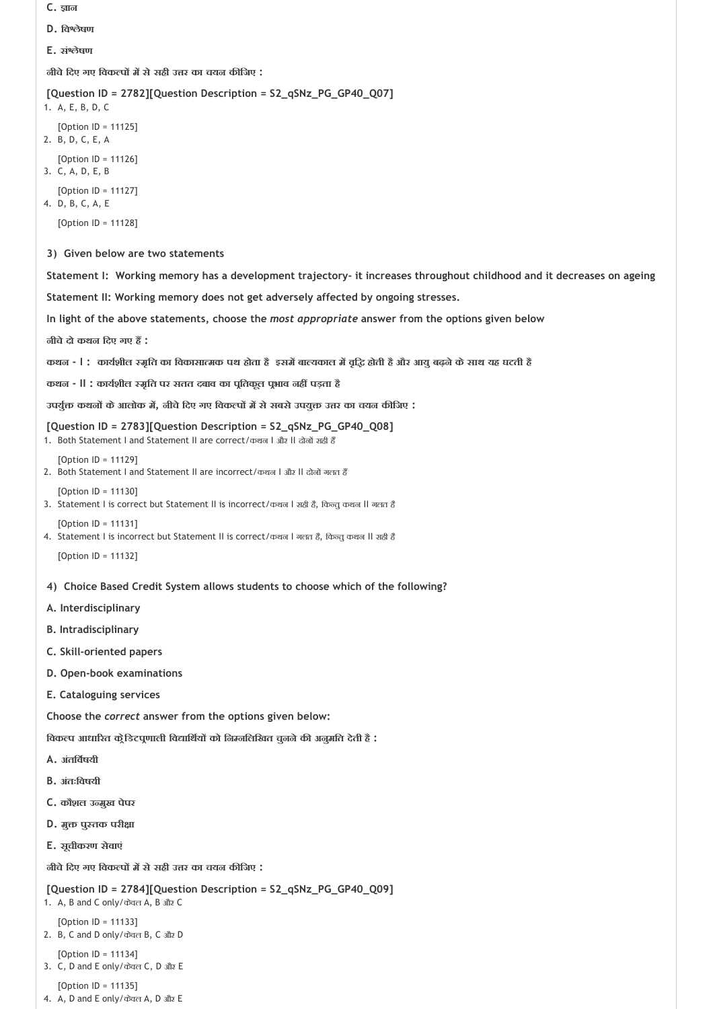- 
- **E. सं ेषण**

**3) Given below are two statements C. ान D. िव ेषण नीचेिदए गए िवक प म सेसही उ र का चयन क िजए : [Question ID = 2782][Question Description = S2\_qSNz\_PG\_GP40\_Q07]** 1. A, E, B, D, C [Option ID = 11125] 2. B, D, C, E, A [Option ID = 11126] 3. C, A, D, E, B [Option ID = 11127] 4. D, B, C, A, E [Option ID = 11128] **Statement I: Working memory has a development trajectory‐ it increases throughout childhood and it decreases on ageing Statement II: Working memory does not get adversely affected by ongoing stresses. In light of the above statements, choose the** *most appropriate* **answer from the options given below नीचेदो कथन िदए गए ह : कथन ‐ I : काय शील मृित का िवकासा मक पथ होता हैइसम बा यकाल म वृि होती हैऔर आयुबढ़नेकेसाथ यह घटती है 4) Choice Based Credit System allows students to choose which of the following? कथन ‐ II : काय शील मृित पर सतत दबाव का प ितकूल प भाव नह पड़ता है उपयु कथन केआलोक म , नीचेिदए गए िवक प म सेसबसेउपयु उ र का चयन क िजए : [Question ID = 2783][Question Description = S2\_qSNz\_PG\_GP40\_Q08]** 1. Both Statement I and Statement II are correct/कथन I और II दोनों सही हैं [Option ID = 11129] 2. Both Statement I and Statement II are incorrect/कथन I और II दोनों गलत हैं [Option ID = 11130] 3. Statement I is correct but Statement II is incorrect/कथन I सही है, किन्तु कथन II गलत है [Option ID = 11131] 4. Statement I is incorrect but Statement II is correct/कथज I गलत है, किन्तु कथज II सही है [Option ID = 11132] **A. Interdisciplinary B. Intradisciplinary C. Skill‐oriented papers D. Open‐book examinations E. Cataloguing services Choose the** *correct* **answer from the options given below: िवक प आधा रत क ेिडटप णाली िव ािथ य को िन निलिखत चुननेक अनुमित देती है : A. अंतिव षयी B. अंतःिवषयी**

- **C. कौशल उ मुख पेपर**
- **D. मुक्त पुस्तक परीक्षा**
- **E. सूचीकरण सेवाएं**

**नीचेिदए गए िवक प म सेसही उ र का चयन क िजए :**

```
[Question ID = 2784][Question Description = S2_qSNz_PG_GP40_Q09]
1. A, B and C only/केवल A, B और C
```

```
[Option ID = 11133]
2. B, C and D only/केवल B, C और D
   [Option ID = 11134]
```

```
3. C, D and E only/केवल C, D और E
```

```
[Option ID = 11135]
4. A, D and E only/केवल A, D और E
```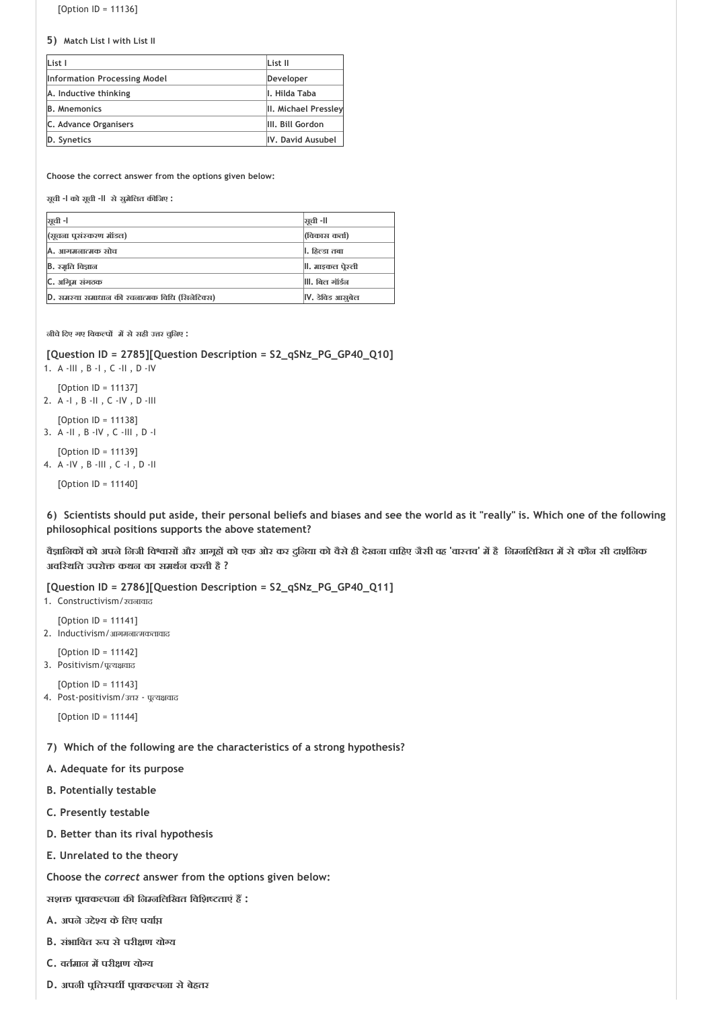[Option ID = 11136]

**5) Match List I with List II**

| List I                              | List II              |
|-------------------------------------|----------------------|
| <b>Information Processing Model</b> | Developer            |
| A. Inductive thinking               | II. Hilda Taba       |
| <b>B.</b> Mnemonics                 | II. Michael Pressley |
| C. Advance Organisers               | III. Bill Gordon     |
| D. Synetics                         | IV. David Ausubel    |

**Choose the correct answer from the options given below:**

**सूची ‐I को सूची ‐II सेसुमेिलत क िजए :**

| ञ्जूची -।                                     | ञ्जूची -ll       |
|-----------------------------------------------|------------------|
| (भूचना पुसंस्करण मॉडल)                        | (विकास कर्ता)    |
| A. आगमनात्मक सोच                              | ।।. हिल्डा तबा   |
| B. रम्रति विज्ञान                             | , माइकल पेस्ली   |
| C. अग्रिम संगठक                               | , बिल गॉर्डन     |
| D. समस्या समाधान की रचनात्मक विधि (सिनेटिक्स) | IV. डेविड आसूबेल |

**नीचेिदए गए िवक प म सेसही उ र चुिनए :**

**[Question ID = 2785][Question Description = S2\_qSNz\_PG\_GP40\_Q10]**

- 1. A ‐III , B ‐I , C ‐II , D ‐IV
- [Option ID = 11137] 2. A ‐I , B ‐II , C ‐IV , D ‐III
- [Option ID = 11138]
- 3. A ‐II , B ‐IV , C ‐III , D ‐I
- [Option ID = 11139] 4. A ‐IV , B ‐III , C ‐I , D ‐II

[Option ID = 11140]

**6) Scientists should put aside, their personal beliefs and biases and see the world as it "really" is. Which one of the following philosophical positions supports the above statement?**

वैज्ञानिकों को अपने निजी विश्वासों और आगूहों को एक ओर कर दुनिया को वैसे ही देखना चाहिए जैसी वह 'वास्तव' में है |निम्नलिखित में से कौन सी दार्शनिक **अवि थित उपरो कथन का समथ न करती है ?**

**[Question ID = 2786][Question Description = S2\_qSNz\_PG\_GP40\_Q11]**

- 1. Constructivism/रचनावाद
- [Option ID = 11141] 2. Inductivism/आगमनात्मकतावाद
- [Option ID = 11142] 3. Positivism/पूत्यक्षवाद

[Option ID = 11143]

4. Post-positivism/उत्तर - पूत्यक्षवाद

[Option ID = 11144]

**7) Which of the following are the characteristics of a strong hypothesis?** 

- **A. Adequate for its purpose**
- **B. Potentially testable**
- **C. Presently testable**
- **D. Better than its rival hypothesis**
- **E. Unrelated to the theory**

**Choose the** *correct* **answer from the options given below:**

**सश प ा क पना क िन निलिखत िविश ताएं ह :**

- **A. अपनेउ े य केिलए पया**
- **B. संभािवत प सेपरी ण यो य**
- **C. वत मान म परी ण यो य**
- **D. अपनी प ित पध प ा क पना सेबेहतर**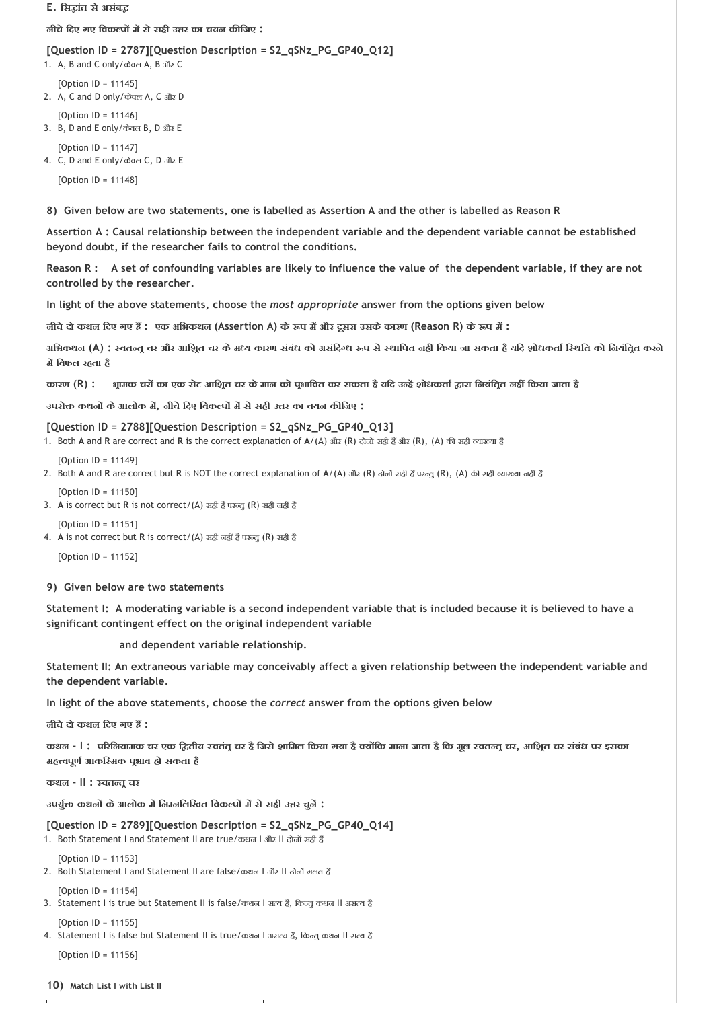#### **E. िस ांत सेअसंब**

**नीचेिदए गए िवक प म सेसही उ र का चयन क िजए :**

#### **[Question ID = 2787][Question Description = S2\_qSNz\_PG\_GP40\_Q12]**

- 1. A, B and C only/केवल A, B और C
- [Option ID = 11145] 2. A, C and D only/केवल A, C और D
- [Option ID = 11146] 3. B, D and E only/केवल B, D और E
- [Option ID = 11147] 4. C, D and E only/केवल C, D और E
	- [Option ID = 11148]

**8) Given below are two statements, one is labelled as Assertion A and the other is labelled as Reason R** 

**Assertion A : Causal relationship between the independent variable and the dependent variable cannot be established beyond doubt, if the researcher fails to control the conditions.** 

**Reason R : A set of confounding variables are likely to influence the value of the dependent variable, if they are not controlled by the researcher.** 

**In light of the above statements, choose the** *most appropriate* **answer from the options given below** 

**नीचेदो कथन िदए गए ह : एक अिभकथन (Assertion A) के प म और दूसरा उसकेकारण (Reason R) के प म :**

अभिकथन (A) : स्वतन्तु चर और आशित चर के मध्य कारण संबंध को असंदिग्ध रूप से स्थापित नहीं किया जा सकता है यदि शोधकर्ता स्थिति को नियंतित करने **म िवफल रहता है**

कारण (R) : श्रामक चरों का एक सेट आश्रित चर के मान को पुभावित कर सकता है यदि उन्हें शोधकर्ता द्वारा नियंतित नहीं किया जाता है

**उपरो कथन केआलोक म , नीचेिदए िवक प म सेसही उ र का चयन क िजए :**

## **[Question ID = 2788][Question Description = S2\_qSNz\_PG\_GP40\_Q13]**

- 1. Both **A** and **R** are correct and **R** is the correct explanation of **A**/(A) और (R) दोनों सही हैं और (R), (A) की सही व्याख्या है
- [Option ID = 11149]
- 2. Both A and R are correct but R is NOT the correct explanation of A/(A) और (R) दोनों सही हैं परन्तु (R), (A) की सही व्याख्या नहीं हैं
- [Option ID = 11150]
- 3. A is correct but R is not correct/(A) सह़ी है परन्तु (R) सही नहीं है
- [Option ID = 11151]
- 4. A is not correct but R is correct/(A) सही नहीं है परन्तु (R) सही है

[Option ID = 11152]

#### **9) Given below are two statements**

**Statement I: A moderating variable is a second independent variable that is included because it is believed to have a significant contingent effect on the original independent variable**

 **and dependent variable relationship.**

**Statement II: An extraneous variable may conceivably affect a given relationship between the independent variable and the dependent variable.**

**In light of the above statements, choose the** *correct* **answer from the options given below**

**नीचेदो कथन िदए गए ह :**

कथल - | ; परिनियामक चर एक द्वितीय स्वतंतु चर है जिसे शामिल किया गया है क्योंकि माना जाता है कि मूल स्वतन्तु चर, आशित चर संबंध पर इसका **मह वपूण आकि मक प भाव हो सकता है**

**कथन ‐ II : वत त चर**

**उपयु कथन केआलोक म िन निलिखत िवक प म सेसही उ र चुन :**

#### **[Question ID = 2789][Question Description = S2\_qSNz\_PG\_GP40\_Q14]**

1. Both Statement I and Statement II are true/कथन | और II दोनों सही हैं

 $[Option ID = 11153]$ 

2. Both Statement I and Statement II are false/कथन I और II दोनों गलत हैं

[Option ID = 11154]

3. Statement I is true but Statement II is false/कथन I सत्य है, किन्तु कथन II असत्य है

[Option ID = 11155]

4. Statement I is false but Statement II is true/कथन I असत्य है, किन्तु कथन II सत्य है

 $[Option ID = 11156]$ 

```
10) 
Match List I with List II
```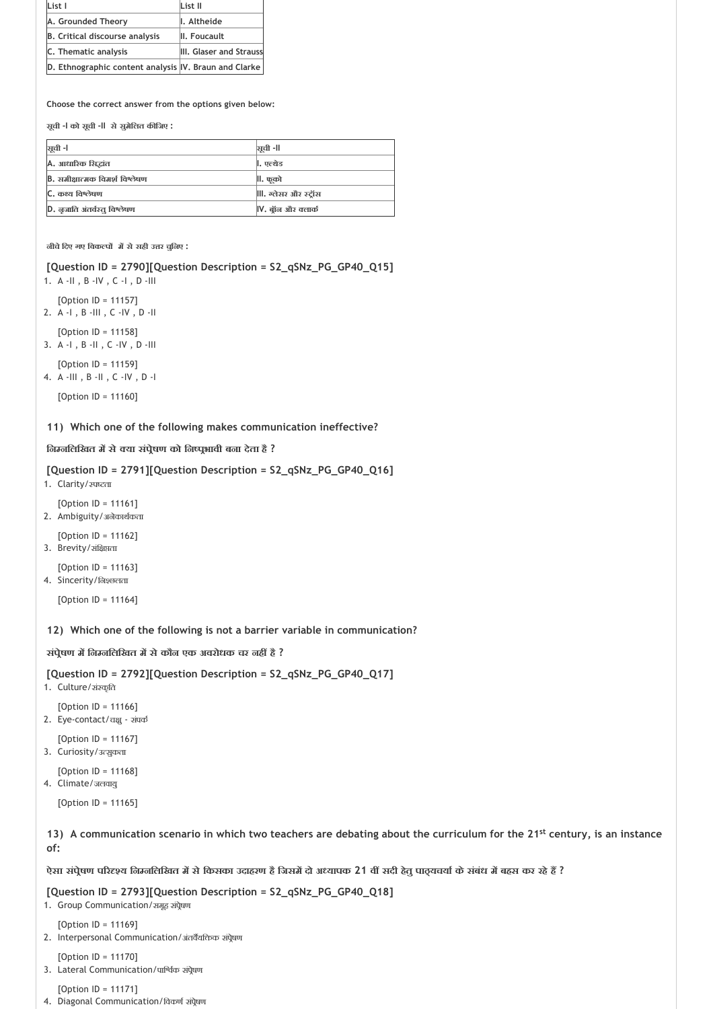| List I                                                | List II                 |
|-------------------------------------------------------|-------------------------|
| A. Grounded Theory                                    | I. Altheide             |
| <b>B.</b> Critical discourse analysis                 | II. Foucault            |
| C. Thematic analysis                                  | III. Glaser and Strauss |
| D. Ethnographic content analysis IV. Braun and Clarke |                         |

**सूची ‐I को सूची ‐II सेसुमेिलत क िजए :**

| सूची -।                        | ञ्जूची -॥           |
|--------------------------------|---------------------|
| A. आधारिक सिद्धांत             | ।. एल्थेड           |
| B. समीक्षात्मक विमर्श विश्लेषण | ll. फूको            |
| C. कथ्य विश्लेषण               | , ग्लेसर और स्ट्रॉस |
| D. जुजाति अंतर्वस्तू विश्लेषण  | IV. बॉन और क्लार्क  |

**नीचेिदए गए िवक प म सेसही उ र चुिनए :**

**[Question ID = 2790][Question Description = S2\_qSNz\_PG\_GP40\_Q15]**

1. A ‐II , B ‐IV , C ‐I , D ‐III

[Option ID = 11157] 2. A ‐I , B ‐III , C ‐IV , D ‐II

[Option ID = 11158] 3. A ‐I , B ‐II , C ‐IV , D ‐III

[Option ID = 11159] 4. A ‐III , B ‐II , C ‐IV , D ‐I

[Option ID = 11160]

**11) Which one of the following makes communication ineffective?**

**िन निलिखत म से या संप ेषण को िन प भावी बना देता है ?**

**[Question ID = 2791][Question Description = S2\_qSNz\_PG\_GP40\_Q16]**

- 1. Clarity/ रुपष्टता
- [Option ID = 11161] 2. Ambiguity/अनेकार्थकता

[Option ID = 11162]

- 3. Brevity/संक्षिप्तता
- [Option ID = 11163]

4. Sincerity/निश्छलता

[Option ID = 11164]

**12) Which one of the following is not a barrier variable in communication?**

**संप ेषण म िन निलिखत म सेकौन एक अवरोधक चर नह है ?**

**[Question ID = 2792][Question Description = S2\_qSNz\_PG\_GP40\_Q17]**

1. Culture/संस्कृति

- [Option ID = 11166]
- 2. Eye-contact/चक्षु संपर्क
- [Option ID = 11167]
- 3. Curiosity/उत्सुकता
	- [Option ID = 11168]
- 4. Climate/जलवायु

[Option ID = 11165]

13) A communication scenario in which two teachers are debating about the curriculum for the 21<sup>st</sup> century, is an instance **of:**

**ऐसा संप ेषण प र य िन निलिखत म सेिकसका उदाहरण हैिजसम दो अ यापक 21 व सदी हेतुपा यचया केसंबंध म बहस कर रहेह ?**

**[Question ID = 2793][Question Description = S2\_qSNz\_PG\_GP40\_Q18]**

- 1. Group Communication/समूह संपेषण
- [Option ID = 11169]
- 2. Interpersonal Communication/अंतर्वेयक्तिक संप्रेषण
	- [Option ID = 11170]
- 3. Lateral Communication/पार्श्विक संपेषण
	- [Option ID = 11171]
- 4. Diagonal Communication/विकर्ण संपेषण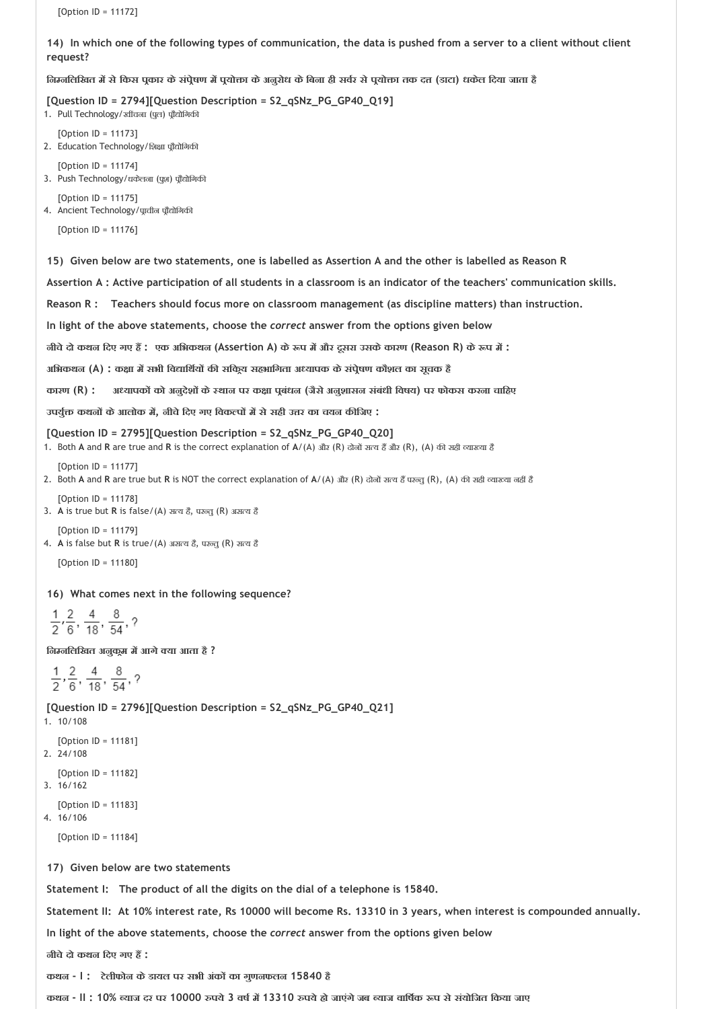[Option ID = 11172]

**14) In which one of the following types of communication, the data is pushed from a server to a client without client request?**

निम्नलिखित में से किस पूकार के संपेषण में पूयोक्ता के अनुरोध के बिना ही सर्वर से पूयोक्ता तक दत्त (डाटा) धकेल दिया जाता है

**[Question ID = 2794][Question Description = S2\_qSNz\_PG\_GP40\_Q19]**

1. Pull Technology/खींचना (पूल) पूरैद्योगिकी

[Option ID = 11173] 2. Education Technology/शिक्षा प्रौद्योगिकी

- [Option ID = 11174]
- 3. Push Technology/धकेलना (पुश) प्रौद्योगिकी

[Option ID = 11175] 4. Ancient Technology/प्राचीन प्रौद्योगिकी

[Option ID = 11176]

**15) Given below are two statements, one is labelled as Assertion A and the other is labelled as Reason R** 

**Assertion A : Active participation of all students in a classroom is an indicator of the teachers' communication skills.**

**Reason R : Teachers should focus more on classroom management (as discipline matters) than instruction.** 

```
In light of the above statements, choose the correct answer from the options given below
```
**नीचेदो कथन िदए गए ह : एक अिभकथन (Assertion A) के प म और दूसरा उसकेकारण (Reason R) के प म :**

**अिभकथन (A) : क ा म सभी िव ािथ य क सिक य सहभािगता अ यापक केसंप ेषण कौशल का सूचक है**

**कारण (R) : अ यापक को अनुदेश के थान पर क ा प बंधन (जैसेअनुशासन संबंधी िवषय) पर फोकस करना चािहए**

**उपयु कथन केआलोक म , नीचेिदए गए िवक प म सेसही उ र का चयन क िजए :**

#### **[Question ID = 2795][Question Description = S2\_qSNz\_PG\_GP40\_Q20]**

1. Both A and R are true and R is the correct explanation of A/(A) और (R) दोनों सत्य हैं और (R), (A) की सही व्याख्या है

[Option ID = 11177] 2. Both A and R are true but R is NOT the correct explanation of A/(A) और (R) दोनों सत्य हैं परन्तु (R), (A) की सही व्याख्या नहीं है

[Option ID = 11178]

3. A is true but R is false/(A) सत्य है, परन्तु (R) असत्य है

```
[Option ID = 11179]
4. A is false but R is true/(A) असत्य है, परन्तु (R) सत्य है
```
[Option ID = 11180]

**16) What comes next in the following sequence?**

 $\frac{1}{2}, \frac{2}{6}, \frac{4}{18}, \frac{8}{54}, ?$ 

**िन निलिखत अनुक म म आगे या आता है ?**

 $\frac{1}{2}$ ,  $\frac{2}{6}$ ,  $\frac{4}{18}$ ,  $\frac{8}{54}$ , ?

**[Question ID = 2796][Question Description = S2\_qSNz\_PG\_GP40\_Q21]**

```
1. 10/108
   [Option ID = 11181]
2. 24/108
   [Option ID = 11182]
3. 16/162
   [Option ID = 11183]
4. 16/106
```
[Option ID = 11184]

**17) Given below are two statements**

**Statement I: The product of all the digits on the dial of a telephone is 15840.**

**Statement II: At 10% interest rate, Rs 10000 will become Rs. 13310 in 3 years, when interest is compounded annually.** 

**In light of the above statements, choose the** *correct* **answer from the options given below**

**नीचेदो कथन िदए गए ह :**

**कथन ‐ I : टेलीफोन केडायल पर सभी अंक का गुणनफलन 15840 है**

**कथन ‐ II : 10% याज दर पर 10000 पये 3 वष म 13310 पयेहो जाएंगेजब याज वािष क प सेसंयोिजत िकया जाए**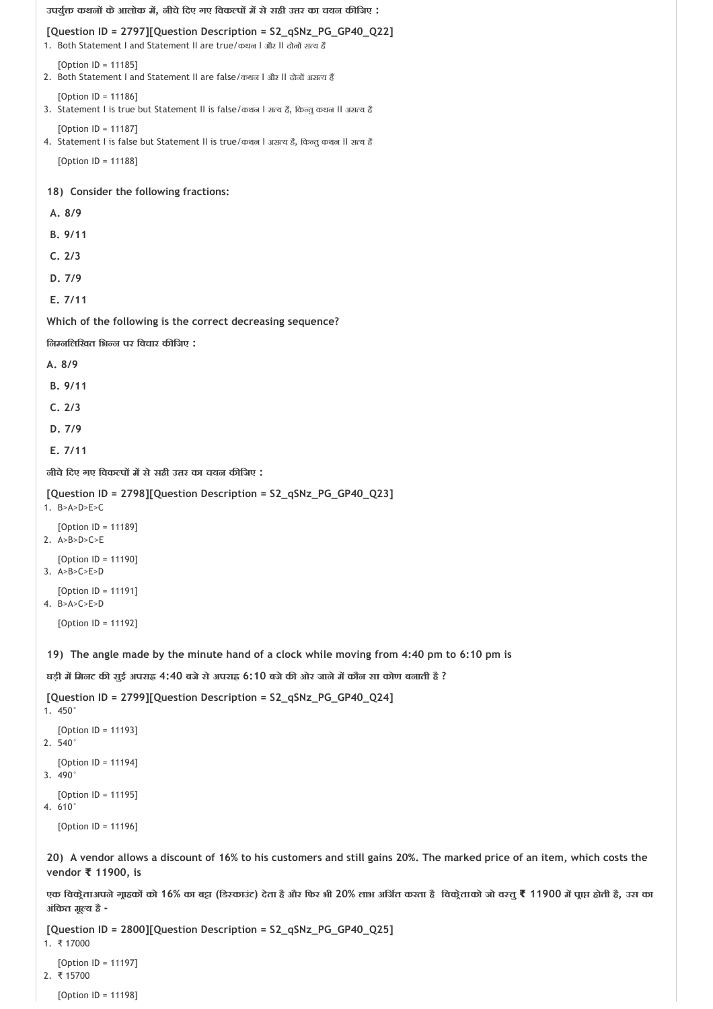```
18) 
Consider the following fractions:
 19) 
The angle made by the minute hand of a clock while moving from 4:40 pm to 6:10 pm is
 20) 
A vendor allows a discount of 16% to his customers and still gains 20%. The marked price of an item, which costs the
उपयु कथन केआलोक म , नीचेिदए गए िवक प म सेसही उ र का चयन क िजए :
[Question ID = 2797][Question Description = S2_qSNz_PG_GP40_Q22]
1. Both Statement I and Statement II are true/कथन I और II दोनों सत्य हैं
   [Option In = 11185]2. Both Statement I and Statement II are false/कथन I और II दोनों असत्य हैं
   [Option ID = 11186]
3. Statement I is true but Statement II is false/कथन I सत्य है, किन्तु कथन II असत्य है
   [Option ID = 11187]
4. Statement I is false but Statement II is true/कथन I असत्य है, किन्तु कथन II सत्य है
   [Option ID = 11188]
  A. 8/9
  B. 9/11
  C. 2/3
  D. 7/9
  E. 7/11 
Which of the following is the correct decreasing sequence?
िन निलिखत िभ न पर िवचार क िजए :
A. 8/9
  B. 9/11
  C. 2/3
  D. 7/9
  E. 7/11 
नीचेिदए गए िवक प म सेसही उ र का चयन क िजए :
[Question ID = 2798][Question Description = S2_qSNz_PG_GP40_Q23]
1. B>A>D>E>C
   [Option ID = 11189]
2. A>B>D>C>E
   [Option ID = 11190]
3. A>B>C>E>D
   [Option ID = 11191]
4. B>A>C>E>D
   [Option ID = 11192]
घड़ी म िमनट क सुई अपरा 4:40 बजेसेअपरा 6:10 बजेक ओर जानेम कौन सा कोण बनाती है ?
[Question ID = 2799][Question Description = S2_qSNz_PG_GP40_Q24]
1. 450°
   [Option ID = 11193]
2. 540°
   [Option ID = 11194]
3. 490°
   [Option ID = 11195]
4. 610°
   [Option ID = 11196]
vendor ₹ 11900, is
एक विक्रेताअपने गृहकों को 16% का बट्टा (डिस्काउंट) देता है और फिर भी 20% लाभ अर्जित करता है विक्रेताको जो वस्तू ₹ 11900 में पूाप्त होती है, उस का
अंिकत मू य है ‐
```

```
[Question ID = 2800][Question Description = S2_qSNz_PG_GP40_Q25]
```
1. ₹ 17000 [Option ID = 11197] 2. ₹ 15700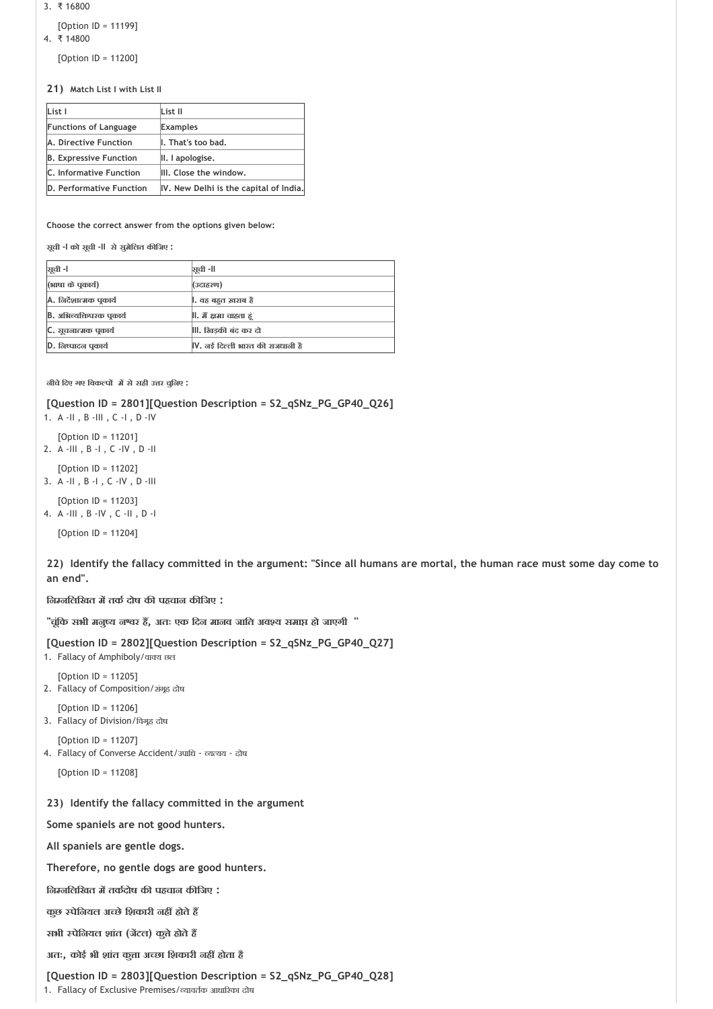```
3. ₹ 16800
```

```
[Option ID = 11199]
4. ₹ 14800
```
[Option ID = 11200]

**21) Match List I with List II**

| List I                        | List II                                |
|-------------------------------|----------------------------------------|
| <b>Functions of Language</b>  | <b>Examples</b>                        |
| A. Directive Function         | I. That's too bad.                     |
| <b>B. Expressive Function</b> | II. I apologise.                       |
| C. Informative Function       | III. Close the window.                 |
| D. Performative Function      | IV. New Delhi is the capital of India. |

**Choose the correct answer from the options given below:**

**सूची ‐I को सूची ‐II सेसुमेिलत क िजए :**

| ञ्जूची -।                       | ञ्चची -॥                                     |
|---------------------------------|----------------------------------------------|
| (भाषा के पूकार्य)               | (उदाहरण)                                     |
| A. लिर्देशात्मक पुकार्य         | ।. वह बहुत ख़राब है                          |
| <b>B.</b> अभिव्यक्तिपरक पुकार्य | ll. मैं क्षमा चाहता हं                       |
| C. सूचनात्मक पुकार्य            | , ख़िडकी बंद कर दो                           |
| D. निष्पादन पकार्य              | $\parallel$ V. नई दिल्ली भारत की राजधानी हैं |

**नीचेिदए गए िवक प म सेसही उ र चुिनए :**

**[Question ID = 2801][Question Description = S2\_qSNz\_PG\_GP40\_Q26]**

1. A ‐II , B ‐III , C ‐I , D ‐IV

[Option ID = 11201] 2. A ‐III , B ‐I , C ‐IV , D ‐II

[Option ID = 11202] 3. A ‐II , B ‐I , C ‐IV , D ‐III

[Option ID = 11203] 4. A ‐III , B ‐IV , C ‐II , D ‐I

[Option ID = 11204]

**22) Identify the fallacy committed in the argument: "Since all humans are mortal, the human race must some day come to an end".**

**िन निलिखत म तक दोष क पहचान क िजए :**

**''चूंिक सभी मनु य न र ह , अतः एक िदन मानव जाित अव य समा हो जाएगी ''**

## **[Question ID = 2802][Question Description = S2\_qSNz\_PG\_GP40\_Q27]**

- 1. Fallacy of Amphiboly/वाक्य छल
- [Option ID = 11205] 2. Fallacy of Composition/संगूह दोष
- [Option ID = 11206]
- 3. Fallacy of Division/विगूह दोष
- [Option ID = 11207] 4. Fallacy of Converse Accident/उपाधि - व्यत्यय - दोष
	- [Option ID = 11208]

## **23) Identify the fallacy committed in the argument**

**Some spaniels are not good hunters.**

**All spaniels are gentle dogs.** 

**Therefore, no gentle dogs are good hunters.**

**िन निलिखत म तक दोष क पहचान क िजए :**

**कुछ पेिनयल अ छेिशकारी नह होतेह** 

**सभी पेिनयल शांत (ज टल) कु ेहोतेह** 

**अतः, कोई भी शांत कु ा अ छा िशकारी नह होता है**

**[Question ID = 2803][Question Description = S2\_qSNz\_PG\_GP40\_Q28]**

1. Fallacy of Exclusive Premises/ व्यावर्तक आधारिका दोष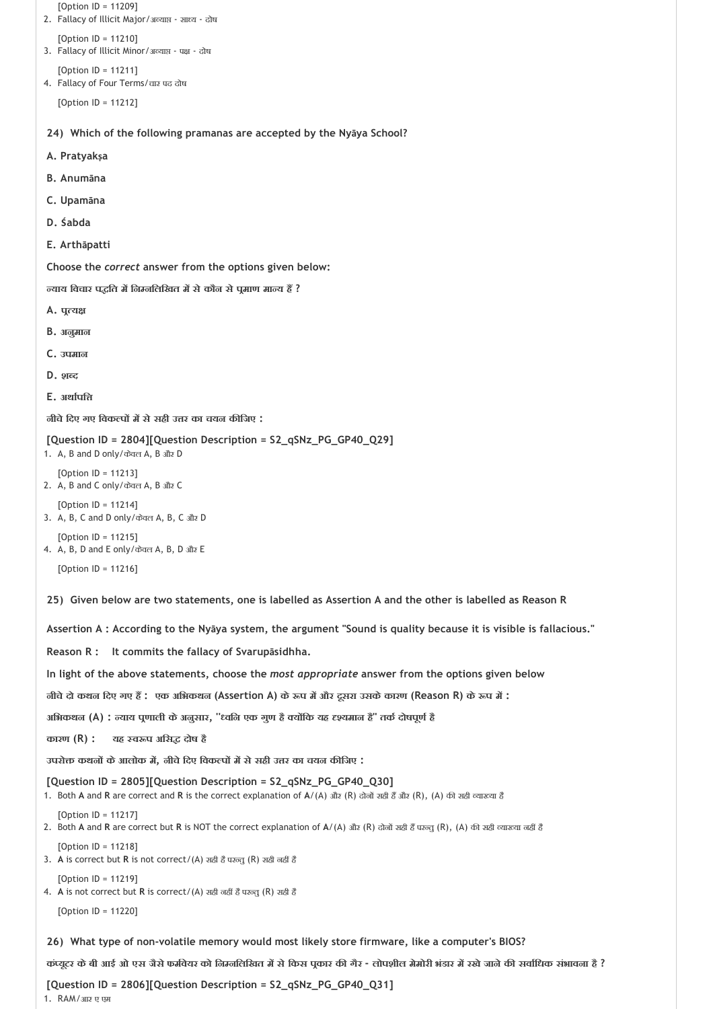```
24) 
Which of the following pramanas are accepted by the Nyāya School?
   [Option ID = 11209]
2. Fallacy of Illicit Major/अव्याप्त - साध्य - दोष
   [Option ID = 11210]
3. Fallacy of Illicit Minor/अल्याप्त - पक्ष - दोष
   [Option ID = 11211]
4. Fallacy of Four Terms/चार पद दोष
   [Option ID = 11212]
A. Pratyakṣa
```
- **B. Anumāna**
- **C. Upamāna**
- **D. S abda**
- **E. Arthāpatti**

 **याय िवचार प ित म िन निलिखत म सेकौन सेप माण मा य ह ?**

- A. **पुत्य**क्ष
- **B. अनुमान**
- **C. उपमान**
- D. **शब्द**
- **E. अथा पि**

**नीचेिदए गए िवक प म सेसही उ र का चयन क िजए :**

```
[Question ID = 2804][Question Description = S2_qSNz_PG_GP40_Q29]
```

```
1. A, B and D only/केवल A, B और D
```

```
[Option ID = 11213]
2. A, B and C only/केवल A, B और C
```

```
[Option ID = 11214]
```
3. A, B, C and D only/केवल A, B, C और D

[Option ID = 11215] 4. A, B, D and E only/केवल A, B, D और E

[Option ID = 11216]

**25) Given below are two statements, one is labelled as Assertion A and the other is labelled as Reason R** 

**Assertion A : According to the Nyāya system, the argument "Sound is quality because it is visible is fallacious."** 

**Reason R : It commits the fallacy of Svarupāsidhha.** 

**In light of the above statements, choose the** *most appropriate* **answer from the options given below** 

**नीचेदो कथन िदए गए ह : एक अिभकथन (Assertion A) के प म और दूसरा उसकेकारण (Reason R) के प म :**

**अिभकथन (A) : याय प णाली केअनुसार, '' विन एक गुण है य िक यह यमान है'' तक दोषपूण है**

**कारण (R) : यह व प अिस दोष है**

**उपरो कथन केआलोक म , नीचेिदए िवक प म सेसही उ र का चयन क िजए :**

**[Question ID = 2805][Question Description = S2\_qSNz\_PG\_GP40\_Q30]**

1. Both A and R are correct and R is the correct explanation of A/(A) और (R) दोनों सही हैं और (R), (A) की सही व्याख्या है

[Option ID = 11217]

- 2. Both A and R are correct but R is NOT the correct explanation of A/(A) और (R) दोनों सही हैं परन्तु (R), (A) की सही व्याख्या नहीं हैं [Option ID = 11218]
- 3. A is correct but R is not correct/(A) सही है परन्तु (R) सही नहीं है
- 4. A is not correct but R is correct/(A) सही नहीं है परन्तु (R) सही है

[Option ID = 11220]

[Option ID = 11219]

**26) What type of non‐volatile memory would most likely store firmware, like a computer's BIOS?**

कंप्यूटर के बी आई ओ एस जैसे फर्मवेयर को निम्नलिखित में से किस पुकार की गैर - लोपशील मेमोरी भंडार में रखे जाने की सर्वाधिक संभावना है ?

**[Question ID = 2806][Question Description = S2\_qSNz\_PG\_GP40\_Q31]** 1. RAM/आर ए एम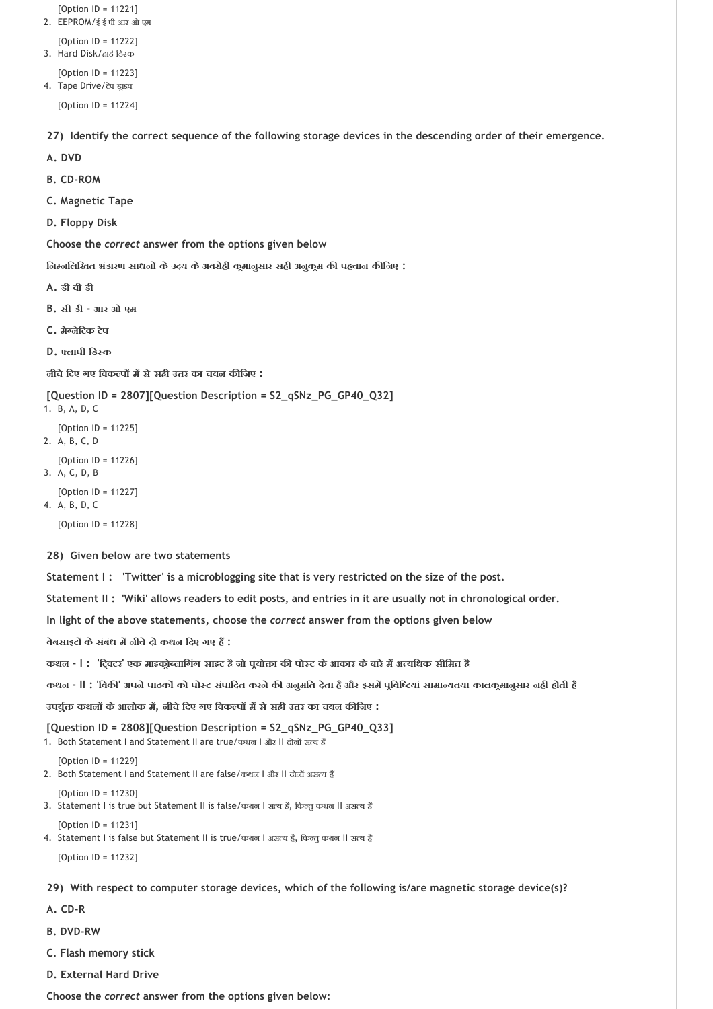```
27) 
Identify the correct sequence of the following storage devices in the descending order of their emergence.
 28) 
Given below are two statements
 29) 
With respect to computer storage devices, which of the following is/are magnetic storage device(s)?
   [Option ID = 11221]
2. EEPROM/ई ई पी आर ओ एम
   [Option ID = 11222]
3. Hard Disk/हार्ड डिस्क
   [Option ID = 11223]
4. Tape Drive/टेप ड्राइव
   [Option ID = 11224]
A. DVD
B. CD‐ROM
C. Magnetic Tape
D. Floppy Disk 
Choose the correct answer from the options given below
िन निलिखत भंडारण साधन केउदय केअवरोही क मानुसार सही अनुक म क पहचान क िजए :
A. डी वी डी
B. सी डी ‐ आर ओ एम
C. मे नेिटक टेप
D. लापी िड क
नीचेिदए गए िवक प म सेसही उ र का चयन क िजए :
[Question ID = 2807][Question Description = S2_qSNz_PG_GP40_Q32]
1. B, A, D, C
   [Option ID = 11225]
2. A, B, C, D
   [Option ID = 11226]
3. A, C, D, B
   [Option ID = 11227]
4. A, B, D, C
   [Option ID = 11228]
Statement I : 'Twitter' is a microblogging site that is very restricted on the size of the post.
Statement II : 'Wiki' allows readers to edit posts, and entries in it are usually not in chronological order.
In light of the above statements, choose the correct answer from the options given below
वेबसाइट केसंबंध म नीचेदो कथन िदए गए ह :
कथन ‐ I : 'ि वटर' एक माइक ो लािगंग साइट हैजो प यो ा क पो ट केआकार केबारेम अ यिधक सीिमत है
कथन ‐ II : 'िवक ' अपनेपाठक को पो ट संपािदत करनेक अनुमित देता हैऔर इसम प िवि यां सामा यतया कालक मानुसार नह होती है
उपयु कथन केआलोक म , नीचेिदए गए िवक प म सेसही उ र का चयन क िजए :
[Question ID = 2808][Question Description = S2_qSNz_PG_GP40_Q33]
1. Both Statement I and Statement II are true/कथन I और II दोनों सत्य हैं
   [Option ID = 11229]
2. Both Statement I and Statement II are false/कथन I और II दोनों असत्य हैं
   [Option ID = 11230]
3. Statement I is true but Statement II is false/कथन I सत्य है, किन्तु कथन II असत्य है
   [Option ID = 11231]
4. Statement I is false but Statement II is true/कथन I असत्य है, किन्तु कथन II सत्य है
   [Option ID = 11232]
A. CD‐R
```
- **B. DVD‐RW**
- **C. Flash memory stick**
- **D. External Hard Drive**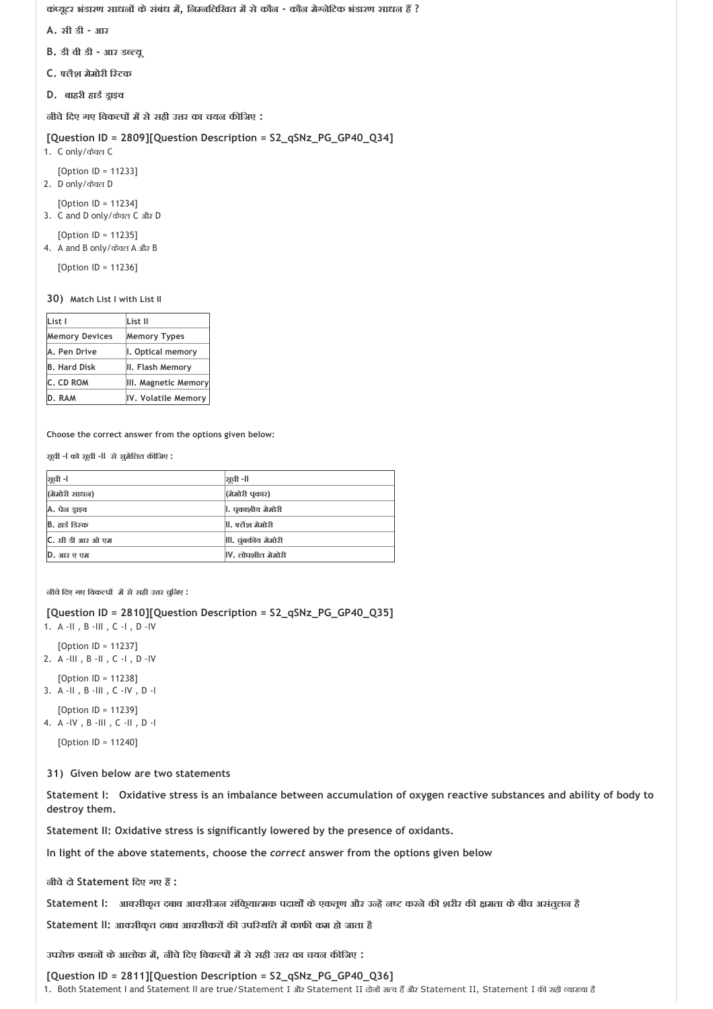**कं यूटर भंडारण साधन केसंबंध म , िन निलिखत म सेकौन ‐ कौन मे नेिटक भंडारण साधन ह ?**

- **A. सी डी ‐ आर**
- **B. डी वी डी ‐ आर ड यू**
- **C. लैश मेमोरी ि टक**
- **D. बाहरी हाड ड ाइव**

**नीचेिदए गए िवक प म सेसही उ र का चयन क िजए :**

```
[Question ID = 2809][Question Description = S2_qSNz_PG_GP40_Q34]
```

```
1. C only/केवल C
```

```
[Option ID = 11233]
2. D only/केवल D
```

```
[Option ID = 11234]
```
3. C and D only/केवल C और D

```
[Option ID = 11235]
4. A and B only/केवल A और B
```
[Option ID = 11236]

**30) Match List I with List II**

| List I                | List II              |
|-----------------------|----------------------|
| <b>Memory Devices</b> | <b>Memory Types</b>  |
| A. Pen Drive          | I. Optical memory    |
| <b>B. Hard Disk</b>   | II. Flash Memory     |
| C. CD ROM             | III. Magnetic Memory |
| D. RAM                | IV. Volatile Memory  |

**Choose the correct answer from the options given below:**

**सूची ‐I को सूची ‐II सेसुमेिलत क िजए :**

| ञूची -l          | ञ्जूची -ll                   |
|------------------|------------------------------|
| (मेमोरी साधन)    | (मेमोरी पुकार)               |
| A. पेन डाइव      | ।. पुकाशीय मेमोरी            |
| B. हार्ड डिस्क   | . पत्तैश मेमोरी              |
| C. सी डी आर ओ एम | III. चुंबकीय मेमोरी          |
| D. आर ए एम       | $\mathsf{IV.}$ लोपशील मेमोरी |

**नीचेिदए गए िवक प म सेसही उ र चुिनए :**

```
[Question ID = 2810][Question Description = S2_qSNz_PG_GP40_Q35]
```
1. A ‐II , B ‐III , C ‐I , D ‐IV

```
[Option ID = 11237]
2. A ‐III , B ‐II , C ‐I , D ‐IV
```

```
[Option ID = 11238]
3. A ‐II , B ‐III , C ‐IV , D ‐I
```

```
[Option ID = 11239]
```
4. A ‐IV , B ‐III , C ‐II , D ‐I

[Option ID = 11240]

**31) Given below are two statements**

**Statement I: Oxidative stress is an imbalance between accumulation of oxygen reactive substances and ability of body to destroy them.**

**Statement II: Oxidative stress is significantly lowered by the presence of oxidants.**

**In light of the above statements, choose the** *correct* **answer from the options given below**

**नीचेदो Statement िदए गए ह :** 

**Statement I: आ सीकृत दबाव आ सीजन संिक या मक पदाथ केएकत ण और उ ह न करनेक शरीर क मता केबीच असंतुलन है**

**Statement II: आ सीकृत दबाव आ सीकर क उपि थित म काफ कम हो जाता है**

**उपरो कथन केआलोक म , नीचेिदए िवक प म सेसही उ र का चयन क िजए :**

**[Question ID = 2811][Question Description = S2\_qSNz\_PG\_GP40\_Q36]** 1. Both Statement I and Statement II are true/Statement I और Statement II दोनों सत्य हैं और Statement II, Statement I की सही व्याख्या है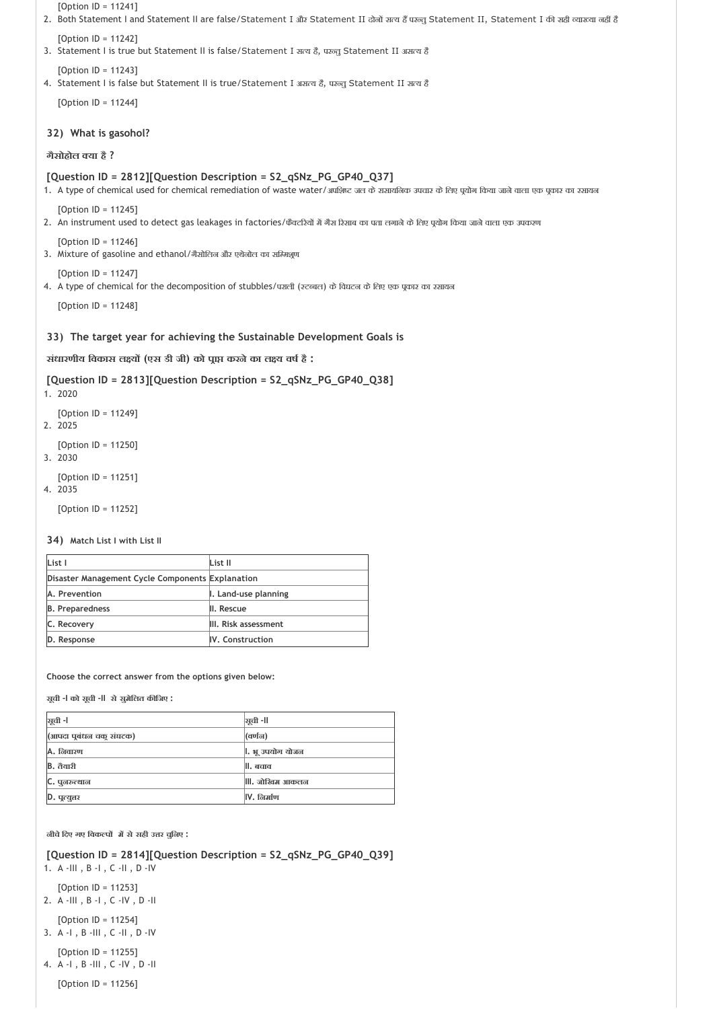**32) What is gasohol? 33) The target year for achieving the Sustainable Development Goals is** [Option ID = 11241] 2. Both Statement I and Statement II are false/Statement I और Statement II दोनों सत्य हैं परन्तु Statement II, Statement I की सही व्याख्या नहीं है [Option ID = 11242] 3. Statement I is true but Statement II is false/Statement I सत्य है, पख़्त Statement II असत्य है [Option ID = 11243] 4. Statement I is false but Statement II is true/Statement I असत्य है, परन्तु Statement II सत्य है [Option ID = 11244] **गैसोहोल या है ? [Question ID = 2812][Question Description = S2\_qSNz\_PG\_GP40\_Q37]** 1. A type of chemical used for chemical remediation of waste water/अपशिष्ट जल के रासायनिक उपचार के लिए पूयोग किया जाने वाला एक पूकार का रसायन  $[Option ID = 11245]$ 2. An instrument used to detect gas leakages in factories/फैक्टरियों में गैस रिसाब का पता लगाने के लिए पूयोग किया जाने वाला एक उपकरण [Option ID = 11246] 3. Mixture of gasoline and ethanol/गैसोलिन और एथेनोल का सम्मिश्रण [Option ID = 11247] 4. A type of chemical for the decomposition of stubbles/पराली (रटब्बल) के विघटन के लिए एक पूकार का रसायन [Option ID = 11248] **संधारणीय िवकास ल य (एस डी जी) को प ा करनेका ल य वष है : [Question ID = 2813][Question Description = S2\_qSNz\_PG\_GP40\_Q38]** 1. 2020 [Option ID = 11249] 2. 2025 [Option ID = 11250] 3. 2030 [Option ID = 11251] 4. 2035 [Option ID = 11252]

**34) Match List I with List II**

| List I                                           | List II              |
|--------------------------------------------------|----------------------|
| Disaster Management Cycle Components Explanation |                      |
| A. Prevention                                    | I. Land-use planning |
| <b>B.</b> Preparedness                           | II. Rescue           |
| C. Recovery                                      | III. Risk assessment |
| D. Response                                      | IV. Construction     |

**Choose the correct answer from the options given below:**

**सूची ‐I को सूची ‐II सेसुमेिलत क िजए :**

| ञूची -l                   | ञ्जूची -ll           |
|---------------------------|----------------------|
| (आपदा पूर्बंधन चक् संघटक) | (वर्णन)              |
| <b>A.</b> निवारण          | ।. भू उपयोग योजन     |
| <b>B.</b> तैयारी          | ll. बचाव             |
| C. पूनरुत्थान             | . जोखिम आकल <b>न</b> |
| D. पूत्युत्तर             | $IV.$ निर्माण        |

**नीचेिदए गए िवक प म सेसही उ र चुिनए :**

**[Question ID = 2814][Question Description = S2\_qSNz\_PG\_GP40\_Q39]**

1. A ‐III , B ‐I , C ‐II , D ‐IV

[Option ID = 11253]

2. A ‐III , B ‐I , C ‐IV , D ‐II

[Option ID = 11254] 3. A ‐I , B ‐III , C ‐II , D ‐IV

[Option ID = 11255]

4. A ‐I , B ‐III , C ‐IV , D ‐II

[Option ID = 11256]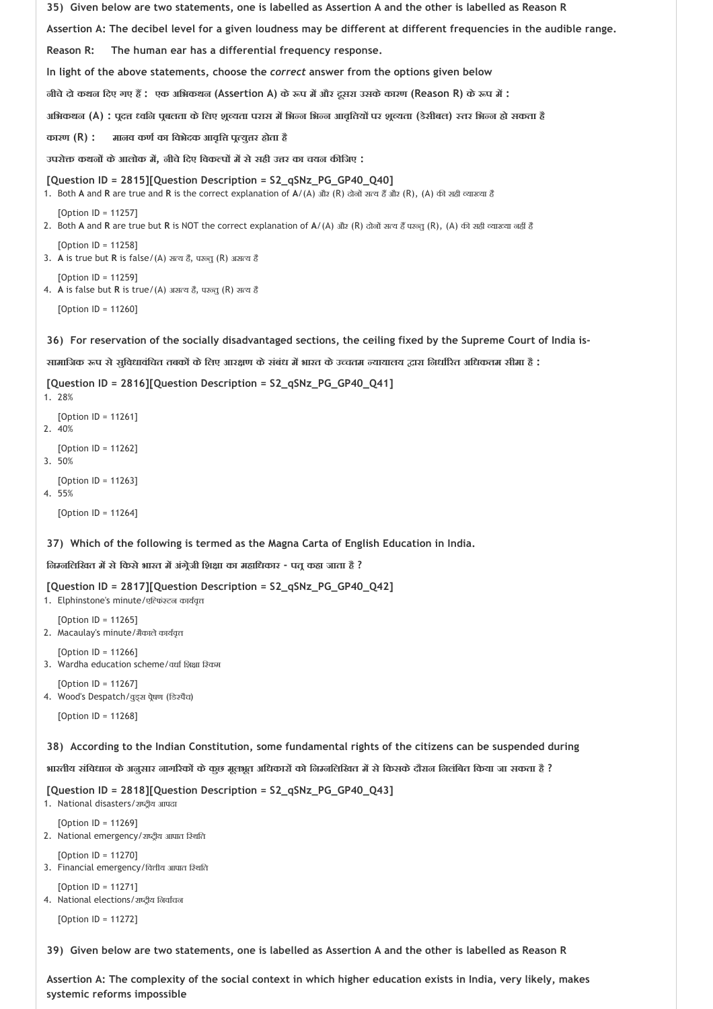```
35) 
Given below are two statements, one is labelled as Assertion A and the other is labelled as Reason R 
 36) 
For reservation of the socially disadvantaged sections, the ceiling fixed by the Supreme Court of India is‐
Assertion A: The decibel level for a given loudness may be different at different frequencies in the audible range.
Reason R: The human ear has a differential frequency response. 
In light of the above statements, choose the correct answer from the options given below
नीचेदो कथन िदए गए ह : एक अिभकथन (Assertion A) के प म और दूसरा उसकेकारण (Reason R) के प म :
अभिकथन (A) : पूदत्त ध्वनि पूबलता के लिए शूव्यता परास में भिन्न भिन्न आवृतियों पर शूव्यता (डेसीबल) स्तर भिन्न हो सकता है
कारण (R) : मानव कण का िवभेदक आवृि प यु र होता है
उपरो कथन केआलोक म , नीचेिदए िवक प म सेसही उ र का चयन क िजए :
[Question ID = 2815][Question Description = S2_qSNz_PG_GP40_Q40]
1. Both A and R are true and R is the correct explanation of A/(A) और (R) दोनों सत्य हैं और (R), (A) की सही व्याख्या है
   [Option ID = 11257]
2. Both A and R are true but R is NOT the correct explanation of A/(A) और (R) दोनों सत्य हैं परन्तु (R), (A) की सही व्याख्या नहीं है
   [Option ID = 11258]
3. A is true but R is false/(A) स य है, पर तु (R) अस य है
   [Option ID = 11259]
4. A is false but R is true/(A) असत्य है, परन्तु (R) सत्य है
   [Option ID = 11260]
सामािजक प सेसुिवधावंिचत तबक केिलए आर ण केसंबंध म भारत केउ चतम यायालय ारा िनधा रत अिधकतम सीमा है :
[Question ID = 2816][Question Description = S2_qSNz_PG_GP40_Q41]
1. 28%
   [Option ID = 11261]
2. 40%
   [Option ID = 11262]
3. 50%
```
[Option ID = 11263] 4. 55%

[Option ID = 11264]

**37) Which of the following is termed as the Magna Carta of English Education in India.**

#### **िन निलिखत म सेिकसेभारत म अंग ेजी िश ा का महािधकार ‐ पत कहा जाता है ?**

```
[Question ID = 2817][Question Description = S2_qSNz_PG_GP40_Q42]
```
1. Elphinstone's minute/एत्फिश्टन कार्यवृत्त

- [Option ID = 11265] 2. Macaulay's minute/ मैकाले कार्यवृत्त
- [Option ID = 11266] 3. Wardha education scheme/वर्धा शिक्षा स्किम

[Option ID = 11267] 4. Wood's Despatch/वुड्स प्रेषण (डिस्पैच)

[Option ID = 11268]

**38) According to the Indian Constitution, some fundamental rights of the citizens can be suspended during**

**भारतीय संिवधान केअनुसार नाग रक केकुछ मूलभूत अिधकार को िन निलिखत म सेिकसकेदौरान िनलंिबत िकया जा सकता है ?**

**[Question ID = 2818][Question Description = S2\_qSNz\_PG\_GP40\_Q43]**

1. National disasters/राष्ट्रीय आपदा

[Option ID = 11269] 2. National emergency/राष्ट्रीय आपात स्थिति

[Option ID = 11270] 3. Financial emergency/वित्तीय आपात स्थिति

[Option ID = 11271]

```
4. National elections/राष्ट्रीय निर्वाचन
```
[Option ID = 11272]

**39) Given below are two statements, one is labelled as Assertion A and the other is labelled as Reason R** 

**Assertion A: The complexity of the social context in which higher education exists in India, very likely, makes systemic reforms impossible**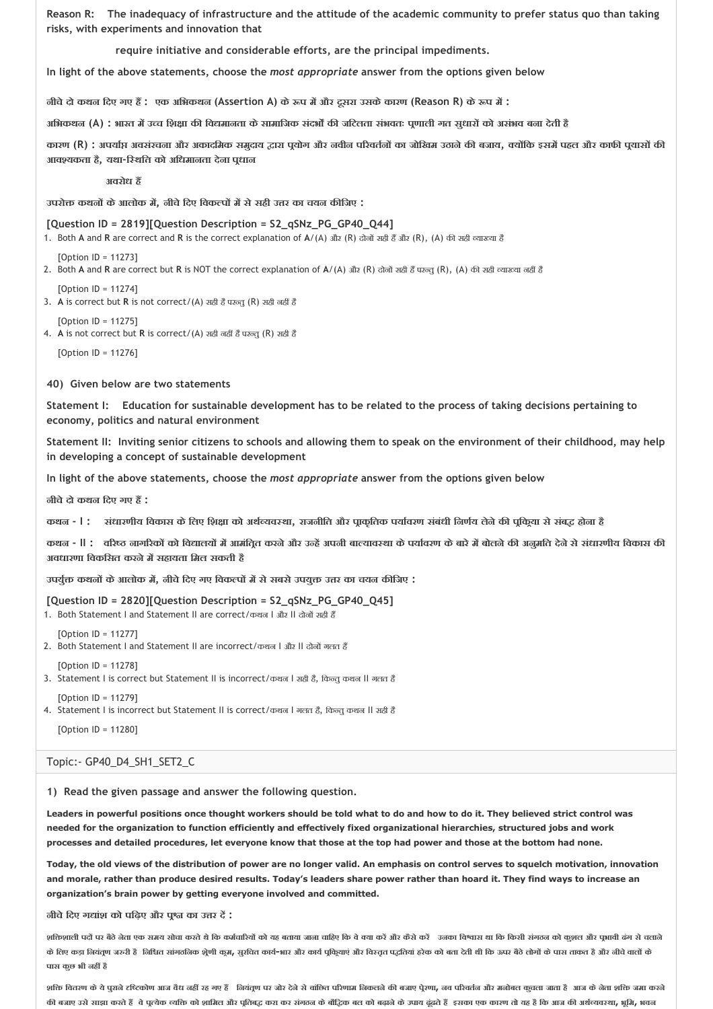**Reason R: The inadequacy of infrastructure and the attitude of the academic community to prefer status quo than taking risks, with experiments and innovation that**

 **require initiative and considerable efforts, are the principal impediments.** 

**In light of the above statements, choose the** *most appropriate* **answer from the options given below** 

**नीचेदो कथन िदए गए ह : एक अिभकथन (Assertion A) के प म और दूसरा उसकेकारण (Reason R) के प म :**

**अिभकथन (A) : भारत म उ च िश ा क िव मानता केसामािजक संदभ क जिटलता संभवतः प णाली गत सुधार को असंभव बना देती है**

कारण (R) : अपर्याप्त अवसंरचना और अकादमिक समुदाय द्वारा पूयोग और नवीन परिवर्तनों का जोखिम उठाने की बजाय, क्योंकि इसमें पहल और काफी पयासों की **आव यकता है, यथा‐ि थित को अिधमानता देना प धान**

 **अवरोध ह** 

**उपरो कथन केआलोक म , नीचेिदए िवक प म सेसही उ र का चयन क िजए :**

#### **[Question ID = 2819][Question Description = S2\_qSNz\_PG\_GP40\_Q44]**

1. Both A and R are correct and R is the correct explanation of A/(A) और (R) दोनों सही हैं और (R), (A) की सही व्याख्या है

[Option ID = 11273]

2. Both A and R are correct but R is NOT the correct explanation of A/(A) और (R) दोनों सही हैं परन्तु (R), (A) की सही व्याख्या नहीं हैं

 $[Option II = 11274]$ 

3. A is correct but R is not correct/(A) सही है परन्तु (R) सही नहीं है

[Option ID = 11275] 4. A is not correct but R is correct/(A) सही नहीं है परन्तु (R) सही है

[Option ID = 11276]

**40) Given below are two statements**

**Statement I: Education for sustainable development has to be related to the process of taking decisions pertaining to economy, politics and natural environment** 

**Statement II: Inviting senior citizens to schools and allowing them to speak on the environment of their childhood, may help in developing a concept of sustainable development** 

**In light of the above statements, choose the** *most appropriate* **answer from the options given below**

**नीचेदो कथन िदए गए ह :**

कथून - | : संधारणीय विकास के लिए शिक्षा को अर्थव्यवस्था. राजनीति और पाकतिक पर्यावरण संबंधी निर्णय लेने की पकिया से संबद्ध होना है

**कथन ‐ II : व र नाग रक को िव ालय म आमंित त करनेऔर उ ह अपनी बा याव था केपया वरण केबारेम बोलनेक अनुमित देनेसेसंधारणीय िवकास क अवधारणा िवकिसत करनेम सहायता िमल सकती है**

**उपयु कथन केआलोक म , नीचेिदए गए िवक प म सेसबसेउपयु उ र का चयन क िजए :**

**[Question ID = 2820][Question Description = S2\_qSNz\_PG\_GP40\_Q45]**

1. Both Statement I and Statement II are correct/कथन I और II दोनों सही हैं

[Option ID = 11277] 2. Both Statement I and Statement II are incorrect/कथन I और II दोनों गलत हैं

[Option ID = 11278]

- 3. Statement I is correct but Statement II is incorrect/कथन I सही है, किन्तु कथन II गलत है
- [Option ID = 11279] 4. Statement I is incorrect but Statement II is correct/कथन I गलत है, किन्तु कथन II सही है
	- [Option ID = 11280]

#### Topic:‐ GP40\_D4\_SH1\_SET2\_C

**1) Read the given passage and answer the following question.**

**Leaders in powerful positions once thought workers should be told what to do and how to do it. They believed strict control was needed for the organization to function efficiently and effectively fixed organizational hierarchies, structured jobs and work processes and detailed procedures, let everyone know that those at the top had power and those at the bottom had none.**

**Today, the old views of the distribution of power are no longer valid. An emphasis on control serves to squelch motivation, innovation and morale, rather than produce desired results. Today's leaders share power rather than hoard it. They find ways to increase an organization's brain power by getting everyone involved and committed.**

**नीचेिदए ग ांश को पिढ़ए और प का उ र द :**

शक्तिशाली पदों पर बैठे नेता एक समय सोचा करते थे कि कर्मचारियों को यह बताया जाना चाहिए कि वे चया करें और कैसे करें उनका विश्वास था कि किसी संगठन को कुशल और पूभावी ढंग से चलाने के लिए कड़ा नियंतृण जरुरी है निश्चित सांगठनिक शुेणी कुम, सुरचित कार्य-भार और कार्य पूर्वत्रेयां के दुर्वाचा हरेक को बता देती थी कि ऊपर बैठे लोगों के पास ताकत है और नीचे चालां के **पास कुछ भी नह है**

शक्ति वितरण के ये पुराने हरिटकोण आज वैध नहीं रह गए हैं नियंतूण पर जोर देने से वाछित परिणा, नियार परिणा, नव परिवर्तन और मनोबल कुवला जाता है आज के नेता शक्ति जमा करने की बजाए उसे साझा करते हैं वे पुत्येक व्यक्ति को शामिल और पुतिबद्ध करा कर संगठन के बीढ़िक बल को बढ़ाने के उपाय ढूंढते हैं इसका एक कारण तो यह है कि आज की अर्थव्यवस्था, भूमि, भवन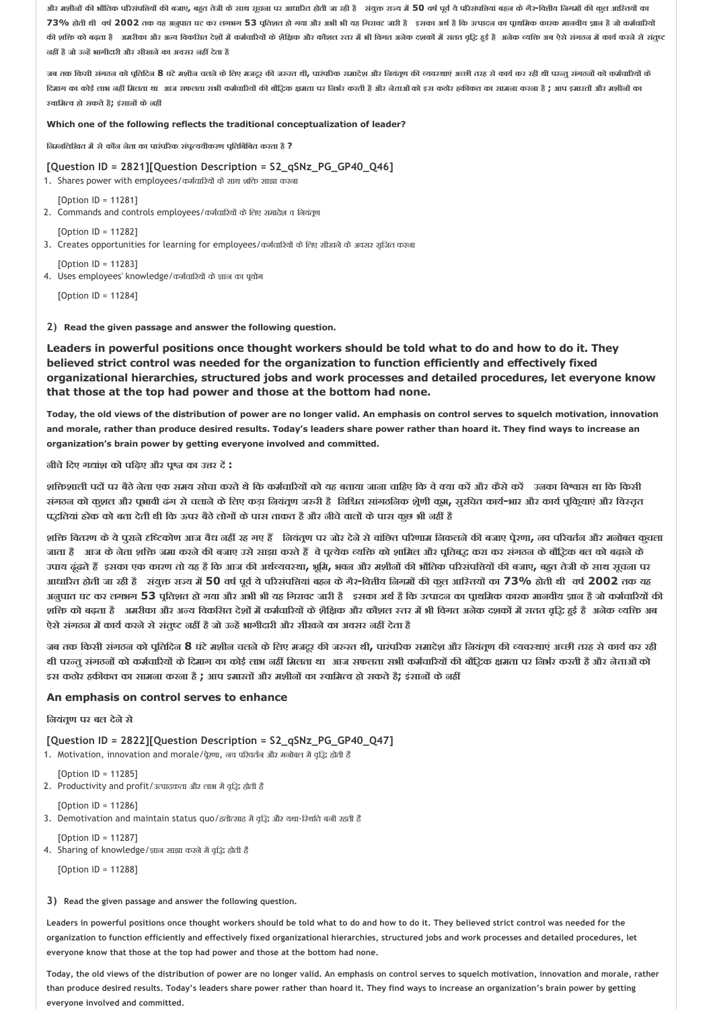और मशीनों की भौतिक परिसंपत्तियों की बजाए, बहुत तेजी के साथ सुवना पर आधारित होती जा रही हैं . संयुक्त राज्य में 50 वर्ष पूर्व ये परिसंपतियां बहुन के गैर-वित्तीय निगमों की कूल आरितयों का 73% होती थी वर्ष 2002 तक यह अनुपात घट कर लगभग 53 पूतिशत हो गया और अभी भी यह गिरावट जारी है हरका अर्थ है कि उत्पादन का पूर्खामेक कारक मानवीय ज्ञान है जो कर्मचारियों की शक्ति को बढता है अमरीका और अन्य विकसित देशों में कर्मचारियों के शैक्षिक और कौशल रसर में भी विगत अनेक दशकों में सतत वृद्धि हुई है अनेक व्यक्ति अब ऐसे संगठन में कार्य करने से संतुष्ट **नह हैजो उ ह भागीदारी और सीखनेका अवसर नह देता है** 

जब तक किसी संगठन को पुतिदिन 8 घंटे मशीन चलने के लिए मजदूर की जरूरत थी, पारंपरिक समादेश और नियंतृण की व्यवस्थाएं अच्छी तरह से कार्य कर रही थी परन्तु संगठनों को कर्मचारियों के दिमाग का कोई लाभ नहीं मिलता था आज सफलता सभी कर्मचारियों की बौदिक क्षमता पर निर्भर करती है और नेताओं को इस कठोर हकीकत का सामना करना है ; आप इमारतों और मशीनों का  **वािम व हो सकतेहै; इंसान केनह** 

#### **Which one of the following reflects the traditional conceptualization of leader?**

**िन निलिखत म सेकौन नेता का पारंप रक संप ययीकरण प ितिबंिबत करता है ?**

**[Question ID = 2821][Question Description = S2\_qSNz\_PG\_GP40\_Q46]**

1. Shares power with employees/कर्मचारियों के साथ शक्ति साझा करना

[Option ID = 11281]

- 2. Commands and controls employees/कर्मचारियों के लिए समादेश व नियंतूण
- [Option ID = 11282]
- 3. Creates opportunities for learning for employees/कर्मचारियों के लिए सीखने के अवसर सृजित करना

[Option ID = 11283]

4. Uses employees' knowledge/कर्मचारियों के ज्ञान का पयोग

[Option ID = 11284]

#### **2) Read the given passage and answer the following question.**

**Leaders in powerful positions once thought workers should be told what to do and how to do it. They believed strict control was needed for the organization to function efficiently and effectively fixed organizational hierarchies, structured jobs and work processes and detailed procedures, let everyone know that those at the top had power and those at the bottom had none.**

**Today, the old views of the distribution of power are no longer valid. An emphasis on control serves to squelch motivation, innovation and morale, rather than produce desired results. Today's leaders share power rather than hoard it. They find ways to increase an organization's brain power by getting everyone involved and committed.**

**नीचेिदए ग ांश को पिढ़ए और प का उ र द :**

शक्तिशाली पदों पर बैठे नेता एक समय सोचा करते थे कि कर्मचारियों को यह बताया जाना चाहिए कि वे क्या करें और कैसे करें उनका विश्वास था कि किसी संगठन को कुशल और पृभावी ढंग से चलाने के लिए कड़ा नियंतूण जरुरी है निश्चित सांगठनिक शेूणी कूम, सुरचित कार्य-भार और कार्य पूकियाएं और विस्तृत **प ितयां हरेक को बता देती थी िक ऊपर बैठेलोग केपास ताकत हैऔर नीचेवाल केपास कुछ भी नह है**

शक्ति वितरण के ये पुराने दृष्टिकोण आज वैध नहीं रह गए हैं लियंतूण पर जोर देने से वांछित परिणाम निकलने की बजाए पेरणा, नव परिवर्तन और मनोबल कुचला जाता है आज के नेता शक्ति जमा करने की बजाए उसे साझा करते हैं वे पूत्येक व्यक्ति को शामिल और पूतिबद्ध करा कर संगठन के बौद्धिक बल को बढ़ाने के उपाय ढूंढते हैं इसका एक कारण तो यह है कि आज की अर्थव्यवस्था, भूमि, भवन और मशीनों की भौतिक परिसंपत्तियों की बजाए, बहुत तेजी के साथ सूचना पर आधारित होती जा रही है संयुक्त राज्य में 50 वर्ष पूर्व ये परिसंपतियां बहन के गैर-वित्तीय निभामों की कूल आस्तियों का 73% होती थी वर्ष 2002 तक यह अनुपात घट कर लगभग 53 पुतिशत हो गया और अभी भी यह गिरावट जारी हैं इसका अर्थ है कि उत्पादन का पृाथमिक कारक मानवीय ज्ञान है जो कर्मचारियों की शक्ति को बढ़ता है अमरीका और अन्य विकसित देशों में कर्मचारियों के शैक्षिक और कौशल स्तर में भी विगत अनेक दशकों में सतत वृद्धि हुई है अनेक व्यक्ति अब **ऐसेसंगठन म काय करनेसेसंतु नह हैजो उ ह भागीदारी और सीखनेका अवसर नह देता है** 

जब तक किसी संगठन को पूतिदिन 8 घंटे मशीन चलने के लिए मजदूर की जरुरत थी, पारंपरिक समादेश और नियंतूण की व्यवस्थाएं अच्छी तरह से कार्य कर रही थी परन्तु संगठनों को कर्मचारियों के दिमाग का कोई लाभ नहीं मिलता था आज सफलता सभी कर्मचारियों की बौद्धिक क्षमता पर निर्भर करती है और नेताओं को **इस कठोर हक कत का सामना करना है ; आप इमारत और मशीन का वािम व हो सकतेहै; इंसान केनह** 

## **An emphasis on control serves to enhance**

**िनयंत ण पर बल देनेसे**

**[Question ID = 2822][Question Description = S2\_qSNz\_PG\_GP40\_Q47]**

1. Motivation, innovation and morale/पूरणा, नव परिवर्तन और मनोबल में वृद्धि होती हैं

[Option ID = 11285] 2. Productivity and profit/उत्पादकता और लाभ में वृद्धि होती है

[Option ID = 11286]

3. Demotivation and maintain status quo/हतोत्साह में वृद्धि और यथा-स्थिति बनी रहती है

[Option ID = 11287] 4. Sharing of knowledge/ ज्ञान साझा करने में वृद्धि होती है

[Option ID = 11288]

**3) Read the given passage and answer the following question.**

**Leaders in powerful positions once thought workers should be told what to do and how to do it. They believed strict control was needed for the organization to function efficiently and effectively fixed organizational hierarchies, structured jobs and work processes and detailed procedures, let everyone know that those at the top had power and those at the bottom had none.**

**Today, the old views of the distribution of power are no longer valid. An emphasis on control serves to squelch motivation, innovation and morale, rather than produce desired results. Today's leaders share power rather than hoard it. They find ways to increase an organization's brain power by getting everyone involved and committed.**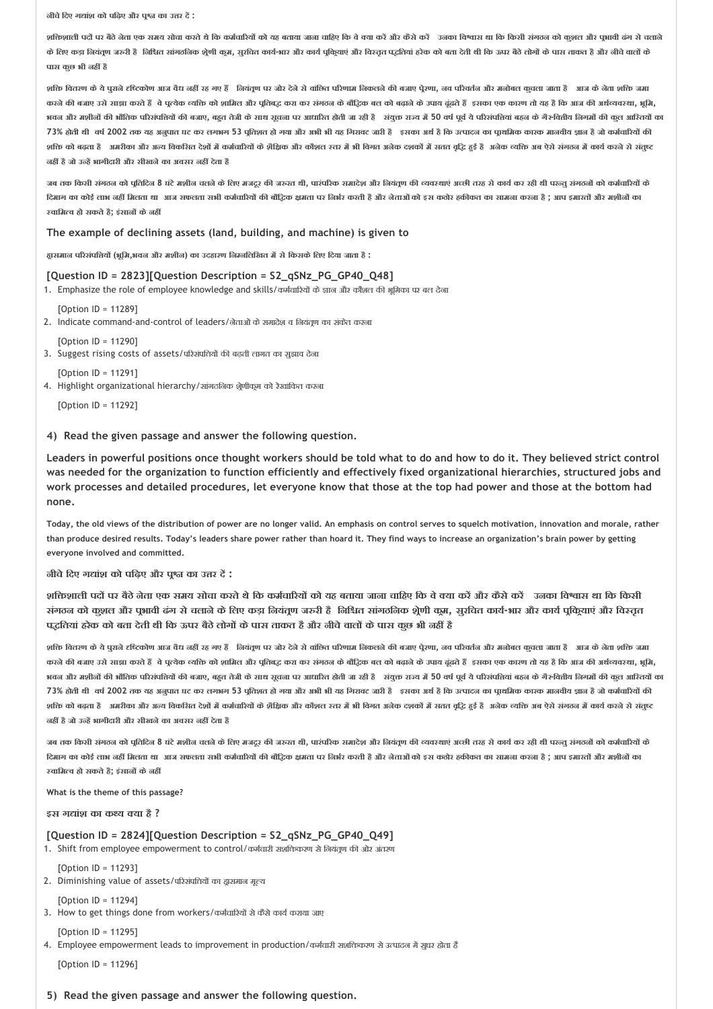**नीचेिदए ग ांश को पिढ़ए और प का उ र द :**

शक्तिशाली पदों पर बैठे नेता एक समय सोचा करते थे कि कर्मचारियों को यह बताया जाना चाहिए कि वे बया करें और कैसे करें उनका विश्वास था कि किसी संगठन को कुशल और पुभावी ढंग से चलाने के लिए कड़ा नियंतूण जरुरी है निश्चित सांगठनिक श्रेणी कुम, सुरचित कार्य-भार और कार्य प्रीकृतपं विराजा बढ़ेता थो कार की बार को को को पास ताकत है और नीचे चालों के **पास कुछ भी नह है**

,<br>शक्ति वितरण के ये पराने दृष्टिकोण आज वैध नहीं रह गए हैं | नियंतण पर जोर देने यो बाविया की काफ के काफ परेवर्तन और मनोबल कचला जाता है । आज के नेता शक्ति जमा करने की बजाए उसे साझा करते हैं वे पुत्येक व्यक्ति को शामिल और पूलिबद्ध करा कर संगठक के बौद्धिक बल को बढ़ के उपच एक कारण तो यह है कि आज की अर्थव्यवस्था, भूमि, भवन और मशीनों की भौतिक परिसंपत्तियों की बजाए, बहुत तेजी के साथ सूचना पर आधारित होती जा रही है . संयुक्त राज्य में 50 वर्ष पूर्व ये परिसंपत्तियां बहन के गैर-वित्तीय निगमों की कुल आरितयों का 73% होती थी वर्ष 2002 तक यह अनुपात घट कर लगभग 53 पतिशत हो गया और अभी भी यह गिरावट जारी है इसका अर्थ है कि उत्पादन का पाथमिक कारक मानवीय ज्ञान है जो कर्मचारियों की शक्ति को बढ़ता है आत्रीका और अन्य विकसित देशों में कर्मचारियों के शैक्षिक और कौशल रतर में भी विगत अनेक दशकों में सतत वृद्धि हुई है अनेक व्यक्ति अब ऐसे संगठन में कार्य करने से संतुष्ट **नह हैजो उ ह भागीदारी और सीखनेका अवसर नह देता है** 

जब तक किसी संगठन को पूतिदिन 8 घंटे मशीन चलने के लिए मजटूर की जरुरत थी, पारंपरिक समादेश और नियंतूण की व्यवस्थाएं अच्छी तरह से कार्य कर रही थी परन्तु संगठनों को कर्मचारियों के दिमाग का कोई लाभ नहीं मिलता था आज सफलता सभी कर्मचारियों की बौद्धिक क्षमता पर निर्भर करती है और नेताओं को इस कठोर हकीकत का सामना करना है ; आप इमारतों और मशीनों का  **वािम व हो सकतेहै; इंसान केनह** 

#### **The example of declining assets (land, building, and machine) is given to**

**ह ासमान प रसंपि य (भूिम,भवन और मशीन) का उदहारण िन निलिखत म सेिकसकेिलए िदया जाता है :**

#### **[Question ID = 2823][Question Description = S2\_qSNz\_PG\_GP40\_Q48]**

1. Emphasize the role of employee knowledge and skills/कर्मचारियों के ज्ञान और कौशल की भूमिका पर बल देना

[Option ID = 11289]

2. Indicate command-and-control of leaders/नेताओं के समादेश व नियंतूण का संकेत करना

 $[Option II = 11290]$ 3. Suggest rising costs of assets/परिसंपत्तियों की बढ़ती लागत का सुझाव देना

[Option ID = 11291]

4. Highlight organizational hierarchy/सांगठनिक श्रेणीकूम को रेखांकित करना

[Option ID = 11292]

#### **4) Read the given passage and answer the following question.**

**Leaders in powerful positions once thought workers should be told what to do and how to do it. They believed strict control was needed for the organization to function efficiently and effectively fixed organizational hierarchies, structured jobs and work processes and detailed procedures, let everyone know that those at the top had power and those at the bottom had none.**

**Today, the old views of the distribution of power are no longer valid. An emphasis on control serves to squelch motivation, innovation and morale, rather than produce desired results. Today's leaders share power rather than hoard it. They find ways to increase an organization's brain power by getting everyone involved and committed.**

**नीचेिदए ग ांश को पिढ़ए और प का उ र द :**

शक्तिशाली पदों पर बैठे नेता एक समय सोचा करते थे कि कर्मचारियों को यह बताया जाना चाहिए कि वे क्या करें और कैसे करें उनका विश्वास था कि किसी संगठन को कुशल और पुभावी ढंग से चलाने के लिए कड़ा नियंतुण जरुरी है निश्चित सांगठनिक शेणी कुम, सूरचित कार्य-भार और कार्य पुकियाएं और विस्तृत **प ितयां हरेक को बता देती थी िक ऊपर बैठेलोग केपास ताकत हैऔर नीचेवाल केपास कुछ भी नह है**

शक्ति वितरण के ये पुराने दृष्टिकोण आज वैध नहीं रह गए हैं नियंतूण पर जोर देने से वाछित परिणा, जब परिपर्वात और मनोबल कुचला जाता है आज के नेता शक्ति जमा करने की बजाए उसे साझा करते हैं वे पुत्येक व्यक्ति को शामित और पूतिबद्ध करा कर संगठन के बोट्ठिक बत को बढ़ने के उपाय ढूंढते हैं इसका एक कारण तो यह है कि आज की अर्थव्यवस्था, भूमि, भवन और मशीनों की भौतिक परिसंपत्तियों की बजाए, बहुत तेजी के साथ सूवना पर आधारित होती जा रही है ं संतुक्त राज्य में 50 वर्ष पूर्व ये परिसंपत्तियां बहन के गैर-वित्तीय निगमों की कूल आरितयों का 73% होती थी वर्ष 2002 तक यह अनुपात घट कर लगभग 53 पुतिशत हो गया और अभी भी यह गिरावट जारी है इसका अर्थ है कि उत्पादन का पाथमिक कारक मानवीय ज्ञान है जो कर्मचारियों की शक्ति को बढ़ता है आत्रीका और अन्य विकसित देशों में कर्मचारियों के शैक्षिक और कौशल रतर में भी बिगत अवेक दशकों में सतत वृद्धि हुई है अनेक व्यक्ति अब ऐसे संगठन में कार्य करने से संतुष्ट **नह हैजो उ ह भागीदारी और सीखनेका अवसर नह देता है** 

जब तक किसी संगठन को पूतिदिन 8 घंटे मशीन चलने के लिए मजटूर की जरूरत थी, पारंपरिक समादेश और नियंतृण की व्यवस्थाएं अच्छी तरह से कार्य कर रही थी परन्तु संगठनों को कर्मचारियों के दिमाग का कोई लाभ नहीं मिलता था आज सफलता सभी कर्मचारियों की बौदिक क्षमता पर निर्भर करती है और नेताओं को इस कठोर हकीकत का सामना करना है : आप इमारतों और मशीनों का  **वािम व हो सकतेहै; इंसान केनह** 

**What is the theme of this passage?**

**इस ग ांश का क य या है ?**

#### **[Question ID = 2824][Question Description = S2\_qSNz\_PG\_GP40\_Q49]**

- 1. Shift from employee empowerment to control/कर्मचारी सशक्तिकरण से नियंतूण की ओर अंतरण
- [Option ID = 11293] 2. Diminishing value of assets/परिसंपत्तियों का द्वासमान मूल्य
- [Option ID = 11294]
- 3. How to get things done from workers/कर्मचारियों से कैसे कार्य कराया जाए

 $[Option II = 11295]$ 

4. Employee empowerment leads to improvement in production/कर्मचारी सशक्तिकरण से उत्पादन में सुधर होता है

[Option ID = 11296]

**5) Read the given passage and answer the following question.**